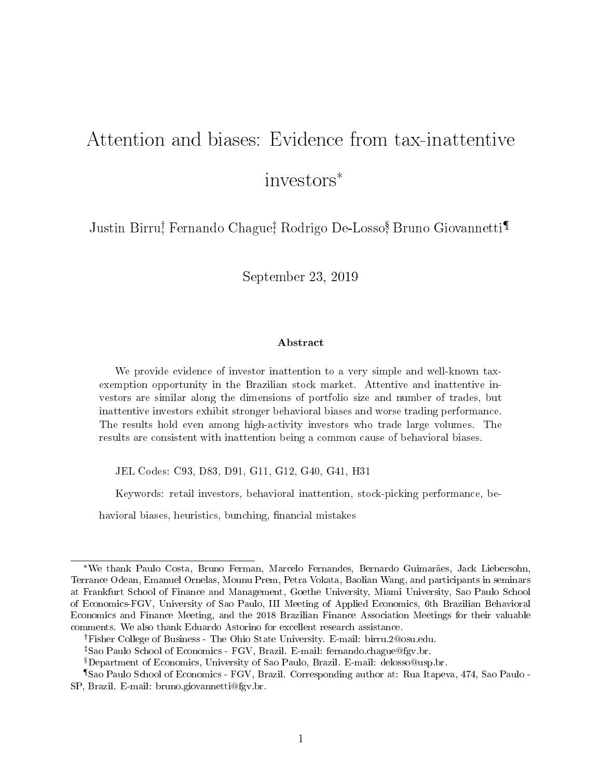# Attention and biases: Evidence from tax-inattentive investors\*

Justin Birru† Fernando Chague‡ Rodrigo De-Losso, <sup>§</sup> Bruno Giovannetti¶

September 23, 2019

#### Abstract

We provide evidence of investor inattention to a very simple and well-known taxexemption opportunity in the Brazilian stock market. Attentive and inattentive investors are similar along the dimensions of portfolio size and number of trades, but inattentive investors exhibit stronger behavioral biases and worse trading performance. The results hold even among high-activity investors who trade large volumes. The results are consistent with inattention being a common cause of behavioral biases.

JEL Codes: C93, D83, D91, G11, G12, G40, G41, H31

Keywords: retail investors, behavioral inattention, stock-picking performance, be-

havioral biases, heuristics, bunching, financial mistakes

<sup>\*</sup>We thank Paulo Costa, Bruno Ferman, Marcelo Fernandes, Bernardo Guimarães, Jack Liebersohn, Terrance Odean, Emanuel Ornelas, Mounu Prem, Petra Vokata, Baolian Wang, and participants in seminars at Frankfurt School of Finance and Management, Goethe University, Miami University, Sao Paulo School of Economics-FGV, University of Sao Paulo, III Meeting of Applied Economics, 6th Brazilian Behavioral Economics and Finance Meeting, and the 2018 Brazilian Finance Association Meetings for their valuable comments. We also thank Eduardo Astorino for excellent research assistance.

Fisher College of Business - The Ohio State University. E-mail: birru.2@osu.edu.

Sao Paulo School of Economics - FGV, Brazil. E-mail: fernando.chague@fgv.br.

Department of Economics, University of Sao Paulo, Brazil. E-mail: delosso@usp.br.

<sup>¶</sup>Sao Paulo School of Economics - FGV, Brazil. Corresponding author at: Rua Itapeva, 474, Sao Paulo - SP, Brazil. E-mail: bruno.giovannetti@fgv.br.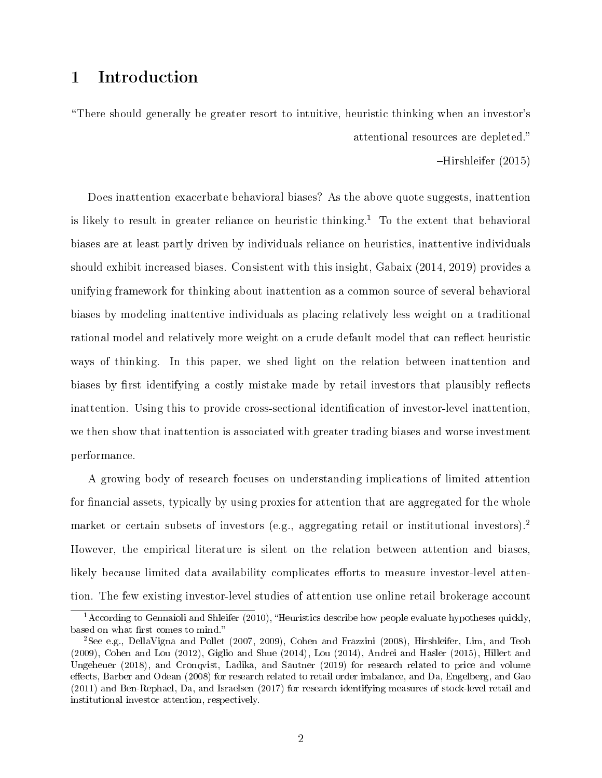# 1 Introduction

There should generally be greater resort to intuitive, heuristic thinking when an investor's attentional resources are depleted.

Hirshleifer (2015)

Does inattention exacerbate behavioral biases? As the above quote suggests, inattention is likely to result in greater reliance on heuristic thinking.<sup>1</sup> To the extent that behavioral biases are at least partly driven by individuals reliance on heuristics, inattentive individuals should exhibit increased biases. Consistent with this insight, Gabaix (2014, 2019) provides a unifying framework for thinking about inattention as a common source of several behavioral biases by modeling inattentive individuals as placing relatively less weight on a traditional rational model and relatively more weight on a crude default model that can reflect heuristic ways of thinking. In this paper, we shed light on the relation between inattention and biases by first identifying a costly mistake made by retail investors that plausibly reflects inattention. Using this to provide cross-sectional identification of investor-level inattention. we then show that inattention is associated with greater trading biases and worse investment performance.

A growing body of research focuses on understanding implications of limited attention for financial assets, typically by using proxies for attention that are aggregated for the whole market or certain subsets of investors (e.g., aggregating retail or institutional investors).<sup>2</sup> However, the empirical literature is silent on the relation between attention and biases, likely because limited data availability complicates efforts to measure investor-level attention. The few existing investor-level studies of attention use online retail brokerage account

 $1$ According to Gennaioli and Shleifer (2010), "Heuristics describe how people evaluate hypotheses quickly, based on what first comes to mind."

<sup>2</sup>See e.g., DellaVigna and Pollet (2007, 2009), Cohen and Frazzini (2008), Hirshleifer, Lim, and Teoh (2009), Cohen and Lou (2012), Giglio and Shue (2014), Lou (2014), Andrei and Hasler (2015), Hillert and Ungeheuer (2018), and Cronqvist, Ladika, and Sautner (2019) for research related to price and volume effects, Barber and Odean (2008) for research related to retail order imbalance, and Da, Engelberg, and Gao (2011) and Ben-Rephael, Da, and Israelsen (2017) for research identifying measures of stock-level retail and institutional investor attention, respectively.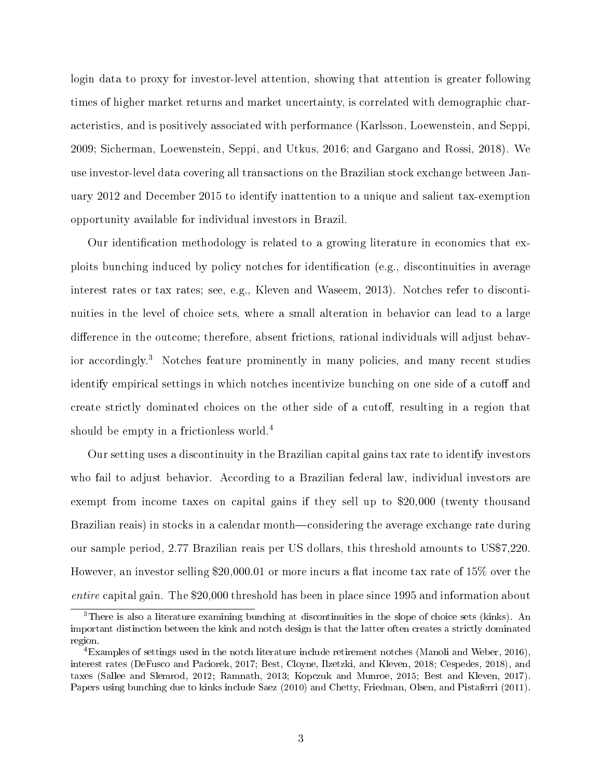login data to proxy for investor-level attention, showing that attention is greater following times of higher market returns and market uncertainty, is correlated with demographic characteristics, and is positively associated with performance (Karlsson, Loewenstein, and Seppi, 2009; Sicherman, Loewenstein, Seppi, and Utkus, 2016; and Gargano and Rossi, 2018). We use investor-level data covering all transactions on the Brazilian stock exchange between January 2012 and December 2015 to identify inattention to a unique and salient tax-exemption opportunity available for individual investors in Brazil.

Our identification methodology is related to a growing literature in economics that exploits bunching induced by policy notches for identification (e.g., discontinuities in average interest rates or tax rates; see, e.g., Kleven and Waseem, 2013). Notches refer to discontinuities in the level of choice sets, where a small alteration in behavior can lead to a large difference in the outcome; therefore, absent frictions, rational individuals will adjust behavior accordingly.<sup>3</sup> Notches feature prominently in many policies, and many recent studies identify empirical settings in which notches incentivize bunching on one side of a cutoff and create strictly dominated choices on the other side of a cutoff, resulting in a region that should be empty in a frictionless world.<sup>4</sup>

Our setting uses a discontinuity in the Brazilian capital gains tax rate to identify investors who fail to adjust behavior. According to a Brazilian federal law, individual investors are exempt from income taxes on capital gains if they sell up to \$20,000 (twenty thousand Brazilian reais) in stocks in a calendar month—considering the average exchange rate during our sample period, 2.77 Brazilian reais per US dollars, this threshold amounts to US\$7,220. However, an investor selling \$20,000.01 or more incurs a flat income tax rate of  $15\%$  over the entire capital gain. The \$20,000 threshold has been in place since 1995 and information about

<sup>3</sup>There is also a literature examining bunching at discontinuities in the slope of choice sets (kinks). An important distinction between the kink and notch design is that the latter often creates a strictly dominated region.

<sup>4</sup>Examples of settings used in the notch literature include retirement notches (Manoli and Weber, 2016), interest rates (DeFusco and Paciorek, 2017; Best, Cloyne, Ilzetzki, and Kleven, 2018; Cespedes, 2018), and taxes (Sallee and Slemrod, 2012; Ramnath, 2013; Kopczuk and Munroe, 2015; Best and Kleven, 2017). Papers using bunching due to kinks include Saez (2010) and Chetty, Friedman, Olsen, and Pistaferri (2011).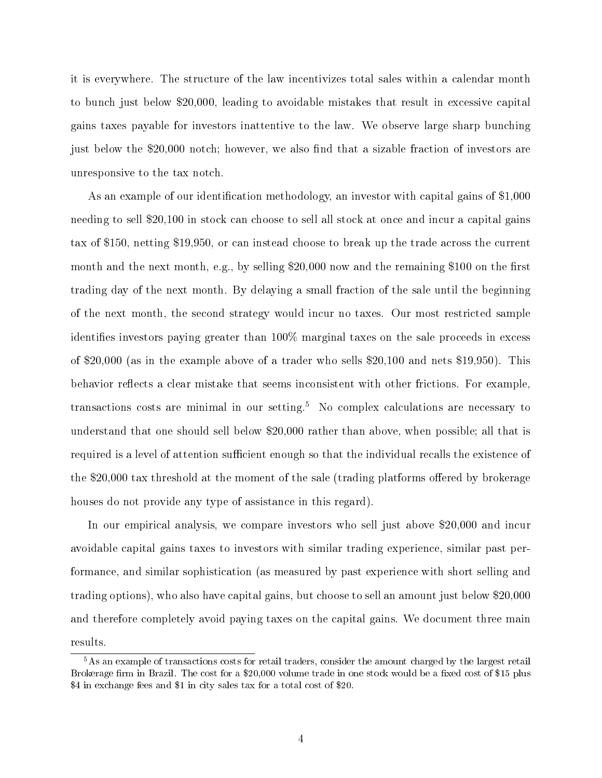it is everywhere. The structure of the law incentivizes total sales within a calendar month to bunch just below \$20,000, leading to avoidable mistakes that result in excessive capital gains taxes payable for investors inattentive to the law. We observe large sharp bunching just below the \$20,000 notch; however, we also find that a sizable fraction of investors are unresponsive to the tax notch.

As an example of our identification methodology, an investor with capital gains of \$1,000 needing to sell \$20,100 in stock can choose to sell all stock at once and incur a capital gains tax of \$150, netting \$19,950, or can instead choose to break up the trade across the current month and the next month, e.g., by selling  $$20,000$  now and the remaining  $$100$  on the first trading day of the next month. By delaying a small fraction of the sale until the beginning of the next month, the second strategy would incur no taxes. Our most restricted sample identifies investors paying greater than  $100\%$  marginal taxes on the sale proceeds in excess of \$20,000 (as in the example above of a trader who sells \$20,100 and nets \$19,950). This behavior reflects a clear mistake that seems inconsistent with other frictions. For example, transactions costs are minimal in our setting.<sup>5</sup> No complex calculations are necessary to understand that one should sell below \$20,000 rather than above, when possible; all that is required is a level of attention sufficient enough so that the individual recalls the existence of the  $$20,000$  tax threshold at the moment of the sale (trading platforms offered by brokerage houses do not provide any type of assistance in this regard).

In our empirical analysis, we compare investors who sell just above \$20,000 and incur avoidable capital gains taxes to investors with similar trading experience, similar past performance, and similar sophistication (as measured by past experience with short selling and trading options), who also have capital gains, but choose to sell an amount just below \$20,000 and therefore completely avoid paying taxes on the capital gains. We document three main results.

<sup>&</sup>lt;sup>5</sup>As an example of transactions costs for retail traders, consider the amount charged by the largest retail Brokerage firm in Brazil. The cost for a \$20,000 volume trade in one stock would be a fixed cost of \$15 plus \$4 in exchange fees and \$1 in city sales tax for a total cost of \$20.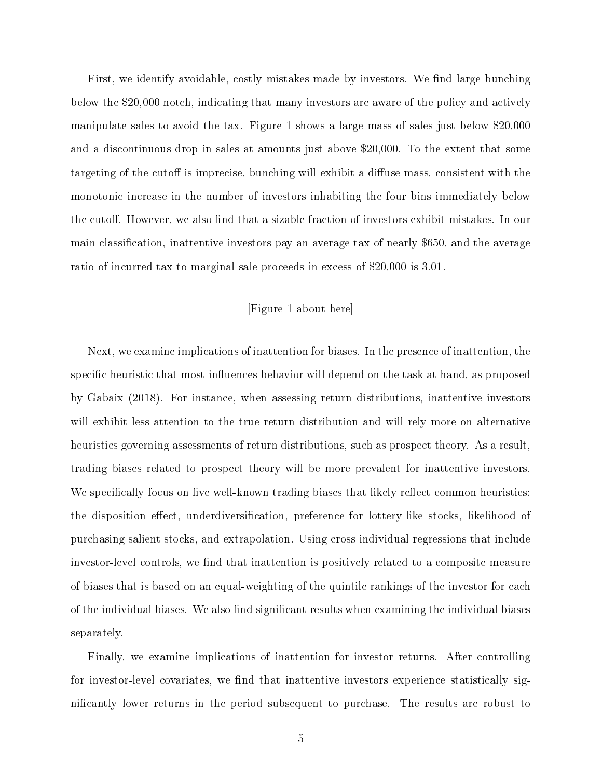First, we identify avoidable, costly mistakes made by investors. We find large bunching below the \$20,000 notch, indicating that many investors are aware of the policy and actively manipulate sales to avoid the tax. Figure 1 shows a large mass of sales just below \$20,000 and a discontinuous drop in sales at amounts just above \$20,000. To the extent that some targeting of the cutoff is imprecise, bunching will exhibit a diffuse mass, consistent with the monotonic increase in the number of investors inhabiting the four bins immediately below the cutoff. However, we also find that a sizable fraction of investors exhibit mistakes. In our main classification, inattentive investors pay an average tax of nearly \$650, and the average ratio of incurred tax to marginal sale proceeds in excess of \$20,000 is 3.01.

#### [Figure 1 about here]

Next, we examine implications of inattention for biases. In the presence of inattention, the specific heuristic that most influences behavior will depend on the task at hand, as proposed by Gabaix (2018). For instance, when assessing return distributions, inattentive investors will exhibit less attention to the true return distribution and will rely more on alternative heuristics governing assessments of return distributions, such as prospect theory. As a result, trading biases related to prospect theory will be more prevalent for inattentive investors. We specifically focus on five well-known trading biases that likely reflect common heuristics: the disposition effect, underdiversification, preference for lottery-like stocks, likelihood of purchasing salient stocks, and extrapolation. Using cross-individual regressions that include investor-level controls, we find that inattention is positively related to a composite measure of biases that is based on an equal-weighting of the quintile rankings of the investor for each of the individual biases. We also find significant results when examining the individual biases separately.

Finally, we examine implications of inattention for investor returns. After controlling for investor-level covariates, we find that inattentive investors experience statistically significantly lower returns in the period subsequent to purchase. The results are robust to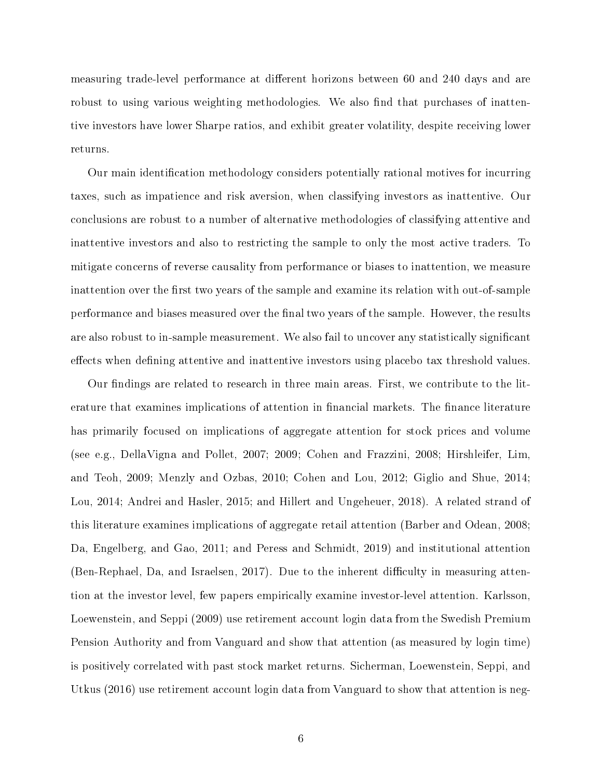measuring trade-level performance at different horizons between 60 and 240 days and are robust to using various weighting methodologies. We also find that purchases of inattentive investors have lower Sharpe ratios, and exhibit greater volatility, despite receiving lower returns.

Our main identication methodology considers potentially rational motives for incurring taxes, such as impatience and risk aversion, when classifying investors as inattentive. Our conclusions are robust to a number of alternative methodologies of classifying attentive and inattentive investors and also to restricting the sample to only the most active traders. To mitigate concerns of reverse causality from performance or biases to inattention, we measure inattention over the first two years of the sample and examine its relation with out-of-sample performance and biases measured over the final two years of the sample. However, the results are also robust to in-sample measurement. We also fail to uncover any statistically signicant effects when defining attentive and inattentive investors using placebo tax threshold values.

Our findings are related to research in three main areas. First, we contribute to the literature that examines implications of attention in financial markets. The finance literature has primarily focused on implications of aggregate attention for stock prices and volume (see e.g., DellaVigna and Pollet, 2007; 2009; Cohen and Frazzini, 2008; Hirshleifer, Lim, and Teoh, 2009; Menzly and Ozbas, 2010; Cohen and Lou, 2012; Giglio and Shue, 2014; Lou, 2014; Andrei and Hasler, 2015; and Hillert and Ungeheuer, 2018). A related strand of this literature examines implications of aggregate retail attention (Barber and Odean, 2008; Da, Engelberg, and Gao, 2011; and Peress and Schmidt, 2019) and institutional attention  $(Ben-Rephael, Da, and Israelsen, 2017)$ . Due to the inherent difficulty in measuring attention at the investor level, few papers empirically examine investor-level attention. Karlsson, Loewenstein, and Seppi (2009) use retirement account login data from the Swedish Premium Pension Authority and from Vanguard and show that attention (as measured by login time) is positively correlated with past stock market returns. Sicherman, Loewenstein, Seppi, and Utkus (2016) use retirement account login data from Vanguard to show that attention is neg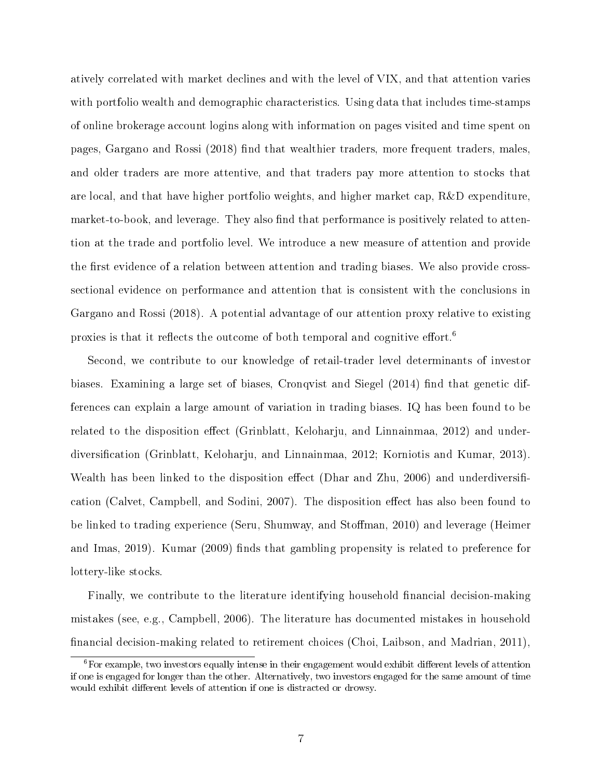atively correlated with market declines and with the level of VIX, and that attention varies with portfolio wealth and demographic characteristics. Using data that includes time-stamps of online brokerage account logins along with information on pages visited and time spent on pages, Gargano and Rossi (2018) find that wealthier traders, more frequent traders, males, and older traders are more attentive, and that traders pay more attention to stocks that are local, and that have higher portfolio weights, and higher market cap, R&D expenditure, market-to-book, and leverage. They also find that performance is positively related to attention at the trade and portfolio level. We introduce a new measure of attention and provide the first evidence of a relation between attention and trading biases. We also provide crosssectional evidence on performance and attention that is consistent with the conclusions in Gargano and Rossi (2018). A potential advantage of our attention proxy relative to existing proxies is that it reflects the outcome of both temporal and cognitive effort.<sup>6</sup>

Second, we contribute to our knowledge of retail-trader level determinants of investor biases. Examining a large set of biases, Cronqvist and Siegel  $(2014)$  find that genetic differences can explain a large amount of variation in trading biases. IQ has been found to be related to the disposition effect (Grinblatt, Keloharju, and Linnainmaa, 2012) and underdiversification (Grinblatt, Keloharju, and Linnainmaa, 2012; Korniotis and Kumar, 2013). Wealth has been linked to the disposition effect (Dhar and Zhu, 2006) and underdiversification (Calvet, Campbell, and Sodini, 2007). The disposition effect has also been found to be linked to trading experience (Seru, Shumway, and Stoffman, 2010) and leverage (Heimer and Imas, 2019). Kumar (2009) finds that gambling propensity is related to preference for lottery-like stocks.

Finally, we contribute to the literature identifying household financial decision-making mistakes (see, e.g., Campbell, 2006). The literature has documented mistakes in household financial decision-making related to retirement choices (Choi, Laibson, and Madrian, 2011),

 ${}^{6}$ For example, two investors equally intense in their engagement would exhibit different levels of attention if one is engaged for longer than the other. Alternatively, two investors engaged for the same amount of time would exhibit different levels of attention if one is distracted or drowsy.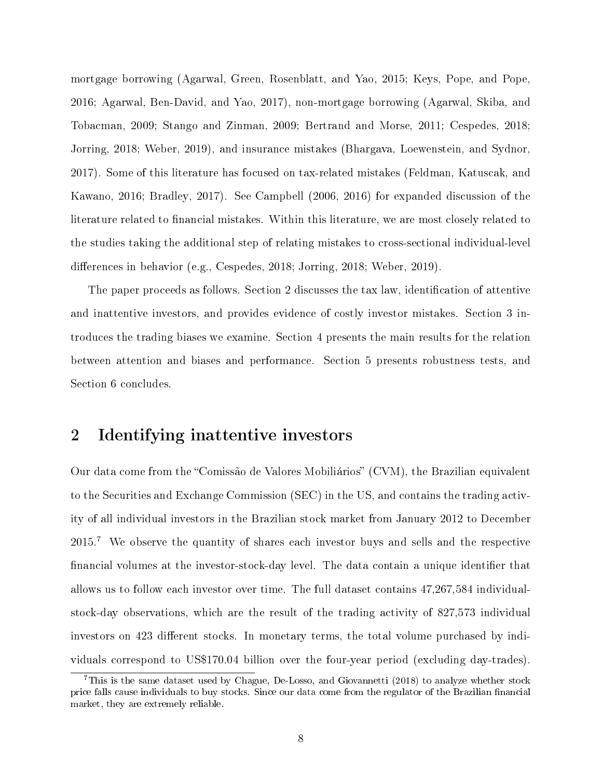mortgage borrowing (Agarwal, Green, Rosenblatt, and Yao, 2015; Keys, Pope, and Pope, 2016; Agarwal, Ben-David, and Yao, 2017), non-mortgage borrowing (Agarwal, Skiba, and Tobacman, 2009; Stango and Zinman, 2009; Bertrand and Morse, 2011; Cespedes, 2018; Jorring, 2018; Weber, 2019), and insurance mistakes (Bhargava, Loewenstein, and Sydnor, 2017). Some of this literature has focused on tax-related mistakes (Feldman, Katuscak, and Kawano, 2016; Bradley, 2017). See Campbell (2006, 2016) for expanded discussion of the literature related to financial mistakes. Within this literature, we are most closely related to the studies taking the additional step of relating mistakes to cross-sectional individual-level differences in behavior (e.g., Cespedes, 2018; Jorring, 2018; Weber, 2019).

The paper proceeds as follows. Section 2 discusses the tax law, identification of attentive and inattentive investors, and provides evidence of costly investor mistakes. Section 3 introduces the trading biases we examine. Section 4 presents the main results for the relation between attention and biases and performance. Section 5 presents robustness tests, and Section 6 concludes.

# 2 Identifying inattentive investors

Our data come from the "Comissão de Valores Mobiliários" (CVM), the Brazilian equivalent to the Securities and Exchange Commission (SEC) in the US, and contains the trading activity of all individual investors in the Brazilian stock market from January 2012 to December 2015.<sup>7</sup> We observe the quantity of shares each investor buys and sells and the respective financial volumes at the investor-stock-day level. The data contain a unique identifier that allows us to follow each investor over time. The full dataset contains 47,267,584 individualstock-day observations, which are the result of the trading activity of 827,573 individual investors on 423 different stocks. In monetary terms, the total volume purchased by individuals correspond to US\$170.04 billion over the four-year period (excluding day-trades).

<sup>&</sup>lt;sup>7</sup>This is the same dataset used by Chague, De-Losso, and Giovannetti (2018) to analyze whether stock price falls cause individuals to buy stocks. Since our data come from the regulator of the Brazilian financial market, they are extremely reliable.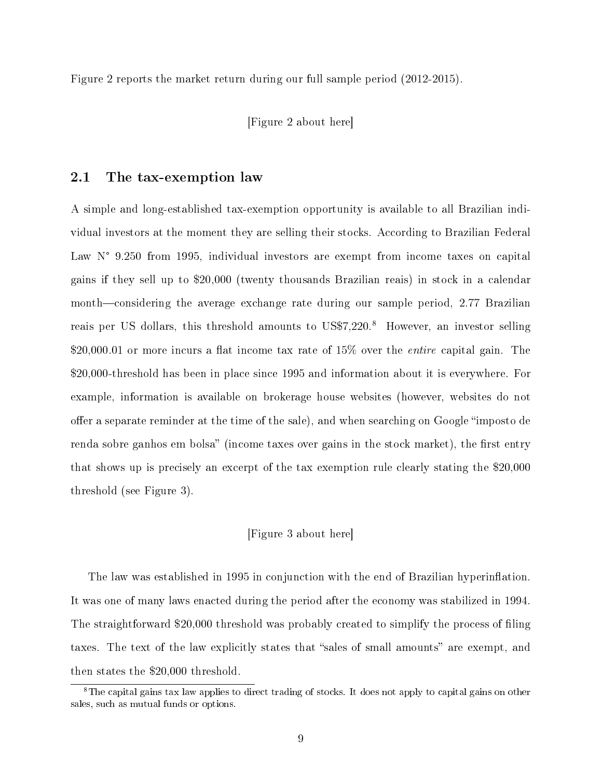Figure 2 reports the market return during our full sample period (2012-2015).

[Figure 2 about here]

#### 2.1 The tax-exemption law

A simple and long-established tax-exemption opportunity is available to all Brazilian individual investors at the moment they are selling their stocks. According to Brazilian Federal Law N° 9.250 from 1995, individual investors are exempt from income taxes on capital gains if they sell up to \$20,000 (twenty thousands Brazilian reais) in stock in a calendar month—considering the average exchange rate during our sample period,  $2.77$  Brazilian reais per US dollars, this threshold amounts to US\$7,220.<sup>8</sup> However, an investor selling \$20,000.01 or more incurs a flat income tax rate of 15% over the *entire* capital gain. The \$20,000-threshold has been in place since 1995 and information about it is everywhere. For example, information is available on brokerage house websites (however, websites do not offer a separate reminder at the time of the sale), and when searching on Google "imposto de renda sobre ganhos em bolsa" (income taxes over gains in the stock market), the first entry that shows up is precisely an excerpt of the tax exemption rule clearly stating the \$20,000 threshold (see Figure 3).

#### [Figure 3 about here]

The law was established in 1995 in conjunction with the end of Brazilian hyperinflation. It was one of many laws enacted during the period after the economy was stabilized in 1994. The straightforward \$20,000 threshold was probably created to simplify the process of filing taxes. The text of the law explicitly states that "sales of small amounts" are exempt, and then states the \$20,000 threshold.

<sup>&</sup>lt;sup>8</sup>The capital gains tax law applies to direct trading of stocks. It does not apply to capital gains on other sales, such as mutual funds or options.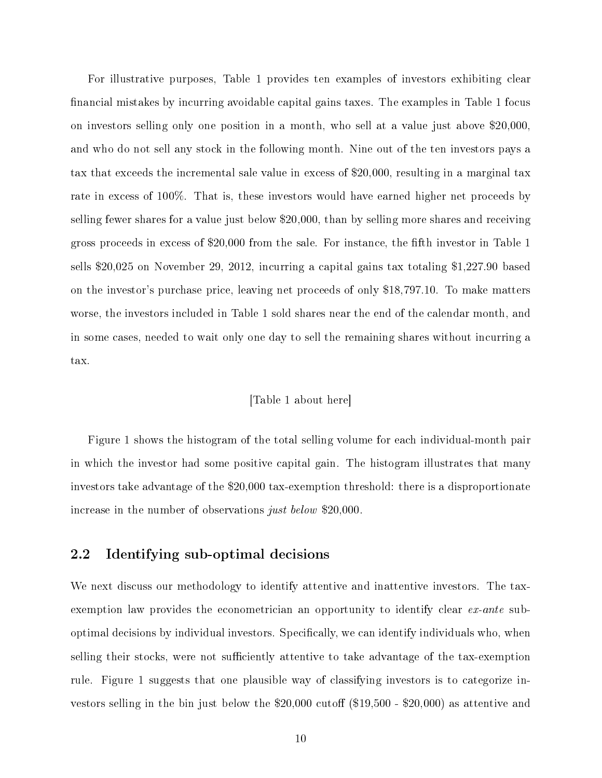For illustrative purposes, Table 1 provides ten examples of investors exhibiting clear nancial mistakes by incurring avoidable capital gains taxes. The examples in Table 1 focus on investors selling only one position in a month, who sell at a value just above \$20,000, and who do not sell any stock in the following month. Nine out of the ten investors pays a tax that exceeds the incremental sale value in excess of \$20,000, resulting in a marginal tax rate in excess of 100%. That is, these investors would have earned higher net proceeds by selling fewer shares for a value just below \$20,000, than by selling more shares and receiving gross proceeds in excess of \$20,000 from the sale. For instance, the fth investor in Table 1 sells \$20,025 on November 29, 2012, incurring a capital gains tax totaling \$1,227.90 based on the investor's purchase price, leaving net proceeds of only \$18,797.10. To make matters worse, the investors included in Table 1 sold shares near the end of the calendar month, and in some cases, needed to wait only one day to sell the remaining shares without incurring a tax.

#### [Table 1 about here]

Figure 1 shows the histogram of the total selling volume for each individual-month pair in which the investor had some positive capital gain. The histogram illustrates that many investors take advantage of the \$20,000 tax-exemption threshold: there is a disproportionate increase in the number of observations just below \$20,000.

#### 2.2 Identifying sub-optimal decisions

We next discuss our methodology to identify attentive and inattentive investors. The taxexemption law provides the econometrician an opportunity to identify clear ex-ante suboptimal decisions by individual investors. Specifically, we can identify individuals who, when selling their stocks, were not sufficiently attentive to take advantage of the tax-exemption rule. Figure 1 suggests that one plausible way of classifying investors is to categorize investors selling in the bin just below the  $$20,000$  cutoff  $$19,500$  -  $$20,000$ ) as attentive and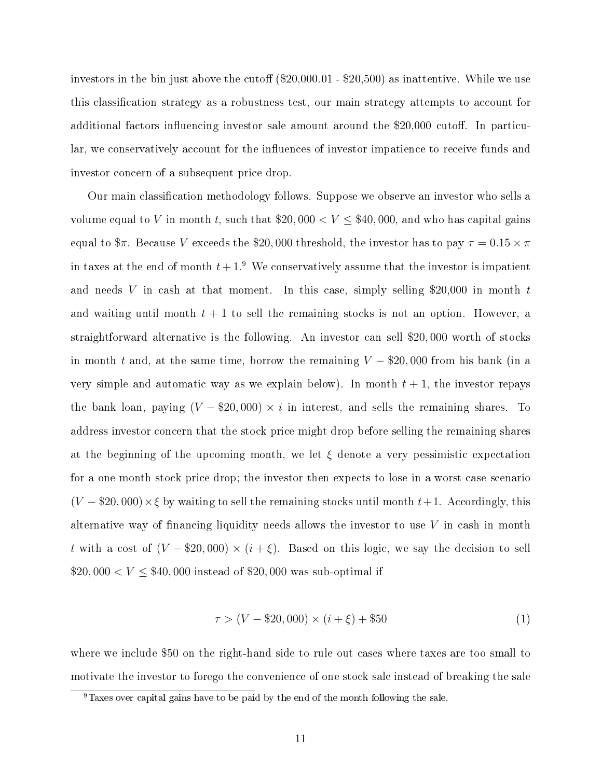investors in the bin just above the cutoff  $(\$20,000.01 - \$20,500)$  as inattentive. While we use this classication strategy as a robustness test, our main strategy attempts to account for additional factors influencing investor sale amount around the  $$20,000$  cutoff. In particular, we conservatively account for the influences of investor impatience to receive funds and investor concern of a subsequent price drop.

Our main classification methodology follows. Suppose we observe an investor who sells a volume equal to V in month t, such that  $20,000 < V \leq 40,000$ , and who has capital gains equal to  $\pi$ . Because V exceeds the \$20,000 threshold, the investor has to pay  $\tau = 0.15 \times \pi$ in taxes at the end of month  $t+1$ .<sup>9</sup> We conservatively assume that the investor is impatient and needs V in cash at that moment. In this case, simply selling \$20,000 in month  $t$ and waiting until month  $t + 1$  to sell the remaining stocks is not an option. However, a straightforward alternative is the following. An investor can sell \$20, 000 worth of stocks in month t and, at the same time, borrow the remaining  $V - $20,000$  from his bank (in a very simple and automatic way as we explain below). In month  $t + 1$ , the investor repays the bank loan, paying  $(V - $20,000) \times i$  in interest, and sells the remaining shares. To address investor concern that the stock price might drop before selling the remaining shares at the beginning of the upcoming month, we let  $\xi$  denote a very pessimistic expectation for a one-month stock price drop; the investor then expects to lose in a worst-case scenario  $(V - $20,000) \times \xi$  by waiting to sell the remaining stocks until month  $t+1$ . Accordingly, this alternative way of financing liquidity needs allows the investor to use  $V$  in cash in month t with a cost of  $(V - $20,000) \times (i + \xi)$ . Based on this logic, we say the decision to sell  $$20,000 < V \le $40,000$  instead of \$20,000 was sub-optimal if

$$
\tau > (V - \$20,000) \times (i + \xi) + \$50 \tag{1}
$$

where we include \$50 on the right-hand side to rule out cases where taxes are too small to motivate the investor to forego the convenience of one stock sale instead of breaking the sale

 $9$ Taxes over capital gains have to be paid by the end of the month following the sale.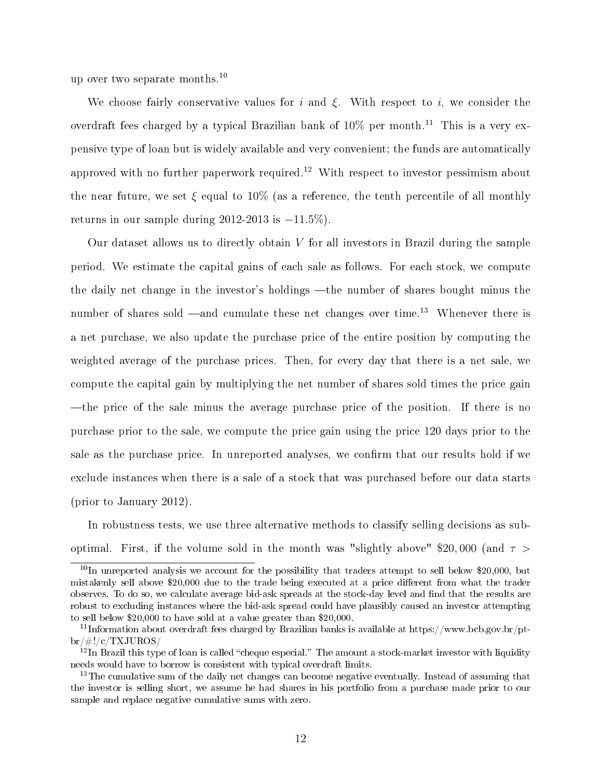up over two separate months.<sup>10</sup>

We choose fairly conservative values for i and  $\xi$ . With respect to i, we consider the overdraft fees charged by a typical Brazilian bank of  $10\%$  per month.<sup>11</sup> This is a very expensive type of loan but is widely available and very convenient; the funds are automatically approved with no further paperwork required.<sup>12</sup> With respect to investor pessimism about the near future, we set  $\xi$  equal to 10% (as a reference, the tenth percentile of all monthly returns in our sample during  $2012-2013$  is  $-11.5\%$ ).

Our dataset allows us to directly obtain  $V$  for all investors in Brazil during the sample period. We estimate the capital gains of each sale as follows. For each stock, we compute the daily net change in the investor's holdings —the number of shares bought minus the number of shares sold —and cumulate these net changes over time.<sup>13</sup> Whenever there is a net purchase, we also update the purchase price of the entire position by computing the weighted average of the purchase prices. Then, for every day that there is a net sale, we compute the capital gain by multiplying the net number of shares sold times the price gain the price of the sale minus the average purchase price of the position. If there is no purchase prior to the sale, we compute the price gain using the price 120 days prior to the sale as the purchase price. In unreported analyses, we confirm that our results hold if we exclude instances when there is a sale of a stock that was purchased before our data starts (prior to January 2012).

In robustness tests, we use three alternative methods to classify selling decisions as suboptimal. First, if the volume sold in the month was "slightly above" \$20,000 (and  $\tau >$ 

 $10\text{ In}$  unreported analysis we account for the possibility that traders attempt to sell below \$20,000, but mistakenly sell above \$20,000 due to the trade being executed at a price different from what the trader observes. To do so, we calculate average bid-ask spreads at the stock-day level and find that the results are robust to excluding instances where the bid-ask spread could have plausibly caused an investor attempting to sell below \$20,000 to have sold at a value greater than \$20,000.

<sup>&</sup>lt;sup>11</sup>Information about overdraft fees charged by Brazilian banks is available at https://www.bcb.gov.br/pt $br/\#!/c/TXJUROS/$ 

 $12$ In Brazil this type of loan is called "cheque especial." The amount a stock-market investor with liquidity needs would have to borrow is consistent with typical overdraft limits.

<sup>&</sup>lt;sup>13</sup>The cumulative sum of the daily net changes can become negative eventually. Instead of assuming that the investor is selling short, we assume he had shares in his portfolio from a purchase made prior to our sample and replace negative cumulative sums with zero.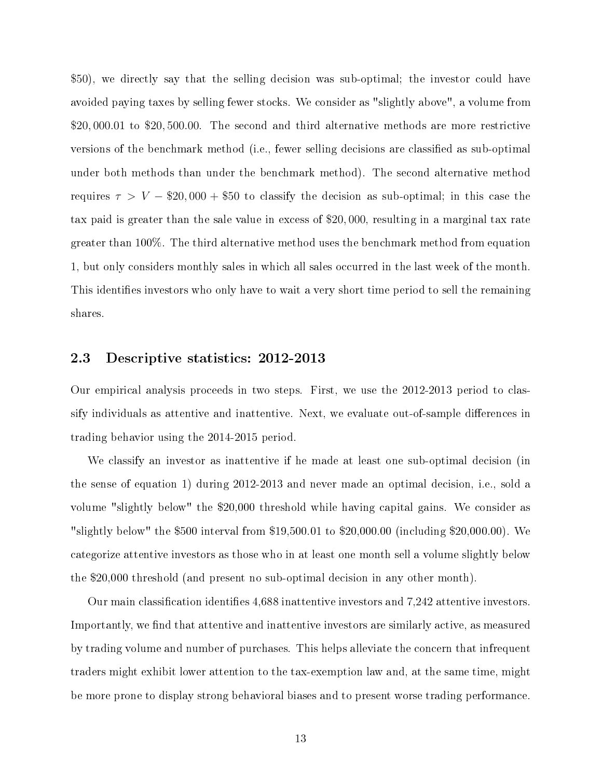\$50), we directly say that the selling decision was sub-optimal; the investor could have avoided paying taxes by selling fewer stocks. We consider as "slightly above", a volume from \$20, 000.01 to \$20, 500.00. The second and third alternative methods are more restrictive versions of the benchmark method (i.e., fewer selling decisions are classified as sub-optimal under both methods than under the benchmark method). The second alternative method requires  $\tau > V - \$20,000 + \$50$  to classify the decision as sub-optimal; in this case the tax paid is greater than the sale value in excess of \$20, 000, resulting in a marginal tax rate greater than 100%. The third alternative method uses the benchmark method from equation 1, but only considers monthly sales in which all sales occurred in the last week of the month. This identifies investors who only have to wait a very short time period to sell the remaining shares.

#### 2.3 Descriptive statistics: 2012-2013

Our empirical analysis proceeds in two steps. First, we use the 2012-2013 period to classify individuals as attentive and inattentive. Next, we evaluate out-of-sample differences in trading behavior using the 2014-2015 period.

We classify an investor as inattentive if he made at least one sub-optimal decision (in the sense of equation 1) during 2012-2013 and never made an optimal decision, i.e., sold a volume "slightly below" the \$20,000 threshold while having capital gains. We consider as "slightly below" the \$500 interval from \$19,500.01 to \$20,000.00 (including \$20,000.00). We categorize attentive investors as those who in at least one month sell a volume slightly below the \$20,000 threshold (and present no sub-optimal decision in any other month).

Our main classification identifies 4,688 inattentive investors and 7,242 attentive investors. Importantly, we find that attentive and inattentive investors are similarly active, as measured by trading volume and number of purchases. This helps alleviate the concern that infrequent traders might exhibit lower attention to the tax-exemption law and, at the same time, might be more prone to display strong behavioral biases and to present worse trading performance.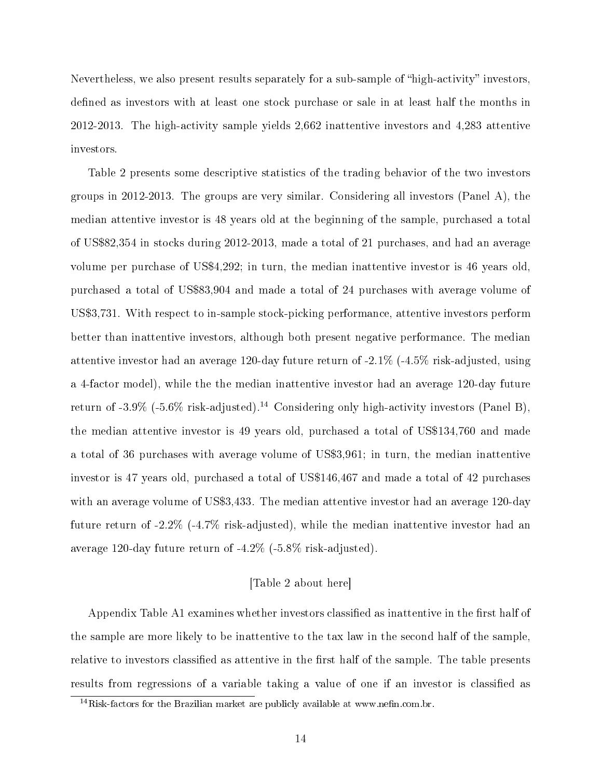Nevertheless, we also present results separately for a sub-sample of "high-activity" investors, defined as investors with at least one stock purchase or sale in at least half the months in 2012-2013. The high-activity sample yields 2,662 inattentive investors and 4,283 attentive investors.

Table 2 presents some descriptive statistics of the trading behavior of the two investors groups in 2012-2013. The groups are very similar. Considering all investors (Panel A), the median attentive investor is 48 years old at the beginning of the sample, purchased a total of US\$82,354 in stocks during 2012-2013, made a total of 21 purchases, and had an average volume per purchase of US\$4,292; in turn, the median inattentive investor is 46 years old, purchased a total of US\$83,904 and made a total of 24 purchases with average volume of US\$3,731. With respect to in-sample stock-picking performance, attentive investors perform better than inattentive investors, although both present negative performance. The median attentive investor had an average 120-day future return of -2.1% (-4.5% risk-adjusted, using a 4-factor model), while the the median inattentive investor had an average 120-day future return of  $-3.9\%$  ( $-5.6\%$  risk-adjusted).<sup>14</sup> Considering only high-activity investors (Panel B), the median attentive investor is 49 years old, purchased a total of US\$134,760 and made a total of 36 purchases with average volume of US\$3,961; in turn, the median inattentive investor is 47 years old, purchased a total of US\$146,467 and made a total of 42 purchases with an average volume of US\$3,433. The median attentive investor had an average 120-day future return of -2.2% (-4.7% risk-adjusted), while the median inattentive investor had an average 120-day future return of -4.2% (-5.8% risk-adjusted).

#### [Table 2 about here]

Appendix Table A1 examines whether investors classified as inattentive in the first half of the sample are more likely to be inattentive to the tax law in the second half of the sample, relative to investors classified as attentive in the first half of the sample. The table presents results from regressions of a variable taking a value of one if an investor is classied as

 $14$ Risk-factors for the Brazilian market are publicly available at www.nefin.com.br.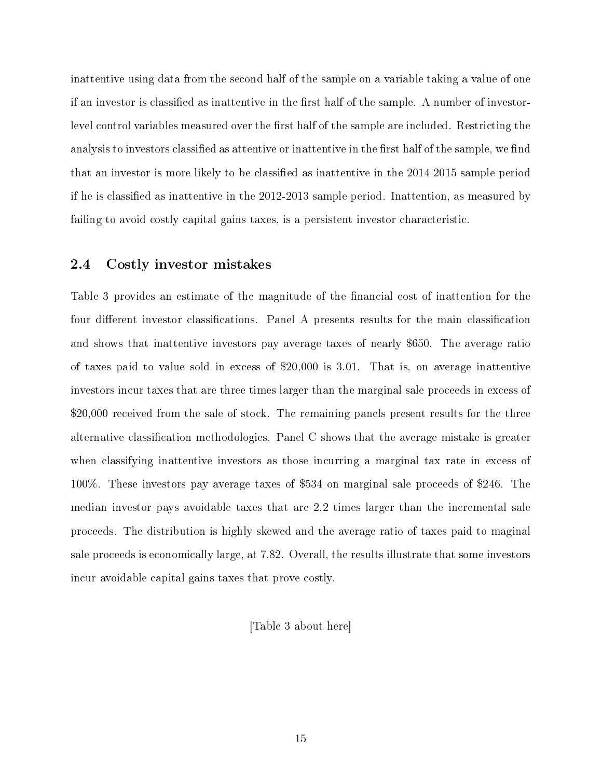inattentive using data from the second half of the sample on a variable taking a value of one if an investor is classified as inattentive in the first half of the sample. A number of investorlevel control variables measured over the first half of the sample are included. Restricting the analysis to investors classified as attentive or inattentive in the first half of the sample, we find that an investor is more likely to be classified as inattentive in the 2014-2015 sample period if he is classified as inattentive in the 2012-2013 sample period. Inattention, as measured by failing to avoid costly capital gains taxes, is a persistent investor characteristic.

#### 2.4 Costly investor mistakes

Table 3 provides an estimate of the magnitude of the financial cost of inattention for the four different investor classifications. Panel A presents results for the main classification and shows that inattentive investors pay average taxes of nearly \$650. The average ratio of taxes paid to value sold in excess of \$20,000 is 3.01. That is, on average inattentive investors incur taxes that are three times larger than the marginal sale proceeds in excess of \$20,000 received from the sale of stock. The remaining panels present results for the three alternative classification methodologies. Panel  $C$  shows that the average mistake is greater when classifying inattentive investors as those incurring a marginal tax rate in excess of 100%. These investors pay average taxes of \$534 on marginal sale proceeds of \$246. The median investor pays avoidable taxes that are 2.2 times larger than the incremental sale proceeds. The distribution is highly skewed and the average ratio of taxes paid to maginal sale proceeds is economically large, at 7.82. Overall, the results illustrate that some investors incur avoidable capital gains taxes that prove costly.

[Table 3 about here]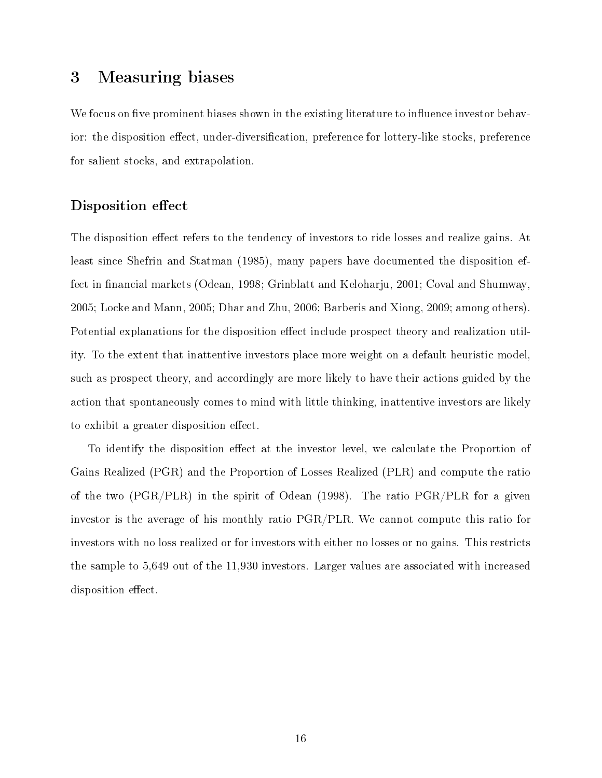# 3 Measuring biases

We focus on five prominent biases shown in the existing literature to influence investor behavior: the disposition effect, under-diversification, preference for lottery-like stocks, preference for salient stocks, and extrapolation.

#### Disposition effect

The disposition effect refers to the tendency of investors to ride losses and realize gains. At least since Shefrin and Statman (1985), many papers have documented the disposition effect in financial markets (Odean, 1998; Grinblatt and Keloharju, 2001; Coval and Shumway, 2005; Locke and Mann, 2005; Dhar and Zhu, 2006; Barberis and Xiong, 2009; among others). Potential explanations for the disposition effect include prospect theory and realization utility. To the extent that inattentive investors place more weight on a default heuristic model, such as prospect theory, and accordingly are more likely to have their actions guided by the action that spontaneously comes to mind with little thinking, inattentive investors are likely to exhibit a greater disposition effect.

To identify the disposition effect at the investor level, we calculate the Proportion of Gains Realized (PGR) and the Proportion of Losses Realized (PLR) and compute the ratio of the two (PGR/PLR) in the spirit of Odean (1998). The ratio PGR/PLR for a given investor is the average of his monthly ratio PGR/PLR. We cannot compute this ratio for investors with no loss realized or for investors with either no losses or no gains. This restricts the sample to 5,649 out of the 11,930 investors. Larger values are associated with increased disposition effect.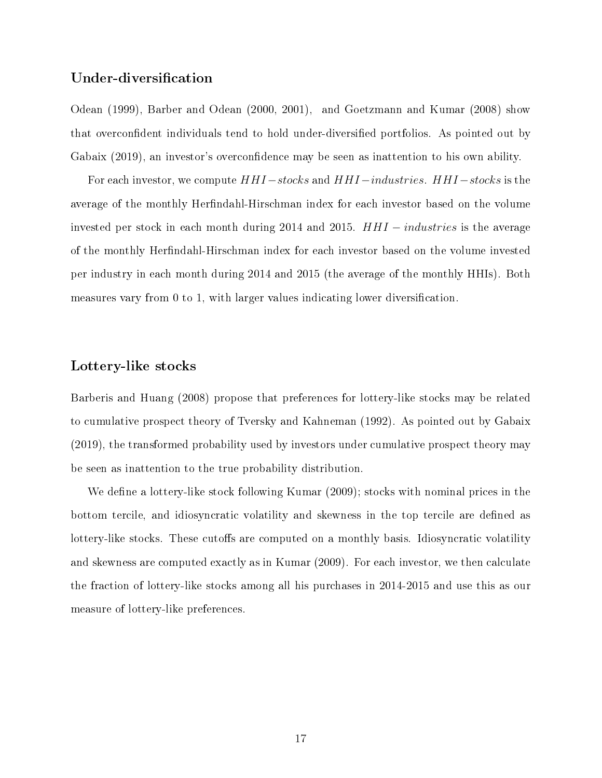#### Under-diversification

Odean (1999), Barber and Odean (2000, 2001), and Goetzmann and Kumar (2008) show that overconfident individuals tend to hold under-diversified portfolios. As pointed out by Gabaix (2019), an investor's overconfidence may be seen as inattention to his own ability.

For each investor, we compute  $HHI - stocks$  and  $HHI -industries$ .  $HHI - stocks$  is the average of the monthly Herfindahl-Hirschman index for each investor based on the volume invested per stock in each month during 2014 and 2015. HHI − industries is the average of the monthly Herfindahl-Hirschman index for each investor based on the volume invested per industry in each month during 2014 and 2015 (the average of the monthly HHIs). Both measures vary from  $0$  to  $1$ , with larger values indicating lower diversification.

#### Lottery-like stocks

Barberis and Huang (2008) propose that preferences for lottery-like stocks may be related to cumulative prospect theory of Tversky and Kahneman (1992). As pointed out by Gabaix (2019), the transformed probability used by investors under cumulative prospect theory may be seen as inattention to the true probability distribution.

We define a lottery-like stock following Kumar  $(2009)$ ; stocks with nominal prices in the bottom tercile, and idiosyncratic volatility and skewness in the top tercile are defined as lottery-like stocks. These cutoffs are computed on a monthly basis. Idiosyncratic volatility and skewness are computed exactly as in Kumar (2009). For each investor, we then calculate the fraction of lottery-like stocks among all his purchases in 2014-2015 and use this as our measure of lottery-like preferences.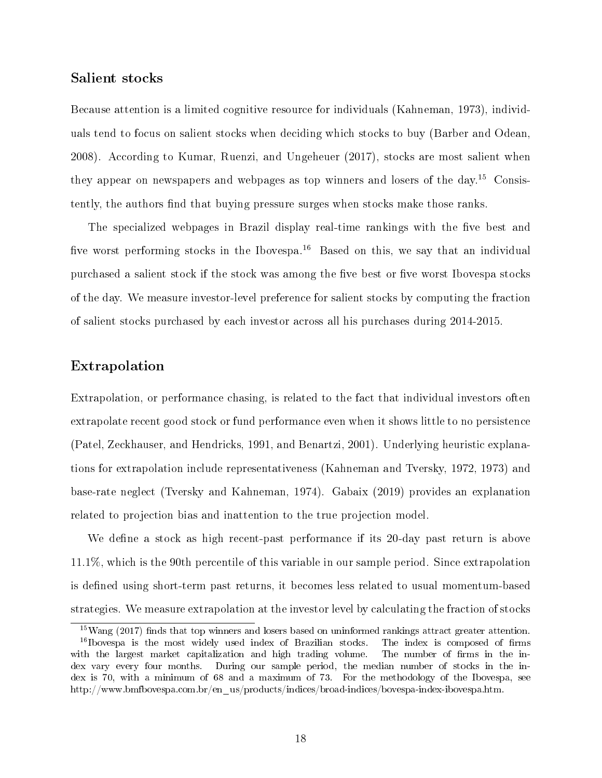#### Salient stocks

Because attention is a limited cognitive resource for individuals (Kahneman, 1973), individuals tend to focus on salient stocks when deciding which stocks to buy (Barber and Odean, 2008). According to Kumar, Ruenzi, and Ungeheuer (2017), stocks are most salient when they appear on newspapers and webpages as top winners and losers of the day.<sup>15</sup> Consistently, the authors find that buying pressure surges when stocks make those ranks.

The specialized webpages in Brazil display real-time rankings with the five best and five worst performing stocks in the Ibovespa.<sup>16</sup> Based on this, we say that an individual purchased a salient stock if the stock was among the five best or five worst Ibovespa stocks of the day. We measure investor-level preference for salient stocks by computing the fraction of salient stocks purchased by each investor across all his purchases during 2014-2015.

#### Extrapolation

Extrapolation, or performance chasing, is related to the fact that individual investors often extrapolate recent good stock or fund performance even when it shows little to no persistence (Patel, Zeckhauser, and Hendricks, 1991, and Benartzi, 2001). Underlying heuristic explanations for extrapolation include representativeness (Kahneman and Tversky, 1972, 1973) and base-rate neglect (Tversky and Kahneman, 1974). Gabaix (2019) provides an explanation related to projection bias and inattention to the true projection model.

We define a stock as high recent-past performance if its 20-day past return is above 11.1%, which is the 90th percentile of this variable in our sample period. Since extrapolation is defined using short-term past returns, it becomes less related to usual momentum-based strategies. We measure extrapolation at the investor level by calculating the fraction of stocks

 $15$ Wang (2017) finds that top winners and losers based on uninformed rankings attract greater attention.  $16$ Ibovespa is the most widely used index of Brazilian stocks. The index is composed of firms with the largest market capitalization and high trading volume. The number of firms in the index vary every four months. During our sample period, the median number of stocks in the index is 70, with a minimum of 68 and a maximum of 73. For the methodology of the Ibovespa, see http://www.bmfbovespa.com.br/en\_us/products/indices/broad-indices/bovespa-index-ibovespa.htm.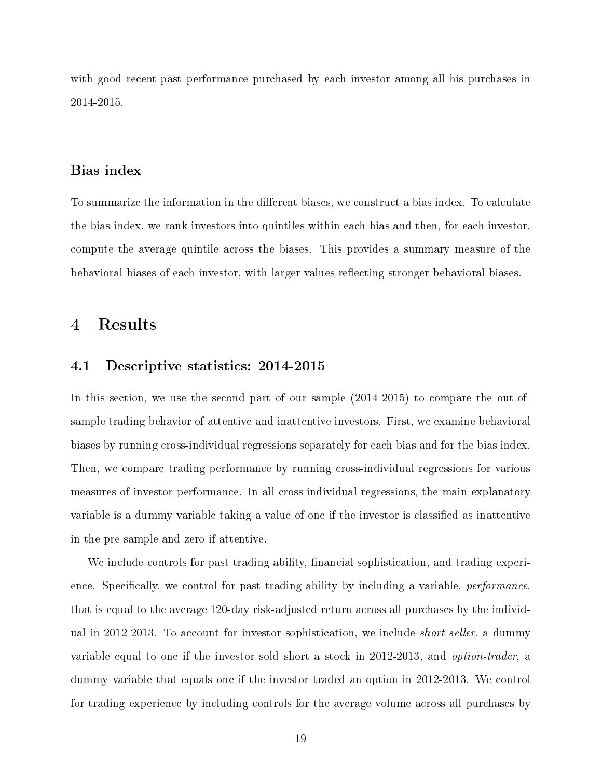with good recent-past performance purchased by each investor among all his purchases in 2014-2015.

#### Bias index

To summarize the information in the different biases, we construct a bias index. To calculate the bias index, we rank investors into quintiles within each bias and then, for each investor, compute the average quintile across the biases. This provides a summary measure of the behavioral biases of each investor, with larger values reflecting stronger behavioral biases.

## 4 Results

#### 4.1 Descriptive statistics: 2014-2015

In this section, we use the second part of our sample (2014-2015) to compare the out-ofsample trading behavior of attentive and inattentive investors. First, we examine behavioral biases by running cross-individual regressions separately for each bias and for the bias index. Then, we compare trading performance by running cross-individual regressions for various measures of investor performance. In all cross-individual regressions, the main explanatory variable is a dummy variable taking a value of one if the investor is classified as inattentive in the pre-sample and zero if attentive.

We include controls for past trading ability, financial sophistication, and trading experience. Specifically, we control for past trading ability by including a variable, *performance*. that is equal to the average 120-day risk-adjusted return across all purchases by the individual in 2012-2013. To account for investor sophistication, we include short-seller, a dummy variable equal to one if the investor sold short a stock in 2012-2013, and option-trader, a dummy variable that equals one if the investor traded an option in 2012-2013. We control for trading experience by including controls for the average volume across all purchases by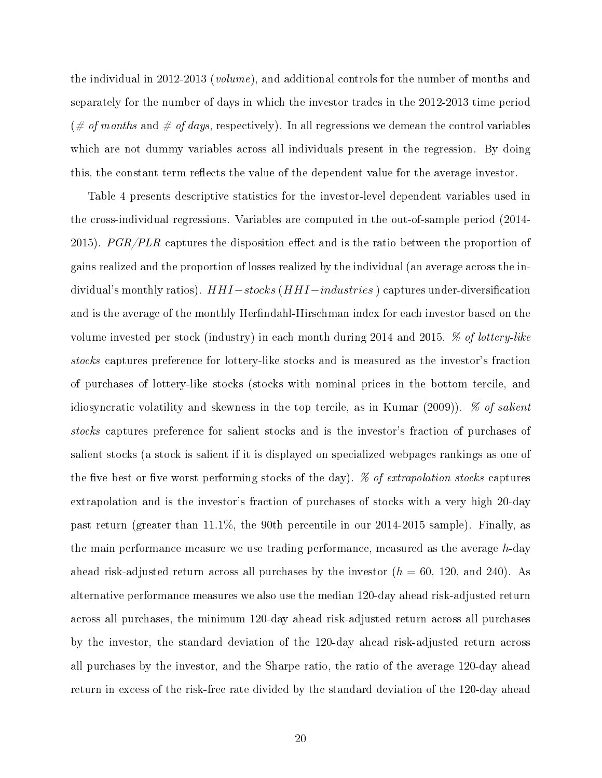the individual in 2012-2013 (volume), and additional controls for the number of months and separately for the number of days in which the investor trades in the 2012-2013 time period  $(\text{# of months and \# of days, respectively}).$  In all regressions we demean the control variables which are not dummy variables across all individuals present in the regression. By doing this, the constant term reflects the value of the dependent value for the average investor.

Table 4 presents descriptive statistics for the investor-level dependent variables used in the cross-individual regressions. Variables are computed in the out-of-sample period (2014- 2015). PGR/PLR captures the disposition effect and is the ratio between the proportion of gains realized and the proportion of losses realized by the individual (an average across the individual's monthly ratios). HHI-stocks (HHI-industries) captures under-diversification and is the average of the monthly Herfindahl-Hirschman index for each investor based on the volume invested per stock (industry) in each month during 2014 and 2015. % of lottery-like stocks captures preference for lottery-like stocks and is measured as the investor's fraction of purchases of lottery-like stocks (stocks with nominal prices in the bottom tercile, and idiosyncratic volatility and skewness in the top tercile, as in Kumar (2009)). % of salient stocks captures preference for salient stocks and is the investor's fraction of purchases of salient stocks (a stock is salient if it is displayed on specialized webpages rankings as one of the five best or five worst performing stocks of the day).  $\%$  of extrapolation stocks captures extrapolation and is the investor's fraction of purchases of stocks with a very high 20-day past return (greater than 11.1%, the 90th percentile in our 2014-2015 sample). Finally, as the main performance measure we use trading performance, measured as the average h-day ahead risk-adjusted return across all purchases by the investor  $(h = 60, 120, \text{ and } 240)$ . As alternative performance measures we also use the median 120-day ahead risk-adjusted return across all purchases, the minimum 120-day ahead risk-adjusted return across all purchases by the investor, the standard deviation of the 120-day ahead risk-adjusted return across all purchases by the investor, and the Sharpe ratio, the ratio of the average 120-day ahead return in excess of the risk-free rate divided by the standard deviation of the 120-day ahead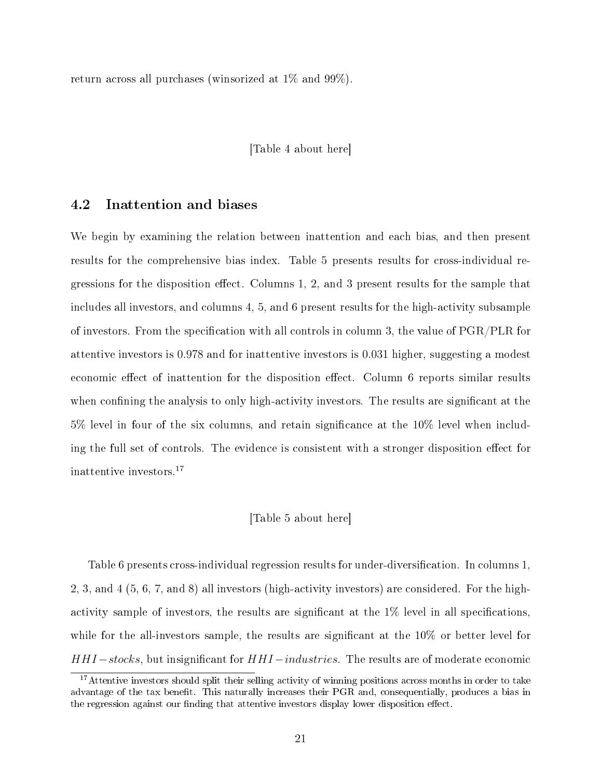return across all purchases (winsorized at 1% and 99%).

#### [Table 4 about here]

#### 4.2 Inattention and biases

We begin by examining the relation between inattention and each bias, and then present results for the comprehensive bias index. Table 5 presents results for cross-individual regressions for the disposition effect. Columns  $1, 2$ , and  $3$  present results for the sample that includes all investors, and columns 4, 5, and 6 present results for the high-activity subsample of investors. From the specification with all controls in column 3, the value of  $PGR/PLR$  for attentive investors is 0.978 and for inattentive investors is 0.031 higher, suggesting a modest economic effect of inattention for the disposition effect. Column 6 reports similar results when confining the analysis to only high-activity investors. The results are significant at the 5% level in four of the six columns, and retain significance at the 10% level when including the full set of controls. The evidence is consistent with a stronger disposition effect for inattentive investors.<sup>17</sup>

#### [Table 5 about here]

Table 6 presents cross-individual regression results for under-diversification. In columns 1, 2, 3, and 4 (5, 6, 7, and 8) all investors (high-activity investors) are considered. For the highactivity sample of investors, the results are significant at the  $1\%$  level in all specifications, while for the all-investors sample, the results are significant at the  $10\%$  or better level for HHI – stocks, but insignificant for HHI – industries. The results are of moderate economic

<sup>&</sup>lt;sup>17</sup>Attentive investors should split their selling activity of winning positions across months in order to take advantage of the tax benet. This naturally increases their PGR and, consequentially, produces a bias in the regression against our finding that attentive investors display lower disposition effect.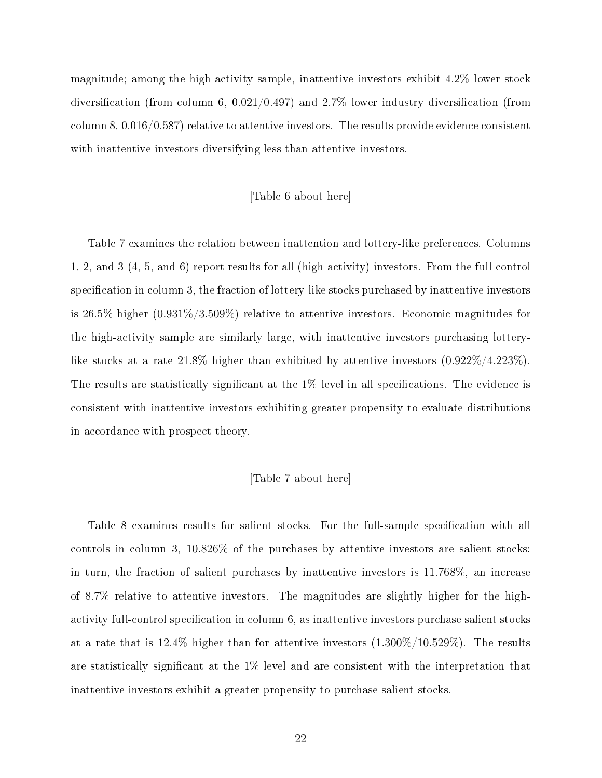magnitude; among the high-activity sample, inattentive investors exhibit 4.2% lower stock diversification (from column 6,  $0.021/0.497$ ) and  $2.7\%$  lower industry diversification (from column 8, 0.016/0.587) relative to attentive investors. The results provide evidence consistent with inattentive investors diversifying less than attentive investors.

#### [Table 6 about here]

Table 7 examines the relation between inattention and lottery-like preferences. Columns 1, 2, and 3 (4, 5, and 6) report results for all (high-activity) investors. From the full-control specification in column 3, the fraction of lottery-like stocks purchased by inattentive investors is 26.5% higher (0.931%/3.509%) relative to attentive investors. Economic magnitudes for the high-activity sample are similarly large, with inattentive investors purchasing lotterylike stocks at a rate 21.8% higher than exhibited by attentive investors (0.922%/4.223%). The results are statistically significant at the 1% level in all specifications. The evidence is consistent with inattentive investors exhibiting greater propensity to evaluate distributions in accordance with prospect theory.

#### [Table 7 about here]

Table 8 examines results for salient stocks. For the full-sample specification with all controls in column 3, 10.826% of the purchases by attentive investors are salient stocks; in turn, the fraction of salient purchases by inattentive investors is 11.768%, an increase of 8.7% relative to attentive investors. The magnitudes are slightly higher for the highactivity full-control specification in column 6, as inattentive investors purchase salient stocks at a rate that is  $12.4\%$  higher than for attentive investors  $(1.300\%/10.529\%)$ . The results are statistically significant at the  $1\%$  level and are consistent with the interpretation that inattentive investors exhibit a greater propensity to purchase salient stocks.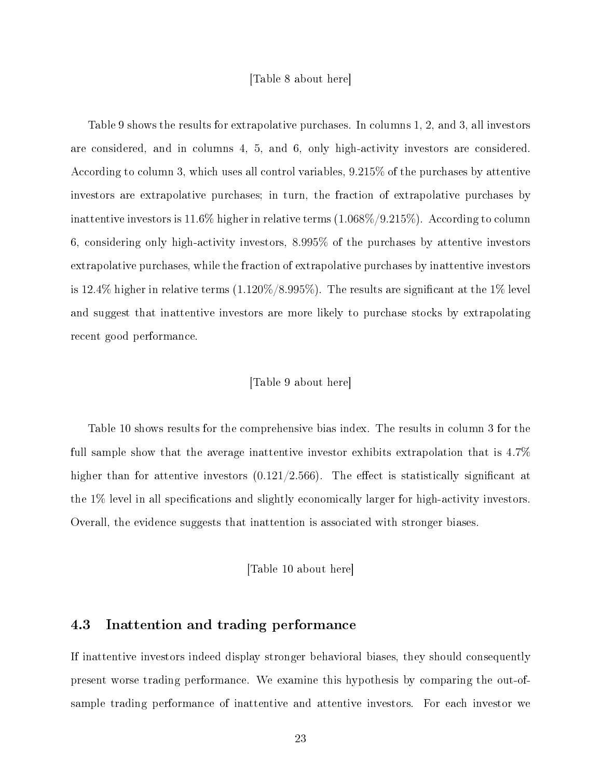#### [Table 8 about here]

Table 9 shows the results for extrapolative purchases. In columns 1, 2, and 3, all investors are considered, and in columns 4, 5, and 6, only high-activity investors are considered. According to column 3, which uses all control variables, 9.215% of the purchases by attentive investors are extrapolative purchases; in turn, the fraction of extrapolative purchases by inattentive investors is 11.6% higher in relative terms (1.068%/9.215%). According to column 6, considering only high-activity investors, 8.995% of the purchases by attentive investors extrapolative purchases, while the fraction of extrapolative purchases by inattentive investors is 12.4% higher in relative terms  $(1.120\%/8.995\%)$ . The results are significant at the 1% level and suggest that inattentive investors are more likely to purchase stocks by extrapolating recent good performance.

#### [Table 9 about here]

Table 10 shows results for the comprehensive bias index. The results in column 3 for the full sample show that the average inattentive investor exhibits extrapolation that is 4.7% higher than for attentive investors  $(0.121/2.566)$ . The effect is statistically significant at the 1% level in all specifications and slightly economically larger for high-activity investors. Overall, the evidence suggests that inattention is associated with stronger biases.

#### [Table 10 about here]

#### 4.3 Inattention and trading performance

If inattentive investors indeed display stronger behavioral biases, they should consequently present worse trading performance. We examine this hypothesis by comparing the out-ofsample trading performance of inattentive and attentive investors. For each investor we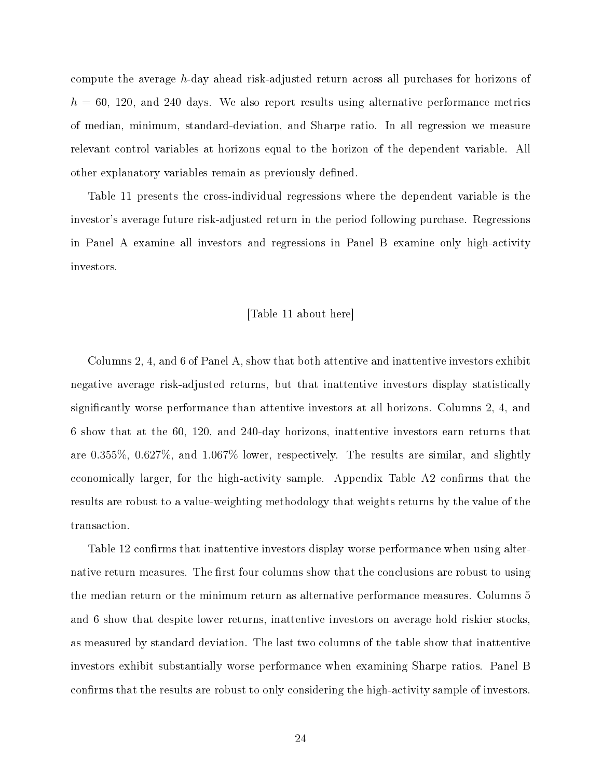compute the average h-day ahead risk-adjusted return across all purchases for horizons of  $h = 60, 120,$  and 240 days. We also report results using alternative performance metrics of median, minimum, standard-deviation, and Sharpe ratio. In all regression we measure relevant control variables at horizons equal to the horizon of the dependent variable. All other explanatory variables remain as previously defined.

Table 11 presents the cross-individual regressions where the dependent variable is the investor's average future risk-adjusted return in the period following purchase. Regressions in Panel A examine all investors and regressions in Panel B examine only high-activity investors.

#### [Table 11 about here]

Columns 2, 4, and 6 of Panel A, show that both attentive and inattentive investors exhibit negative average risk-adjusted returns, but that inattentive investors display statistically signicantly worse performance than attentive investors at all horizons. Columns 2, 4, and 6 show that at the 60, 120, and 240-day horizons, inattentive investors earn returns that are 0.355%, 0.627%, and 1.067% lower, respectively. The results are similar, and slightly economically larger, for the high-activity sample. Appendix Table A2 confirms that the results are robust to a value-weighting methodology that weights returns by the value of the transaction.

Table 12 confirms that inattentive investors display worse performance when using alternative return measures. The first four columns show that the conclusions are robust to using the median return or the minimum return as alternative performance measures. Columns 5 and 6 show that despite lower returns, inattentive investors on average hold riskier stocks, as measured by standard deviation. The last two columns of the table show that inattentive investors exhibit substantially worse performance when examining Sharpe ratios. Panel B confirms that the results are robust to only considering the high-activity sample of investors.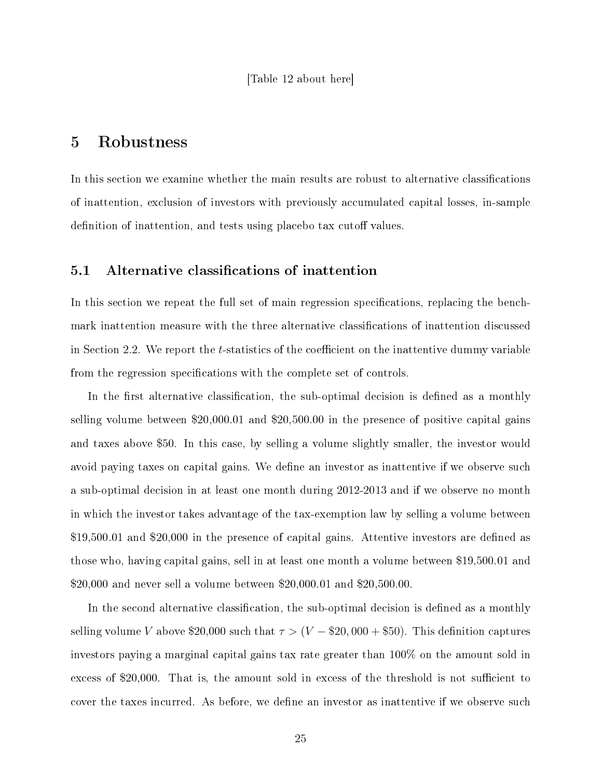#### [Table 12 about here]

# 5 Robustness

In this section we examine whether the main results are robust to alternative classifications of inattention, exclusion of investors with previously accumulated capital losses, in-sample definition of inattention, and tests using placebo tax cutoff values.

#### 5.1 Alternative classifications of inattention

In this section we repeat the full set of main regression specifications, replacing the benchmark inattention measure with the three alternative classifications of inattention discussed in Section 2.2. We report the  $t$ -statistics of the coefficient on the inattentive dummy variable from the regression specifications with the complete set of controls.

In the first alternative classification, the sub-optimal decision is defined as a monthly selling volume between \$20,000.01 and \$20,500.00 in the presence of positive capital gains and taxes above \$50. In this case, by selling a volume slightly smaller, the investor would avoid paying taxes on capital gains. We define an investor as inattentive if we observe such a sub-optimal decision in at least one month during 2012-2013 and if we observe no month in which the investor takes advantage of the tax-exemption law by selling a volume between  $$19,500.01$  and  $$20,000$  in the presence of capital gains. Attentive investors are defined as those who, having capital gains, sell in at least one month a volume between \$19,500.01 and \$20,000 and never sell a volume between \$20,000.01 and \$20,500.00.

In the second alternative classification, the sub-optimal decision is defined as a monthly selling volume V above \$20,000 such that  $\tau > (V - $20,000 + $50)$ . This definition captures investors paying a marginal capital gains tax rate greater than 100% on the amount sold in excess of \$20,000. That is, the amount sold in excess of the threshold is not sufficient to cover the taxes incurred. As before, we define an investor as inattentive if we observe such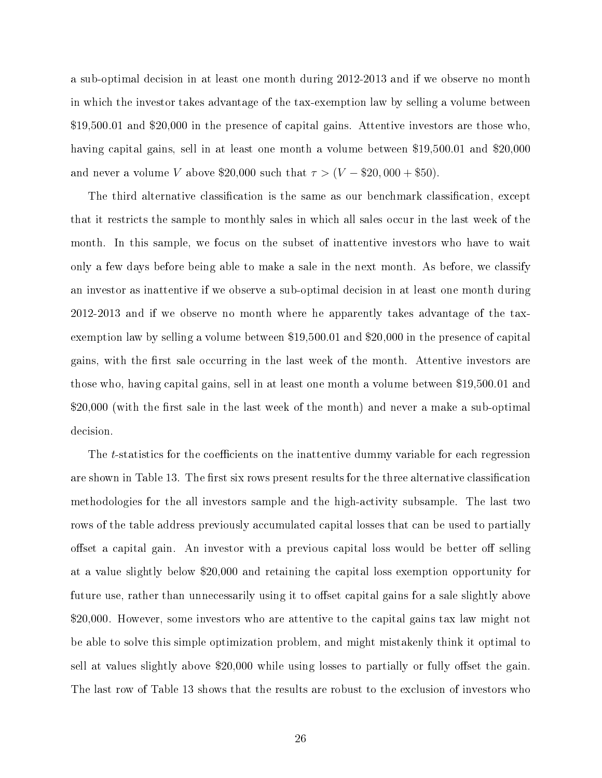a sub-optimal decision in at least one month during 2012-2013 and if we observe no month in which the investor takes advantage of the tax-exemption law by selling a volume between \$19,500.01 and \$20,000 in the presence of capital gains. Attentive investors are those who, having capital gains, sell in at least one month a volume between \$19,500.01 and \$20,000 and never a volume V above \$20,000 such that  $\tau > (V - $20,000 + $50)$ .

The third alternative classification is the same as our benchmark classification, except that it restricts the sample to monthly sales in which all sales occur in the last week of the month. In this sample, we focus on the subset of inattentive investors who have to wait only a few days before being able to make a sale in the next month. As before, we classify an investor as inattentive if we observe a sub-optimal decision in at least one month during 2012-2013 and if we observe no month where he apparently takes advantage of the taxexemption law by selling a volume between \$19,500.01 and \$20,000 in the presence of capital gains, with the first sale occurring in the last week of the month. Attentive investors are those who, having capital gains, sell in at least one month a volume between \$19,500.01 and  $$20,000$  (with the first sale in the last week of the month) and never a make a sub-optimal decision.

The t-statistics for the coefficients on the inattentive dummy variable for each regression are shown in Table 13. The first six rows present results for the three alternative classification methodologies for the all investors sample and the high-activity subsample. The last two rows of the table address previously accumulated capital losses that can be used to partially offset a capital gain. An investor with a previous capital loss would be better off selling at a value slightly below \$20,000 and retaining the capital loss exemption opportunity for future use, rather than unnecessarily using it to offset capital gains for a sale slightly above \$20,000. However, some investors who are attentive to the capital gains tax law might not be able to solve this simple optimization problem, and might mistakenly think it optimal to sell at values slightly above  $$20,000$  while using losses to partially or fully offset the gain. The last row of Table 13 shows that the results are robust to the exclusion of investors who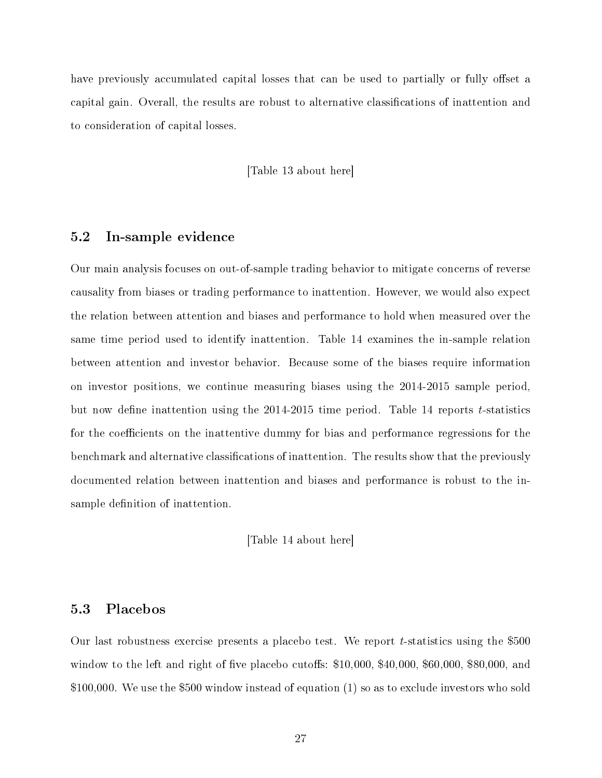have previously accumulated capital losses that can be used to partially or fully offset a capital gain. Overall, the results are robust to alternative classications of inattention and to consideration of capital losses.

[Table 13 about here]

#### 5.2 In-sample evidence

Our main analysis focuses on out-of-sample trading behavior to mitigate concerns of reverse causality from biases or trading performance to inattention. However, we would also expect the relation between attention and biases and performance to hold when measured over the same time period used to identify inattention. Table 14 examines the in-sample relation between attention and investor behavior. Because some of the biases require information on investor positions, we continue measuring biases using the 2014-2015 sample period, but now define inattention using the  $2014-2015$  time period. Table 14 reports t-statistics for the coefficients on the inattentive dummy for bias and performance regressions for the benchmark and alternative classifications of inattention. The results show that the previously documented relation between inattention and biases and performance is robust to the insample definition of inattention.

[Table 14 about here]

#### 5.3 Placebos

Our last robustness exercise presents a placebo test. We report t-statistics using the \$500 window to the left and right of five placebo cutoffs:  $$10,000, $40,000, $60,000, $80,000,$  and \$100,000. We use the \$500 window instead of equation (1) so as to exclude investors who sold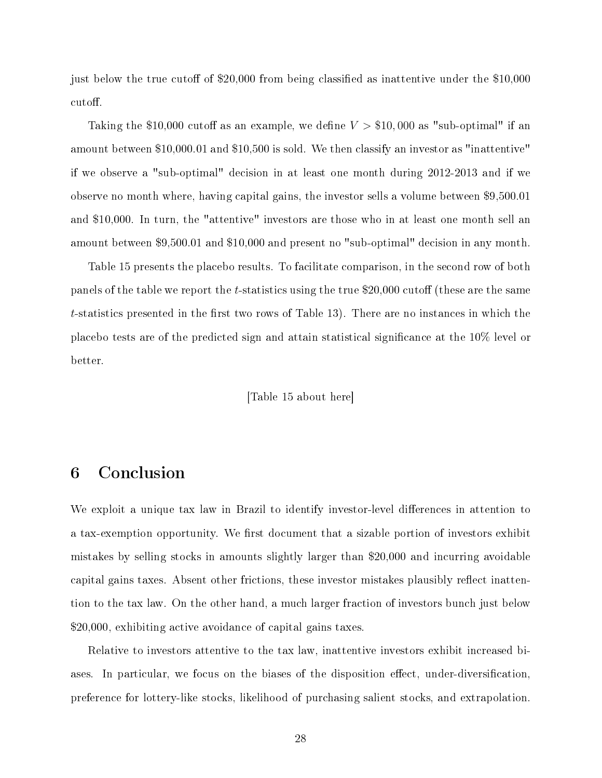just below the true cutoff of \$20,000 from being classified as inattentive under the \$10,000 cutoff.

Taking the \$10,000 cutoff as an example, we define  $V > $10,000$  as "sub-optimal" if an amount between \$10,000.01 and \$10,500 is sold. We then classify an investor as "inattentive" if we observe a "sub-optimal" decision in at least one month during 2012-2013 and if we observe no month where, having capital gains, the investor sells a volume between \$9,500.01 and \$10,000. In turn, the "attentive" investors are those who in at least one month sell an amount between \$9,500.01 and \$10,000 and present no "sub-optimal" decision in any month.

Table 15 presents the placebo results. To facilitate comparison, in the second row of both panels of the table we report the t-statistics using the true \$20,000 cutoff (these are the same  $t$ -statistics presented in the first two rows of Table 13). There are no instances in which the placebo tests are of the predicted sign and attain statistical signicance at the 10% level or better.

#### [Table 15 about here]

# 6 Conclusion

We exploit a unique tax law in Brazil to identify investor-level differences in attention to a tax-exemption opportunity. We first document that a sizable portion of investors exhibit mistakes by selling stocks in amounts slightly larger than \$20,000 and incurring avoidable capital gains taxes. Absent other frictions, these investor mistakes plausibly reflect inattention to the tax law. On the other hand, a much larger fraction of investors bunch just below \$20,000, exhibiting active avoidance of capital gains taxes.

Relative to investors attentive to the tax law, inattentive investors exhibit increased biases. In particular, we focus on the biases of the disposition effect, under-diversification, preference for lottery-like stocks, likelihood of purchasing salient stocks, and extrapolation.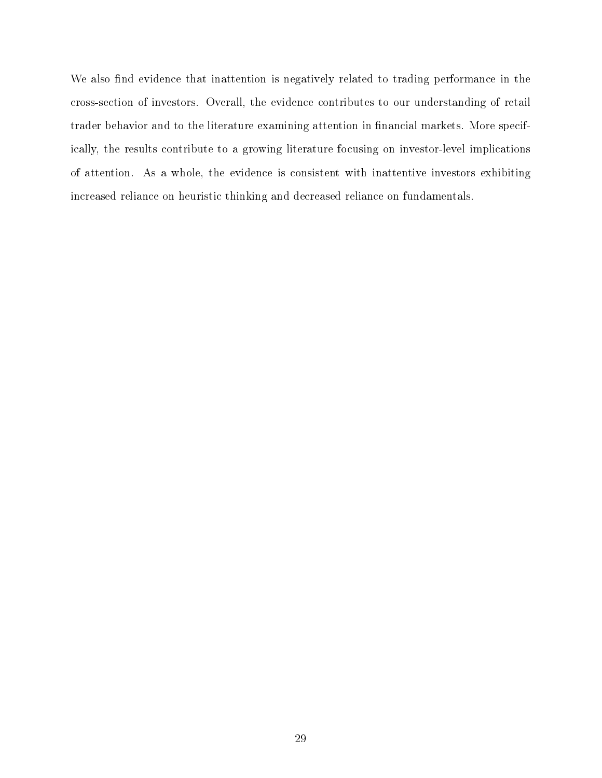We also find evidence that inattention is negatively related to trading performance in the cross-section of investors. Overall, the evidence contributes to our understanding of retail trader behavior and to the literature examining attention in financial markets. More specifically, the results contribute to a growing literature focusing on investor-level implications of attention. As a whole, the evidence is consistent with inattentive investors exhibiting increased reliance on heuristic thinking and decreased reliance on fundamentals.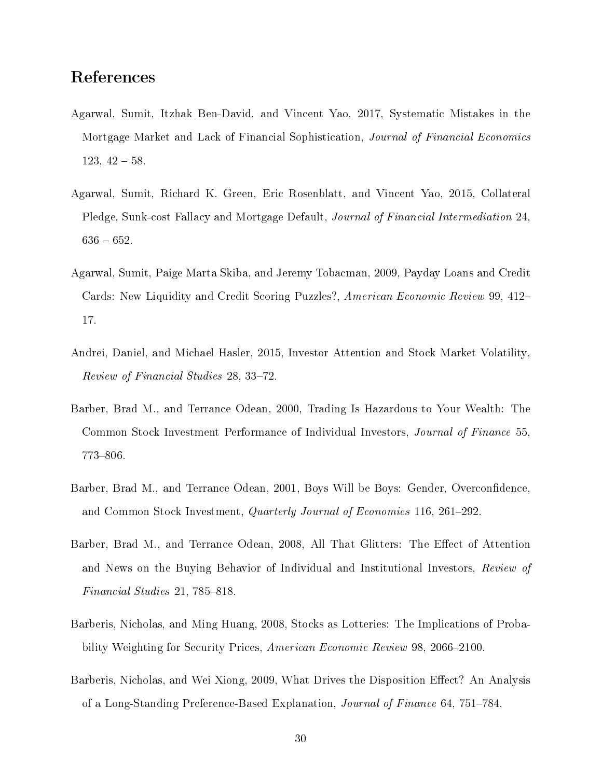# References

- Agarwal, Sumit, Itzhak Ben-David, and Vincent Yao, 2017, Systematic Mistakes in the Mortgage Market and Lack of Financial Sophistication, Journal of Financial Economics  $123, 42 - 58.$
- Agarwal, Sumit, Richard K. Green, Eric Rosenblatt, and Vincent Yao, 2015, Collateral Pledge, Sunk-cost Fallacy and Mortgage Default, Journal of Financial Intermediation 24,  $636 - 652.$
- Agarwal, Sumit, Paige Marta Skiba, and Jeremy Tobacman, 2009, Payday Loans and Credit Cards: New Liquidity and Credit Scoring Puzzles?, American Economic Review 99, 412– 17.
- Andrei, Daniel, and Michael Hasler, 2015, Investor Attention and Stock Market Volatility, Review of Financial Studies 28, 33-72.
- Barber, Brad M., and Terrance Odean, 2000, Trading Is Hazardous to Your Wealth: The Common Stock Investment Performance of Individual Investors, Journal of Finance 55,  $773 - 806$ .
- Barber, Brad M., and Terrance Odean, 2001, Boys Will be Boys: Gender, Overconfidence, and Common Stock Investment, *Quarterly Journal of Economics* 116, 261–292.
- Barber, Brad M., and Terrance Odean, 2008, All That Glitters: The Effect of Attention and News on the Buying Behavior of Individual and Institutional Investors, Review of  $Financial Studies 21, 785-818.$
- Barberis, Nicholas, and Ming Huang, 2008, Stocks as Lotteries: The Implications of Probability Weighting for Security Prices, American Economic Review 98, 2066–2100.
- Barberis, Nicholas, and Wei Xiong, 2009, What Drives the Disposition Effect? An Analysis of a Long-Standing Preference-Based Explanation, *Journal of Finance* 64, 751–784.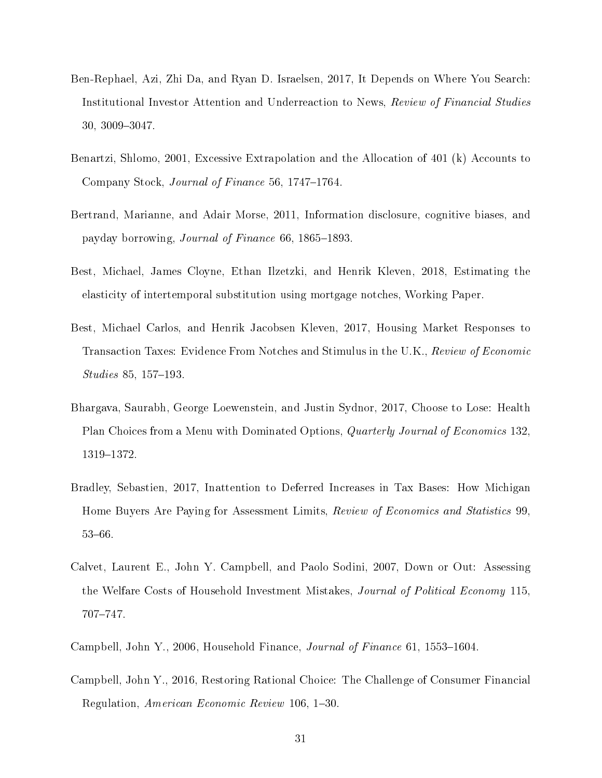- Ben-Rephael, Azi, Zhi Da, and Ryan D. Israelsen, 2017, It Depends on Where You Search: Institutional Investor Attention and Underreaction to News, Review of Financial Studies 30, 3009-3047.
- Benartzi, Shlomo, 2001, Excessive Extrapolation and the Allocation of 401 (k) Accounts to Company Stock, *Journal of Finance* 56, 1747–1764.
- Bertrand, Marianne, and Adair Morse, 2011, Information disclosure, cognitive biases, and payday borrowing, *Journal of Finance* 66, 1865–1893.
- Best, Michael, James Cloyne, Ethan Ilzetzki, and Henrik Kleven, 2018, Estimating the elasticity of intertemporal substitution using mortgage notches, Working Paper.
- Best, Michael Carlos, and Henrik Jacobsen Kleven, 2017, Housing Market Responses to Transaction Taxes: Evidence From Notches and Stimulus in the U.K., Review of Economic  $Studies 85, 157-193.$
- Bhargava, Saurabh, George Loewenstein, and Justin Sydnor, 2017, Choose to Lose: Health Plan Choices from a Menu with Dominated Options, *Quarterly Journal of Economics* 132, 1319-1372.
- Bradley, Sebastien, 2017, Inattention to Deferred Increases in Tax Bases: How Michigan Home Buyers Are Paying for Assessment Limits, *Review of Economics and Statistics* 99, 53-66.
- Calvet, Laurent E., John Y. Campbell, and Paolo Sodini, 2007, Down or Out: Assessing the Welfare Costs of Household Investment Mistakes, Journal of Political Economy 115, 707-747.
- Campbell, John Y., 2006, Household Finance, *Journal of Finance* 61, 1553–1604.
- Campbell, John Y., 2016, Restoring Rational Choice: The Challenge of Consumer Financial Regulation, American Economic Review 106, 1-30.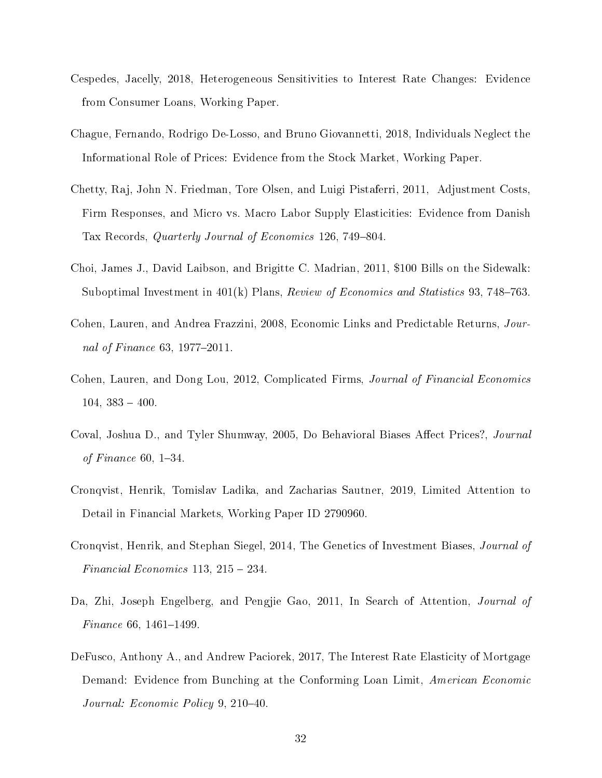- Cespedes, Jacelly, 2018, Heterogeneous Sensitivities to Interest Rate Changes: Evidence from Consumer Loans, Working Paper.
- Chague, Fernando, Rodrigo De-Losso, and Bruno Giovannetti, 2018, Individuals Neglect the Informational Role of Prices: Evidence from the Stock Market, Working Paper.
- Chetty, Raj, John N. Friedman, Tore Olsen, and Luigi Pistaferri, 2011, Adjustment Costs, Firm Responses, and Micro vs. Macro Labor Supply Elasticities: Evidence from Danish Tax Records, *Quarterly Journal of Economics* 126, 749–804.
- Choi, James J., David Laibson, and Brigitte C. Madrian, 2011, \$100 Bills on the Sidewalk: Suboptimal Investment in  $401(k)$  Plans, Review of Economics and Statistics 93, 748–763.
- Cohen, Lauren, and Andrea Frazzini, 2008, Economic Links and Predictable Returns, Journal of Finance 63, 1977–2011.
- Cohen, Lauren, and Dong Lou, 2012, Complicated Firms, Journal of Financial Economics  $104, 383 - 400.$
- Coval, Joshua D., and Tyler Shumway, 2005, Do Behavioral Biases Affect Prices?, Journal of Finance  $60, 1-34.$
- Cronqvist, Henrik, Tomislav Ladika, and Zacharias Sautner, 2019, Limited Attention to Detail in Financial Markets, Working Paper ID 2790960.
- Cronqvist, Henrik, and Stephan Siegel, 2014, The Genetics of Investment Biases, Journal of Financial Economics  $113, 215 - 234.$
- Da, Zhi, Joseph Engelberg, and Pengjie Gao, 2011, In Search of Attention, Journal of  $Finance 66, 1461–1499$
- DeFusco, Anthony A., and Andrew Paciorek, 2017, The Interest Rate Elasticity of Mortgage Demand: Evidence from Bunching at the Conforming Loan Limit, American Economic Journal: Economic Policy 9, 210-40.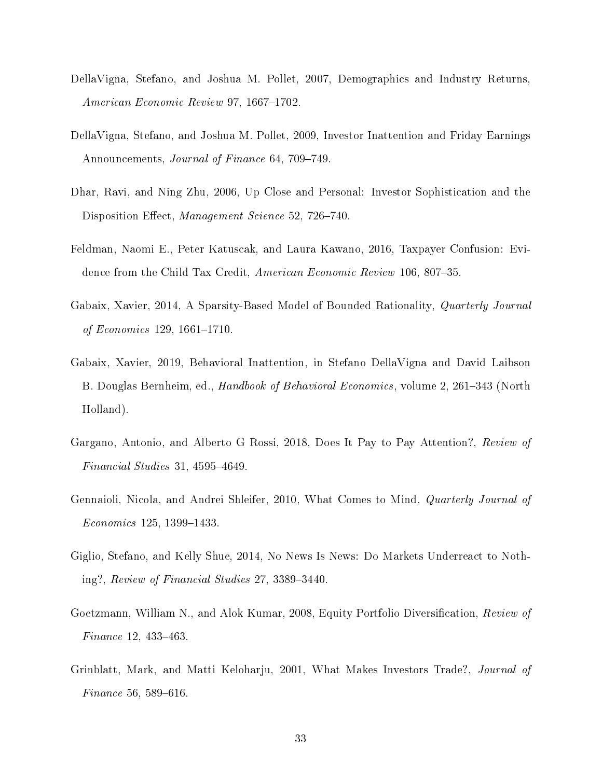- DellaVigna, Stefano, and Joshua M. Pollet, 2007, Demographics and Industry Returns, American Economic Review 97, 1667-1702.
- DellaVigna, Stefano, and Joshua M. Pollet, 2009, Investor Inattention and Friday Earnings Announcements, Journal of Finance 64, 709-749.
- Dhar, Ravi, and Ning Zhu, 2006, Up Close and Personal: Investor Sophistication and the Disposition Effect, Management Science 52, 726-740.
- Feldman, Naomi E., Peter Katuscak, and Laura Kawano, 2016, Taxpayer Confusion: Evidence from the Child Tax Credit, American Economic Review 106, 807–35.
- Gabaix, Xavier, 2014, A Sparsity-Based Model of Bounded Rationality, Quarterly Journal of Economics 129, 1661–1710.
- Gabaix, Xavier, 2019, Behavioral Inattention, in Stefano DellaVigna and David Laibson B. Douglas Bernheim, ed., *Handbook of Behavioral Economics*, volume 2, 261–343 (North Holland).
- Gargano, Antonio, and Alberto G Rossi, 2018, Does It Pay to Pay Attention?, Review of Financial Studies 31,  $4595-4649$ .
- Gennaioli, Nicola, and Andrei Shleifer, 2010, What Comes to Mind, Quarterly Journal of  $Economics 125, 1399-1433.$
- Giglio, Stefano, and Kelly Shue, 2014, No News Is News: Do Markets Underreact to Nothing?, Review of Financial Studies  $27, 3389-3440$ .
- Goetzmann, William N., and Alok Kumar, 2008, Equity Portfolio Diversification, Review of Finance 12,  $433-463$ .
- Grinblatt, Mark, and Matti Keloharju, 2001, What Makes Investors Trade?, Journal of  $Finance 56, 589-616.$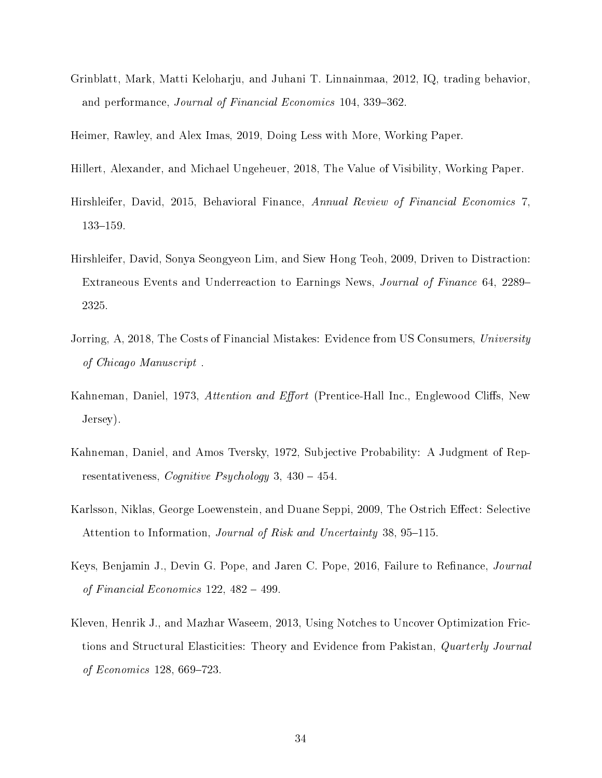Grinblatt, Mark, Matti Keloharju, and Juhani T. Linnainmaa, 2012, IQ, trading behavior, and performance, Journal of Financial Economics 104, 339-362.

Heimer, Rawley, and Alex Imas, 2019, Doing Less with More, Working Paper.

- Hillert, Alexander, and Michael Ungeheuer, 2018, The Value of Visibility, Working Paper.
- Hirshleifer, David, 2015, Behavioral Finance, Annual Review of Financial Economics 7, 133-159.
- Hirshleifer, David, Sonya Seongyeon Lim, and Siew Hong Teoh, 2009, Driven to Distraction: Extraneous Events and Underreaction to Earnings News, Journal of Finance 64, 2289 2325.
- Jorring, A, 2018, The Costs of Financial Mistakes: Evidence from US Consumers, University of Chicago Manuscript .
- Kahneman, Daniel, 1973, Attention and Effort (Prentice-Hall Inc., Englewood Cliffs, New Jersey).
- Kahneman, Daniel, and Amos Tversky, 1972, Subjective Probability: A Judgment of Representativeness, *Cognitive Psychology* 3,  $430 - 454$ .
- Karlsson, Niklas, George Loewenstein, and Duane Seppi, 2009, The Ostrich Effect: Selective Attention to Information, *Journal of Risk and Uncertainty* 38, 95–115.
- Keys, Benjamin J., Devin G. Pope, and Jaren C. Pope, 2016, Failure to Refinance, *Journal* of Financial Economics  $122, 482 - 499$ .
- Kleven, Henrik J., and Mazhar Waseem, 2013, Using Notches to Uncover Optimization Frictions and Structural Elasticities: Theory and Evidence from Pakistan, Quarterly Journal of Economics 128, 669-723.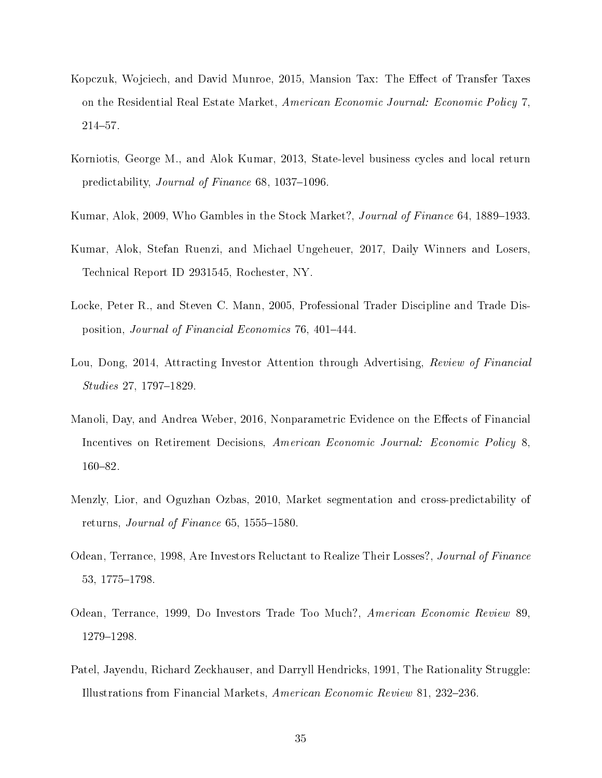- Kopczuk, Wojciech, and David Munroe, 2015, Mansion Tax: The Effect of Transfer Taxes on the Residential Real Estate Market, American Economic Journal: Economic Policy 7,  $214 - 57$ .
- Korniotis, George M., and Alok Kumar, 2013, State-level business cycles and local return predictability, *Journal of Finance* 68, 1037–1096.
- Kumar, Alok, 2009, Who Gambles in the Stock Market?, *Journal of Finance* 64, 1889–1933.
- Kumar, Alok, Stefan Ruenzi, and Michael Ungeheuer, 2017, Daily Winners and Losers, Technical Report ID 2931545, Rochester, NY.
- Locke, Peter R., and Steven C. Mann, 2005, Professional Trader Discipline and Trade Disposition, Journal of Financial Economics 76, 401-444.
- Lou, Dong, 2014, Attracting Investor Attention through Advertising, Review of Financial  $Studies 27, 1797-1829.$
- Manoli, Day, and Andrea Weber, 2016, Nonparametric Evidence on the Effects of Financial Incentives on Retirement Decisions, American Economic Journal: Economic Policy 8, 160-82.
- Menzly, Lior, and Oguzhan Ozbas, 2010, Market segmentation and cross-predictability of returns, *Journal of Finance* 65, 1555–1580.
- Odean, Terrance, 1998, Are Investors Reluctant to Realize Their Losses?, Journal of Finance 53, 1775-1798.
- Odean, Terrance, 1999, Do Investors Trade Too Much?, American Economic Review 89, 1279-1298.
- Patel, Jayendu, Richard Zeckhauser, and Darryll Hendricks, 1991, The Rationality Struggle: Illustrations from Financial Markets, American Economic Review 81, 232–236.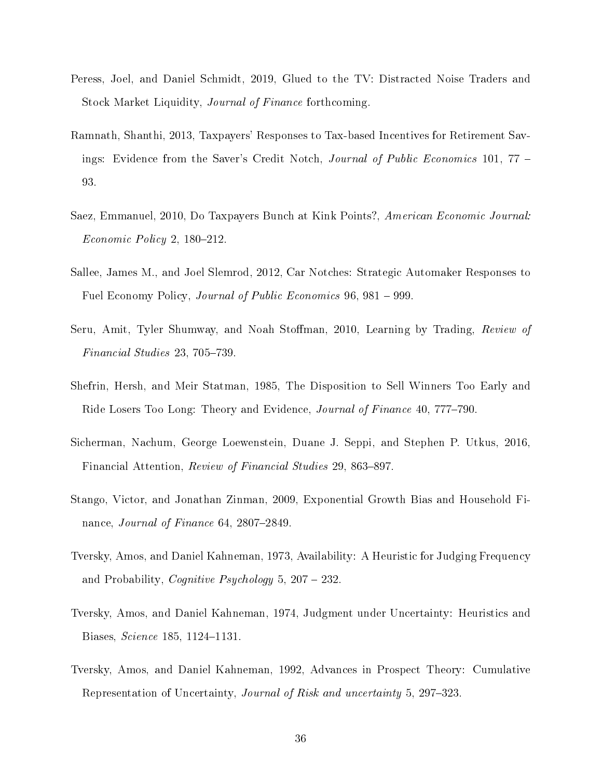- Peress, Joel, and Daniel Schmidt, 2019, Glued to the TV: Distracted Noise Traders and Stock Market Liquidity, Journal of Finance forthcoming.
- Ramnath, Shanthi, 2013, Taxpayers' Responses to Tax-based Incentives for Retirement Savings: Evidence from the Saver's Credit Notch, *Journal of Public Economics* 101, 77 – 93.
- Saez, Emmanuel, 2010, Do Taxpayers Bunch at Kink Points?, American Economic Journal:  $Economic Policy 2, 180-212.$
- Sallee, James M., and Joel Slemrod, 2012, Car Notches: Strategic Automaker Responses to Fuel Economy Policy, Journal of Public Economics 96, 981 – 999.
- Seru, Amit, Tyler Shumway, and Noah Stoffman, 2010, Learning by Trading, Review of  $Financial Studies$  23, 705-739.
- Shefrin, Hersh, and Meir Statman, 1985, The Disposition to Sell Winners Too Early and Ride Losers Too Long: Theory and Evidence, Journal of Finance 40, 777–790.
- Sicherman, Nachum, George Loewenstein, Duane J. Seppi, and Stephen P. Utkus, 2016, Financial Attention, Review of Financial Studies 29, 863–897.
- Stango, Victor, and Jonathan Zinman, 2009, Exponential Growth Bias and Household Finance, Journal of Finance  $64$ ,  $2807-2849$ .
- Tversky, Amos, and Daniel Kahneman, 1973, Availability: A Heuristic for Judging Frequency and Probability, *Cognitive Psychology* 5,  $207 - 232$ .
- Tversky, Amos, and Daniel Kahneman, 1974, Judgment under Uncertainty: Heuristics and Biases, *Science* 185, 1124-1131.
- Tversky, Amos, and Daniel Kahneman, 1992, Advances in Prospect Theory: Cumulative Representation of Uncertainty, Journal of Risk and uncertainty 5, 297–323.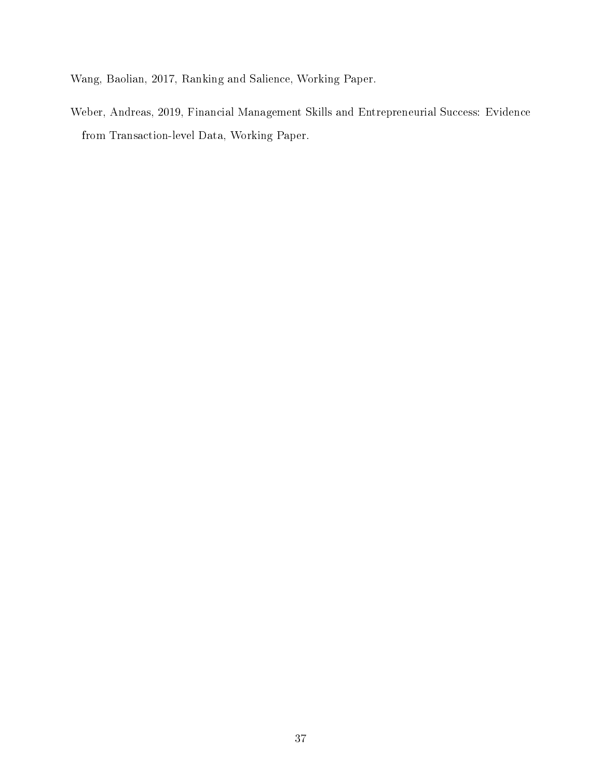Wang, Baolian, 2017, Ranking and Salience, Working Paper.

Weber, Andreas, 2019, Financial Management Skills and Entrepreneurial Success: Evidence from Transaction-level Data, Working Paper.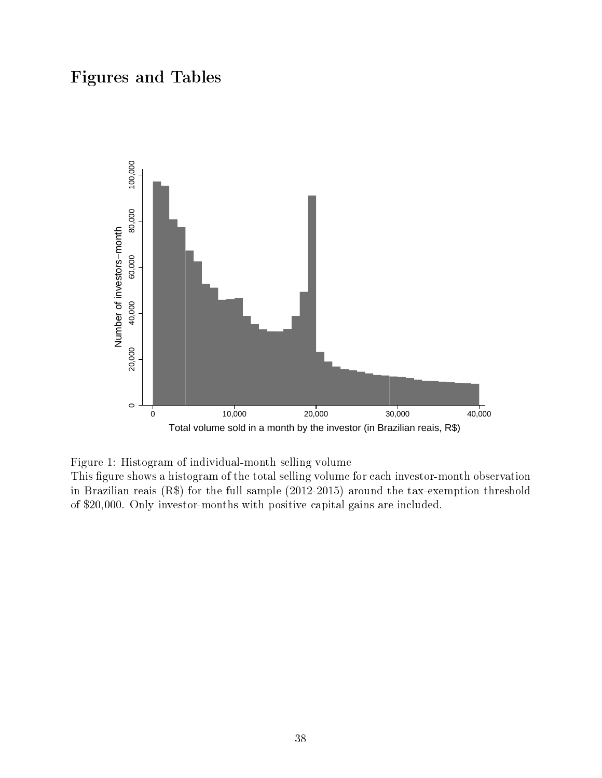# Figures and Tables



Figure 1: Histogram of individual-month selling volume

This figure shows a histogram of the total selling volume for each investor-month observation in Brazilian reais (R\$) for the full sample (2012-2015) around the tax-exemption threshold of \$20,000. Only investor-months with positive capital gains are included.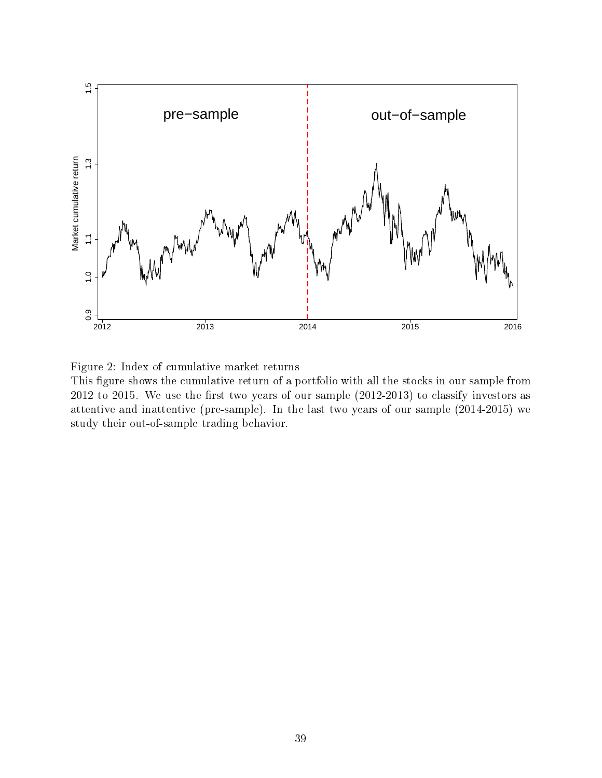

Figure 2: Index of cumulative market returns

This figure shows the cumulative return of a portfolio with all the stocks in our sample from  $2012$  to  $2015$ . We use the first two years of our sample  $(2012-2013)$  to classify investors as attentive and inattentive (pre-sample). In the last two years of our sample (2014-2015) we study their out-of-sample trading behavior.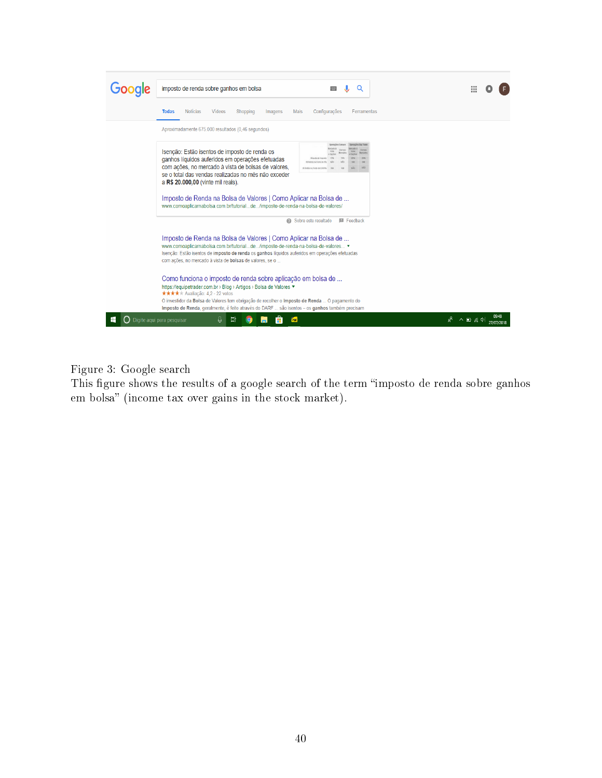| imposto de renda sobre ganhos em bolsa                                                                                                                                                                                                                                                                                                                                                                     | Ш                                 |  |  |  |  |  |  |  |  |
|------------------------------------------------------------------------------------------------------------------------------------------------------------------------------------------------------------------------------------------------------------------------------------------------------------------------------------------------------------------------------------------------------------|-----------------------------------|--|--|--|--|--|--|--|--|
| <b>Notícias</b><br>Vídeos<br>Configurações<br>Ferramentas<br><b>Todas</b><br>Shopping<br>Imagens<br>Mais                                                                                                                                                                                                                                                                                                   |                                   |  |  |  |  |  |  |  |  |
| Aproximadamente 675.000 resultados (0,46 segundos)                                                                                                                                                                                                                                                                                                                                                         |                                   |  |  |  |  |  |  |  |  |
| Isenção: Estão isentos de imposto de renda os<br>ganhos líquidos auferidos em operações efetuadas<br>com ações, no mercado à vista de bolsas de valores,<br>se o total das vendas realizadas no mês não exceder<br>a R\$ 20.000,00 (vinte mil reais).<br>Imposto de Renda na Bolsa de Valores   Como Aplicar na Bolsa de<br>www.comoaplicarnabolsa.com.br/tutorialde/imposto-de-renda-na-bolsa-de-valores/ |                                   |  |  |  |  |  |  |  |  |
| <b>El</b> Feedback<br>Sobre este resultado<br>Imposto de Renda na Bolsa de Valores   Como Aplicar na Bolsa de<br>www.comoaplicarnabolsa.com.br/tutorialde/imposto-de-renda-na-bolsa-de-valores ▼<br>Isenção: Estão isentos de imposto de renda os ganhos líquidos auferidos em operações efetuadas<br>com ações, no mercado à vista de <b>bolsas</b> de valores, se o                                      |                                   |  |  |  |  |  |  |  |  |
| Como funciona o imposto de renda sobre aplicação em bolsa de<br>https://equipetrader.com.br › Blog › Artigos › Bolsa de Valores ▼<br><b>★★★★</b> Avaliacão: 4,2 - 22 votos<br>O investidor da Bolsa de Valores tem obrigação de recolher o Imposto de Renda  O pagamento do<br>Imposto de Renda, geralmente, é feito através do DARF  são isentos - os ganhos também precisam                              |                                   |  |  |  |  |  |  |  |  |
| Digite agui para pesquisar<br>Ξi<br>PBF                                                                                                                                                                                                                                                                                                                                                                    | ኇ<br>$\wedge$ $\Box$ ( $\oplus$ ) |  |  |  |  |  |  |  |  |

Figure 3: Google search

This figure shows the results of a google search of the term "imposto de renda sobre ganhos em bolsa" (income tax over gains in the stock market).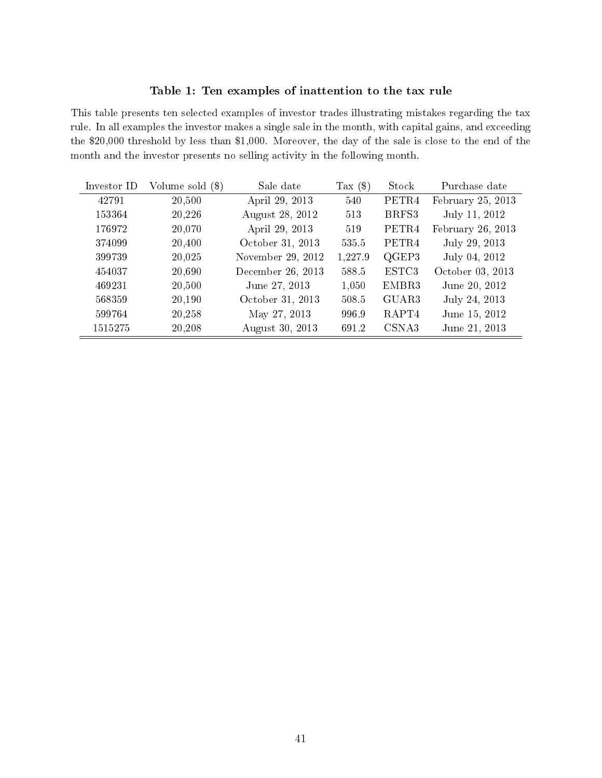#### Table 1: Ten examples of inattention to the tax rule

This table presents ten selected examples of investor trades illustrating mistakes regarding the tax rule. In all examples the investor makes a single sale in the month, with capital gains, and exceeding the \$20,000 threshold by less than \$1,000. Moreover, the day of the sale is close to the end of the month and the investor presents no selling activity in the following month.

| Investor ID | Volume sold (\$) | Sale date         | Tax $(\$)$ | Stock             | Purchase date     |
|-------------|------------------|-------------------|------------|-------------------|-------------------|
| 42791       | 20,500           | April 29, 2013    | 540        | PETR4             | February 25, 2013 |
| 153364      | 20,226           | August 28, 2012   | 513        | BRFS3             | July 11, 2012     |
| 176972      | 20,070           | April 29, 2013    | 519        | PETR4             | February 26, 2013 |
| 374099      | 20,400           | October 31, 2013  | 535.5      | PETR <sub>4</sub> | July 29, 2013     |
| 399739      | 20,025           | November 29, 2012 | 1,227.9    | QGEP3             | July 04, 2012     |
| 454037      | 20,690           | December 26, 2013 | 588.5      | ESTC3             | October 03, 2013  |
| 469231      | 20,500           | June 27, 2013     | 1,050      | EMBR3             | June 20, 2012     |
| 568359      | 20,190           | October 31, 2013  | 508.5      | GUAR3             | July 24, 2013     |
| 599764      | 20,258           | May 27, 2013      | 996.9      | RAPT4             | June 15, 2012     |
| 1515275     | 20,208           | August 30, 2013   | 691.2      | CSNA3             | June 21, 2013     |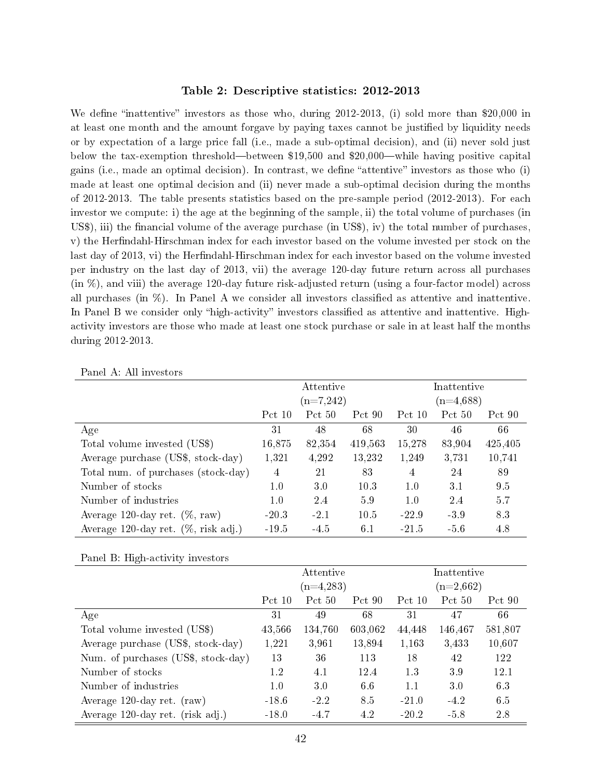#### Table 2: Descriptive statistics: 2012-2013

We define "inattentive" investors as those who, during  $2012-2013$ , (i) sold more than \$20,000 in at least one month and the amount forgave by paying taxes cannot be justied by liquidity needs or by expectation of a large price fall (i.e., made a sub-optimal decision), and (ii) never sold just below the tax-exemption threshold—between  $$19,500$  and  $$20,000$ —while having positive capital gains (i.e., made an optimal decision). In contrast, we define "attentive" investors as those who  $(i)$ made at least one optimal decision and (ii) never made a sub-optimal decision during the months of 2012-2013. The table presents statistics based on the pre-sample period (2012-2013). For each investor we compute: i) the age at the beginning of the sample, ii) the total volume of purchases (in US\$), iii) the financial volume of the average purchase (in US\$), iv) the total number of purchases, v) the Herfindahl-Hirschman index for each investor based on the volume invested per stock on the last day of 2013, vi) the Herfindahl-Hirschman index for each investor based on the volume invested per industry on the last day of 2013, vii) the average 120-day future return across all purchases (in %), and viii) the average 120-day future risk-adjusted return (using a four-factor model) across all purchases (in  $\%$ ). In Panel A we consider all investors classified as attentive and inattentive. In Panel B we consider only "high-activity" investors classified as attentive and inattentive. Highactivity investors are those who made at least one stock purchase or sale in at least half the months during 2012-2013.

|                                         |         | Attentive   |         | Inattentive |        |         |  |  |
|-----------------------------------------|---------|-------------|---------|-------------|--------|---------|--|--|
|                                         |         | $(n=7,242)$ |         | $(n=4.688)$ |        |         |  |  |
|                                         | Pct 10  | Pct 50      | Pct 90  | Pct 10      | Pct 50 | Pct 90  |  |  |
| Age                                     | 31      | 48          | 68      | 30          | 46     | 66      |  |  |
| Total volume invested (US\$)            | 16,875  | 82,354      | 419,563 | 15,278      | 83,904 | 425,405 |  |  |
| Average purchase (US\$, stock-day)      | 1,321   | 4,292       | 13,232  | 1,249       | 3,731  | 10,741  |  |  |
| Total num. of purchases (stock-day)     | 4       | 21          | 83      | 4           | 24     | 89      |  |  |
| Number of stocks                        | 1.0     | 3.0         | 10.3    | 1.0         | 3.1    | 9.5     |  |  |
| Number of industries                    | 1.0     | 2.4         | 59      | 1.0         | 2.4    | 5.7     |  |  |
| Average 120-day ret. $(\%$ , raw)       | $-20.3$ | $-2.1$      | 10.5    | $-22.9$     | -3.9   | 83      |  |  |
| Average 120-day ret. $(\%$ , risk adj.) | $-19.5$ | -4.5        | 6.1     | -21.5       | $-5.6$ | 4.8     |  |  |

Panel A: All investors

Panel B: High-activity investors

|                                     |          | Attentive   |         | Inattentive |         |         |  |  |
|-------------------------------------|----------|-------------|---------|-------------|---------|---------|--|--|
|                                     |          | $(n=4,283)$ |         | $(n=2,662)$ |         |         |  |  |
|                                     | Pct $10$ | Pct 50      | Pct 90  | Pct 10      | Pct 50  | Pct 90  |  |  |
| Age                                 | 31       | 49          | 68      | 31          | 47      | 66      |  |  |
| Total volume invested (US\$)        | 43,566   | 134,760     | 603,062 | 44,448      | 146,467 | 581,807 |  |  |
| Average purchase (US\$, stock-day)  | 1,221    | 3,961       | 13,894  | 1,163       | 3,433   | 10,607  |  |  |
| Num. of purchases (US\$, stock-day) | 13       | 36          | 113     | 18          | 42      | 122     |  |  |
| Number of stocks                    | 1.2      | 4.1         | 12.4    | 13          | 39      | 12.1    |  |  |
| Number of industries                | 1.0      | 30          | 6.6     | 1.1         | 30      | 6.3     |  |  |
| Average 120-day ret. (raw)          | $-18.6$  | $-2.2$      | 8.5     | $-21.0$     | $-4.2$  | 6.5     |  |  |
| Average 120-day ret. (risk adj.)    | $-18.0$  | $-4.7$      | 4.2     | $-20.2$     | -5.8    | 2.8     |  |  |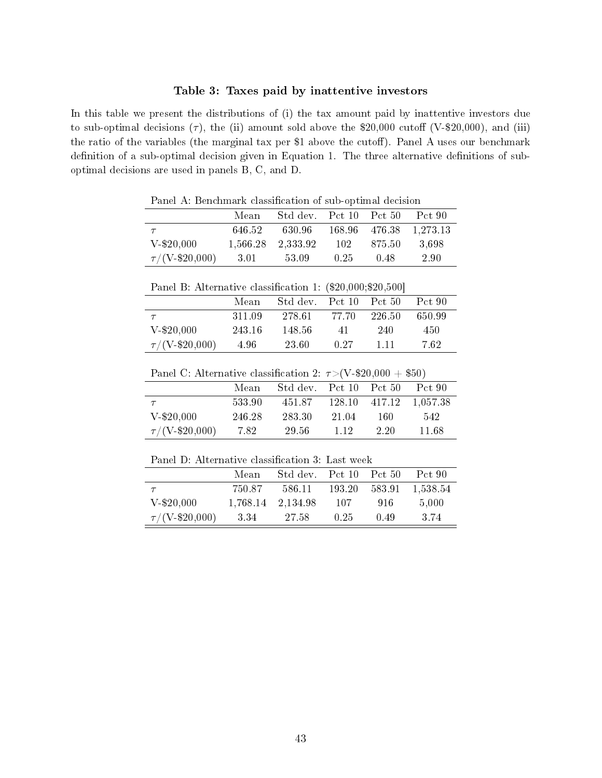#### Table 3: Taxes paid by inattentive investors

In this table we present the distributions of (i) the tax amount paid by inattentive investors due to sub-optimal decisions  $(\tau)$ , the (ii) amount sold above the \$20,000 cutoff (V-\$20,000), and (iii) the ratio of the variables (the marginal tax per  $$1$  above the cutoff). Panel A uses our benchmark definition of a sub-optimal decision given in Equation 1. The three alternative definitions of suboptimal decisions are used in panels B, C, and D.

Panel A: Benchmark classification of sub-optimal decision

|                             | Mean     | Std dev. Pct 10 Pct 50 |      |          | Pct 90                 |
|-----------------------------|----------|------------------------|------|----------|------------------------|
|                             | 646.52   | 630.96                 |      |          | 168.96 476.38 1,273.13 |
| $V-820,000$                 | 1.566.28 | 2.333.92               | 102  | - 875.50 | -3.698                 |
| $\tau/(V_{\rm -} \$20,000)$ | 3.01     | -53.09                 | 0.25 | 0.48     | 2.90                   |

Panel B: Alternative classification 1: (\$20,000;\$20,500]

|                               | Mean   | Std dev. | Pct 10 | Pct 50  | Pct 90 |
|-------------------------------|--------|----------|--------|---------|--------|
|                               | 311.09 | 278.61   | 77.70  | -226.50 | 650.99 |
| $V-$20,000$                   | 243.16 | 148.56   | 41     | 240     | 450    |
| $\tau/(V_{\text{-}}\$20,000)$ | 4.96   | 23.60    | 0.27   | 1 1 1   | -7.62  |

Panel C: Alternative classification 2:  $\tau$  > (V-\$20,000 + \$50)

|                             | Mean   | Std dev. | Pct 10 Pct 50 |               | Pct 90   |
|-----------------------------|--------|----------|---------------|---------------|----------|
|                             | 533.90 | 451.87   |               | 128.10 417.12 | 1.057.38 |
| $V-820,000$                 | 246.28 | 283.30   | 21.04         | 160           | 542      |
| $\tau/(V_{\rm -} \$20,000)$ | 7.82   | -29.56   | 1 12          | 2.20          | 11.68    |

Panel D: Alternative classification 3: Last week

|                               | Mean     | Std dev. | Pct $10$ Pct $50$ |        | Pct 90   |
|-------------------------------|----------|----------|-------------------|--------|----------|
|                               | 750.87   | 586.11   | 193.20            | 583.91 | 1,538.54 |
| $V-820,000$                   | 1,768.14 | 2.134.98 | -107              | -916   | 5,000    |
| $\tau/(V_{\text{-}}\$20,000)$ | 3.34     | 27.58    | 0.25              | 0.49   | 3.74     |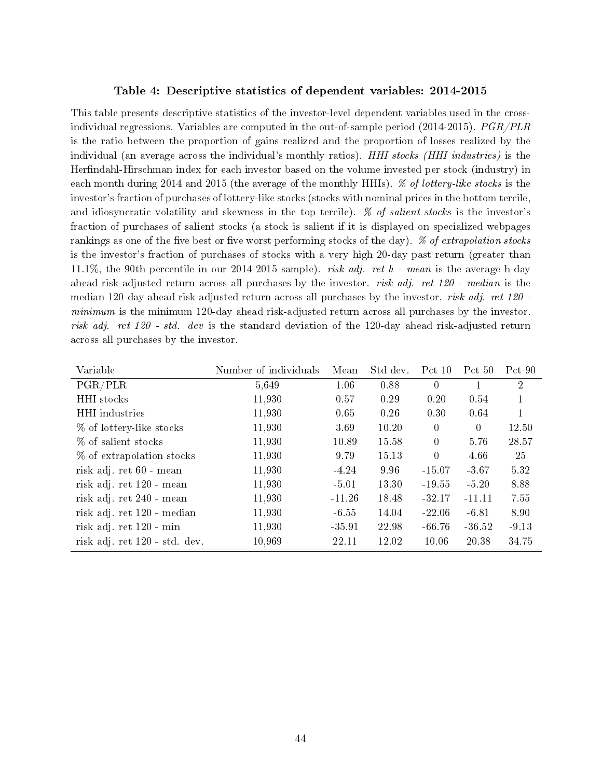#### Table 4: Descriptive statistics of dependent variables: 2014-2015

This table presents descriptive statistics of the investor-level dependent variables used in the crossindividual regressions. Variables are computed in the out-of-sample period  $(2014-2015)$ .  $PGR/PLR$ is the ratio between the proportion of gains realized and the proportion of losses realized by the individual (an average across the individual's monthly ratios). HHI stocks (HHI industries) is the Herfindahl-Hirschman index for each investor based on the volume invested per stock (industry) in each month during 2014 and 2015 (the average of the monthly HHIs). *% of lottery-like stocks* is the investor's fraction of purchases of lottery-like stocks (stocks with nominal prices in the bottom tercile, and idiosyncratic volatility and skewness in the top tercile).  $\%$  of salient stocks is the investor's fraction of purchases of salient stocks (a stock is salient if it is displayed on specialized webpages rankings as one of the five best or five worst performing stocks of the day).  $\%$  of extrapolation stocks is the investor's fraction of purchases of stocks with a very high 20-day past return (greater than 11.1%, the 90th percentile in our 2014-2015 sample). risk adj. ret h - mean is the average h-day ahead risk-adjusted return across all purchases by the investor. *risk adj. ret 120 - median* is the median 120-day ahead risk-adjusted return across all purchases by the investor. risk adj. ret 120 minimum is the minimum 120-day ahead risk-adjusted return across all purchases by the investor. risk adj. ret 120 - std. dev is the standard deviation of the 120-day ahead risk-adjusted return across all purchases by the investor.

| Variable                      | Number of individuals | Mean     | Std dev. | Pct $10$       | Pct 50   | Pct 90         |
|-------------------------------|-----------------------|----------|----------|----------------|----------|----------------|
| PGR/PLR                       | 5,649                 | 1.06     | 0.88     | $\Omega$       | 1.       | $\overline{2}$ |
| HHI stocks                    | 11,930                | 0.57     | 0.29     | 0.20           | 0.54     |                |
| HHI industries                | 11,930                | 0.65     | 0.26     | 0.30           | 0.64     |                |
| % of lottery-like stocks      | 11,930                | 3.69     | 10.20    | $\overline{0}$ | $\Omega$ | 12.50          |
| % of salient stocks           | 11,930                | 10.89    | 15.58    | $\overline{0}$ | 5.76     | 28.57          |
| % of extrapolation stocks     | 11,930                | 9.79     | 15.13    | $\overline{0}$ | 4.66     | 25             |
| risk adj. ret 60 - mean       | 11,930                | $-4.24$  | 9.96     | $-15.07$       | $-3.67$  | 5.32           |
| risk adj. ret 120 - mean      | 11,930                | $-5.01$  | 13.30    | $-19.55$       | $-5.20$  | 8.88           |
| risk adj. ret 240 - mean      | 11,930                | $-11.26$ | 18.48    | $-32.17$       | $-11.11$ | 7.55           |
| risk adj. ret 120 - median    | 11,930                | $-6.55$  | 14.04    | $-22.06$       | $-6.81$  | 8.90           |
| risk adj. ret 120 - min       | 11,930                | $-35.91$ | 22.98    | -66.76         | $-36.52$ | $-9.13$        |
| risk adj. ret 120 - std. dev. | 10,969                | 22.11    | 12.02    | 10.06          | 20.38    | 34.75          |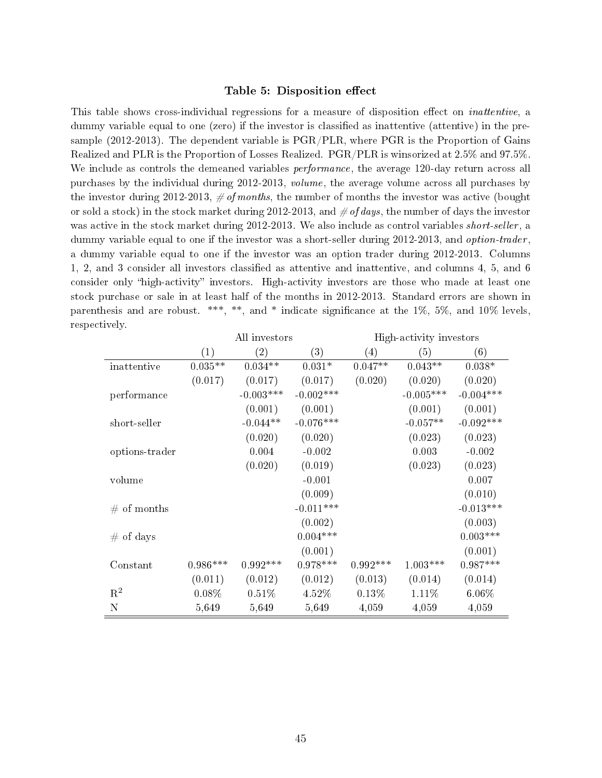#### Table 5: Disposition effect

This table shows cross-individual regressions for a measure of disposition effect on *inattentive*, a dummy variable equal to one (zero) if the investor is classied as inattentive (attentive) in the presample (2012-2013). The dependent variable is PGR/PLR, where PGR is the Proportion of Gains Realized and PLR is the Proportion of Losses Realized. PGR/PLR is winsorized at 2.5% and 97.5%. We include as controls the demeaned variables *performance*, the average 120-day return across all purchases by the individual during 2012-2013, volume, the average volume across all purchases by the investor during 2012-2013,  $\# of months$ , the number of months the investor was active (bought or sold a stock) in the stock market during 2012-2013, and  $\#$  of days, the number of days the investor was active in the stock market during 2012-2013. We also include as control variables *short-seller*, a dummy variable equal to one if the investor was a short-seller during 2012-2013, and *option-trader*, a dummy variable equal to one if the investor was an option trader during 2012-2013. Columns 1, 2, and 3 consider all investors classied as attentive and inattentive, and columns 4, 5, and 6 consider only "high-activity" investors. High-activity investors are those who made at least one stock purchase or sale in at least half of the months in 2012-2013. Standard errors are shown in parenthesis and are robust. \*\*\*, \*\*, and \* indicate significance at the  $1\%$ ,  $5\%$ , and  $10\%$  levels, respectively.

|                |            | All investors |              |            | High-activity investors |             |
|----------------|------------|---------------|--------------|------------|-------------------------|-------------|
|                | (1)        | (2)           | (3)          | (4)        | (5)                     | (6)         |
| inattentive    | $0.035**$  | $0.034**$     | $0.031*$     | $0.047**$  | $0.043**$               | $0.038*$    |
|                | (0.017)    | (0.017)       | (0.017)      | (0.020)    | (0.020)                 | (0.020)     |
| performance    |            | $-0.003***$   | $-0.002$ *** |            | $-0.005***$             | $-0.004***$ |
|                |            | (0.001)       | (0.001)      |            | (0.001)                 | (0.001)     |
| short-seller   |            | $-0.044**$    | $-0.076***$  |            | $-0.057**$              | $-0.092***$ |
|                |            | (0.020)       | (0.020)      |            | (0.023)                 | (0.023)     |
| options-trader |            | 0.004         | $-0.002$     |            | 0.003                   | $-0.002$    |
|                |            | (0.020)       | (0.019)      |            | (0.023)                 | (0.023)     |
| volume         |            |               | $-0.001$     |            |                         | 0.007       |
|                |            |               | (0.009)      |            |                         | (0.010)     |
| $#$ of months  |            |               | $-0.011***$  |            |                         | $-0.013***$ |
|                |            |               | (0.002)      |            |                         | (0.003)     |
| $#$ of days    |            |               | $0.004***$   |            |                         | $0.003***$  |
|                |            |               | (0.001)      |            |                         | (0.001)     |
| Constant       | $0.986***$ | $0.992***$    | $0.978***$   | $0.992***$ | $1.003***$              | $0.987***$  |
|                | (0.011)    | (0.012)       | (0.012)      | (0.013)    | (0.014)                 | (0.014)     |
| $\mathbf{R}^2$ | $0.08\%$   | 0.51%         | 4.52%        | $0.13\%$   | 1.11%                   | $6.06\%$    |
| $\mathbf N$    | 5,649      | 5,649         | 5,649        | 4,059      | 4,059                   | 4,059       |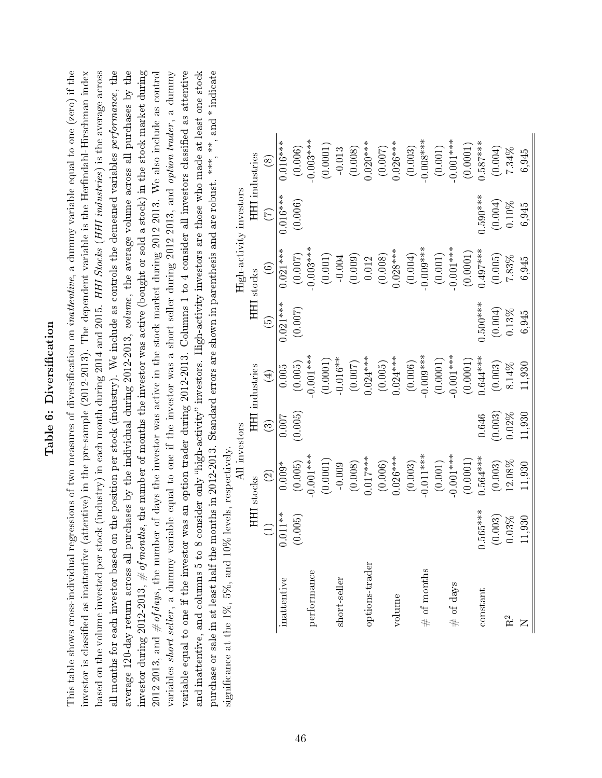# Table 6: Diversification Table 6: Diversification

This table shows cross-individual regressions of two measures of diversification on *inattentive*, a dummy variable equal to one (zero) if the all months for each investor based on the position per stock (industry). We include as controls the demeaned variables performance, the average 120-day return across all purchases by the individual during 2012-2013, volume, the average volume across all purchases by the investor during 2012-2013,  $\#$  of months, the number of months the investor was active (bought or sold a stock) in the stock market during investor is classified as inattentive (attentive) in the pre-sample (2012-2013). The dependent variable is the Herfindahl-Hirschman index based on the volume invested per stock (industry) in each month during 2014 and 2015. HHI Stocks (HHI industries) is the average across 2012-2013, and  $\#$  of days, the number of days the investor was active in the stock market during 2012-2013. We also include as control variable equal to one if the investor was an option trader during 2012-2013. Columns 1 to 4 consider all investors classified as attentive and inattentive, and columns 5 to 8 consider only "high-activity" investors. High-activity investors are those who made at least one stock purchase or sale in at least half the months in 2012-2013. Standard errors are shown in parenthesis and are robust. \*\*\*, and \* indicate This table shows cross-individual regressions of two measures of diversification on *inattentive*, a dummy variable equal to one (zero) if the investor is classified as inattentive (attentive) in the pre-sample (2012-2013). The dependent variable is the Herfindahl-Hirschman index based on the volume invested per stock (industry) in each month during 2014 and 2015. HHI Stocks (HHI industries) is the average across all months for each investor based on the position per stock (industry). We include as controls the demeaned variables *performance*, the average 120-day return across all purchases by the individual during 2012-2013, volume, the average volume across all purchases by the investor during 2012-2013,  $\#$  of months, the number of months the investor was active (bought or sold a stock) in the stock market during 2012-2013, and  $\#$  of days, the number of days the investor was active in the stock market during 2012-2013. We also include as control variables short-seller, a dummy variable equal to one if the investor was a short-seller during 2012-2013, and option-trader, a dummy variables *short-seller*, a dummy variable equal to one if the investor was a short-seller during 2012-2013, and option-trader, a dummy variable equal to one if the investor was an option trader during 2012-2013. Columns 1 to 4 consider all investors classified as attentive and inattentive, and columns 5 to 8 consider only "high-activity" investors. High-activity investors are those who made at least one stock purchase or sale in at least half the months in 2012-2013. Standard errors are shown in parenthesis and are robust. \*\*\*, \*\*, and \* indicate significance at the  $1\%, 5\%,$  and  $10\%$  levels, respectively. significance at the  $1\%, 5\%,$  and  $10\%$  levels, respectively.

|                         | HHI industries    | $\circledS$        | $0.016***$  | (0.006) | $0.003***$  | (0.0001) | $-0.013$            | (0.008) | $0.020***$     | (0.007) | $0.026***$ | (0.003) | $-0.008***$   | $(0.001)$ | $0.001***$      | (0.0001) | $.587***$  | (0.004) | 7.34%     | 6,945  |
|-------------------------|-------------------|--------------------|-------------|---------|-------------|----------|---------------------|---------|----------------|---------|------------|---------|---------------|-----------|-----------------|----------|------------|---------|-----------|--------|
|                         |                   | E                  | $0.016***$  | (0.006) |             |          |                     |         |                |         |            |         |               |           |                 |          | $0.590***$ | (0.004) | 0.10%     | 6,945  |
| High-activity investors | HHI stocks        | $\odot$            | $0.021***$  | (0.007) | $0.003***$  |          | $(0.001)$<br>-0.004 | (0.009) | 0.012          | (0.008) | $0.028***$ | (0.004) | $0.009***$    | $(0.001)$ | $0.001***$      | (0.0001) | $0.497***$ | (0.005) | 7.83%     | 6,945  |
|                         |                   | $\widehat{\Theta}$ | $0.021***$  | (0.007) |             |          |                     |         |                |         |            |         |               |           |                 |          | $0.500***$ | (0.004) | 0.13%     | 6,945  |
|                         | HHI industries    | $\bigoplus$        | $0.005\,$   | (0.005) | $0.001***$  | (0.0001) | $-0.016**$          | (0.007) | $0.024***$     | (0.005) | $0.024***$ | (0.006) | $0.009***$    | (0.0001)  | $0.001***$      | (0.0001) | $0.644***$ | (0.003) | 8.14%     | 11,930 |
|                         |                   | වි                 | 0.007       | (0.005) |             |          |                     |         |                |         |            |         |               |           |                 |          | 0.646      | (0.003) | 0.2%      | 11,930 |
| All investors           | <b>HHI</b> stocks | $\odot$            | $0.009*$    | (0.005) | $0.001***$  | (0.0001) | $-0.009$            | (0.008) | $0.017***$     | (0.006) | $0.026***$ | (0.003) | $0.011***$    | $(0.001)$ | $0.001***$      | (0.0001) | $0.564***$ | (0.003) | 12.08%    | 11,930 |
|                         |                   | $\Xi$              | $0.011**$   | (0.005) |             |          |                     |         |                |         |            |         |               |           |                 |          | $0.565***$ | (0.003) | 0.03%     | 11,930 |
|                         |                   |                    | inattentive |         | performance |          | short-seller        |         | options-trader |         | volume     |         | $#$ of months |           | of days<br>$\#$ |          | constant   |         | $\approx$ |        |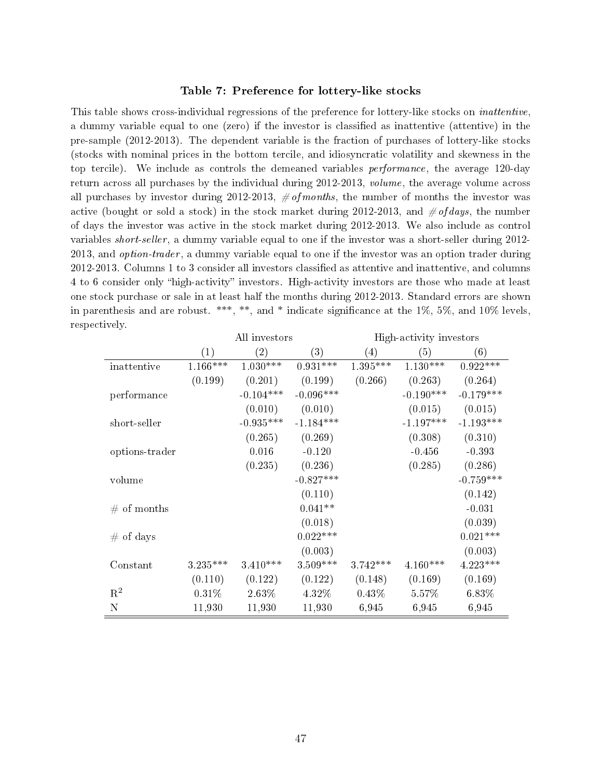#### Table 7: Preference for lottery-like stocks

This table shows cross-individual regressions of the preference for lottery-like stocks on *inattentive*, a dummy variable equal to one (zero) if the investor is classied as inattentive (attentive) in the pre-sample (2012-2013). The dependent variable is the fraction of purchases of lottery-like stocks (stocks with nominal prices in the bottom tercile, and idiosyncratic volatility and skewness in the top tercile). We include as controls the demeaned variables *performance*, the average 120-day return across all purchases by the individual during 2012-2013, volume, the average volume across all purchases by investor during 2012-2013,  $\# of months$ , the number of months the investor was active (bought or sold a stock) in the stock market during 2012-2013, and  $\# of \, days$ , the number of days the investor was active in the stock market during 2012-2013. We also include as control variables short-seller , a dummy variable equal to one if the investor was a short-seller during 2012- 2013, and *option-trader*, a dummy variable equal to one if the investor was an option trader during 2012-2013. Columns 1 to 3 consider all investors classied as attentive and inattentive, and columns 4 to 6 consider only "high-activity" investors. High-activity investors are those who made at least one stock purchase or sale in at least half the months during 2012-2013. Standard errors are shown in parenthesis and are robust. \*\*\*, \*\*, and \* indicate significance at the 1%, 5%, and 10% levels, respectively.

|                |            | All investors     |             | High-activity investors |             |             |  |  |
|----------------|------------|-------------------|-------------|-------------------------|-------------|-------------|--|--|
|                | (1)        | $\left( 2\right)$ | (3)         | $\left( 4\right)$       | (5)         | (6)         |  |  |
| inattentive    | $1.166***$ | $1.030***$        | $0.931***$  | 1.395***                | $1.130***$  | $0.922***$  |  |  |
|                | (0.199)    | (0.201)           | (0.199)     | (0.266)                 | (0.263)     | (0.264)     |  |  |
| performance    |            | $-0.104***$       | $-0.096***$ |                         | $-0.190***$ | $-0.179***$ |  |  |
|                |            | (0.010)           | (0.010)     |                         | (0.015)     | (0.015)     |  |  |
| short-seller   |            | $-0.935***$       | $-1.184***$ |                         | $-1.197***$ | $-1.193***$ |  |  |
|                |            | (0.265)           | (0.269)     |                         | (0.308)     | (0.310)     |  |  |
| options-trader |            | 0.016             | $-0.120$    |                         | $-0.456$    | $-0.393$    |  |  |
|                |            | (0.235)           | (0.236)     |                         | (0.285)     | (0.286)     |  |  |
| volume         |            |                   | $-0.827***$ |                         |             | $-0.759***$ |  |  |
|                |            |                   | (0.110)     |                         |             | (0.142)     |  |  |
| $#$ of months  |            |                   | $0.041**$   |                         |             | $-0.031$    |  |  |
|                |            |                   | (0.018)     |                         |             | (0.039)     |  |  |
| $#$ of days    |            |                   | $0.022***$  |                         |             | $0.021***$  |  |  |
|                |            |                   | (0.003)     |                         |             | (0.003)     |  |  |
| Constant       | $3.235***$ | $3.410***$        | $3.509***$  | $3.742***$              | $4.160***$  | $4.223***$  |  |  |
|                | (0.110)    | (0.122)           | (0.122)     | (0.148)                 | (0.169)     | (0.169)     |  |  |
| $\mathrm{R}^2$ | 0.31%      | 2.63%             | 4.32%       | 0.43%                   | 5.57%       | 6.83%       |  |  |
| N              | 11,930     | 11,930            | 11,930      | 6,945                   | 6,945       | 6,945       |  |  |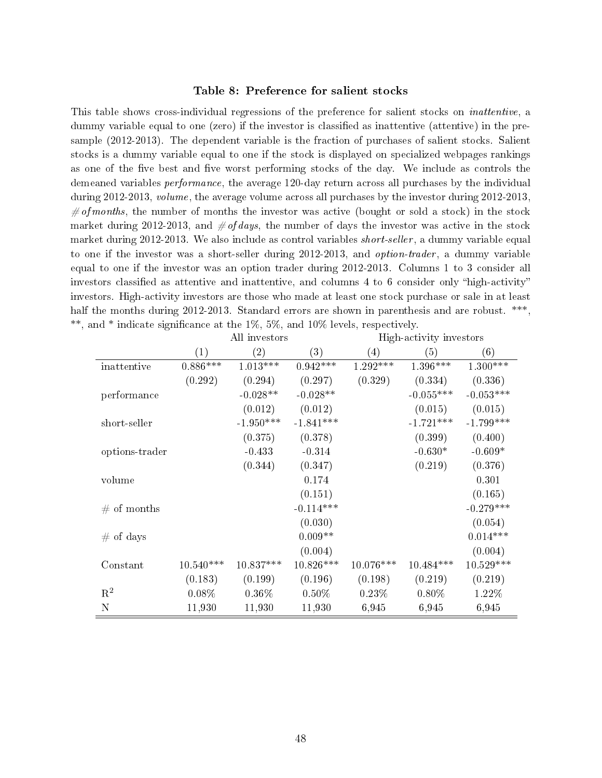#### Table 8: Preference for salient stocks

This table shows cross-individual regressions of the preference for salient stocks on inattentive, a dummy variable equal to one (zero) if the investor is classified as inattentive (attentive) in the presample (2012-2013). The dependent variable is the fraction of purchases of salient stocks. Salient stocks is a dummy variable equal to one if the stock is displayed on specialized webpages rankings as one of the five best and five worst performing stocks of the day. We include as controls the demeaned variables performance, the average 120-day return across all purchases by the individual during 2012-2013, volume, the average volume across all purchases by the investor during 2012-2013,  $\# of months$ , the number of months the investor was active (bought or sold a stock) in the stock market during 2012-2013, and  $\#$  of days, the number of days the investor was active in the stock market during 2012-2013. We also include as control variables *short-seller*, a dummy variable equal to one if the investor was a short-seller during 2012-2013, and *option-trader*, a dummy variable equal to one if the investor was an option trader during 2012-2013. Columns 1 to 3 consider all investors classified as attentive and inattentive, and columns 4 to 6 consider only "high-activity" investors. High-activity investors are those who made at least one stock purchase or sale in at least half the months during 2012-2013. Standard errors are shown in parenthesis and are robust. \*\*\*, \*\*, and \* indicate significance at the  $1\%, 5\%,$  and  $10\%$  levels, respectively.

|                | (1)         | $\rm(2)$    | (3)         | (4)         | (5)         | (6)         |
|----------------|-------------|-------------|-------------|-------------|-------------|-------------|
| inattentive    | $0.886***$  | $1.013***$  | $0.942***$  | $1.292***$  | $1.396***$  | $1.300***$  |
|                | (0.292)     | (0.294)     | (0.297)     | (0.329)     | (0.334)     | (0.336)     |
| performance    |             | $-0.028**$  | $-0.028**$  |             | $-0.055***$ | $-0.053***$ |
|                |             | (0.012)     | (0.012)     |             | (0.015)     | (0.015)     |
| short-seller   |             | $-1.950***$ | $-1.841***$ |             | $-1.721***$ | $-1.799***$ |
|                |             | (0.375)     | (0.378)     |             | (0.399)     | (0.400)     |
| options-trader |             | $-0.433$    | $-0.314$    |             | $-0.630*$   | $-0.609*$   |
|                |             | (0.344)     | (0.347)     |             | (0.219)     | (0.376)     |
| volume         |             |             | 0.174       |             |             | 0.301       |
|                |             |             | (0.151)     |             |             | (0.165)     |
| # of months    |             |             | $-0.114***$ |             |             | $-0.279***$ |
|                |             |             | (0.030)     |             |             | (0.054)     |
| $#$ of days    |             |             | $0.009**$   |             |             | $0.014***$  |
|                |             |             | (0.004)     |             |             | (0.004)     |
| Constant       | $10.540***$ | 10.837***   | $10.826***$ | $10.076***$ | $10.484***$ | 10.529***   |
|                | (0.183)     | (0.199)     | (0.196)     | (0.198)     | (0.219)     | (0.219)     |
| $R^2$          | 0.08%       | $0.36\%$    | $0.50\%$    | 0.23%       | $0.80\%$    | 1.22%       |
| Ν              | 11,930      | 11,930      | 11,930      | 6,945       | 6,945       | 6,945       |

All investors High-activity investors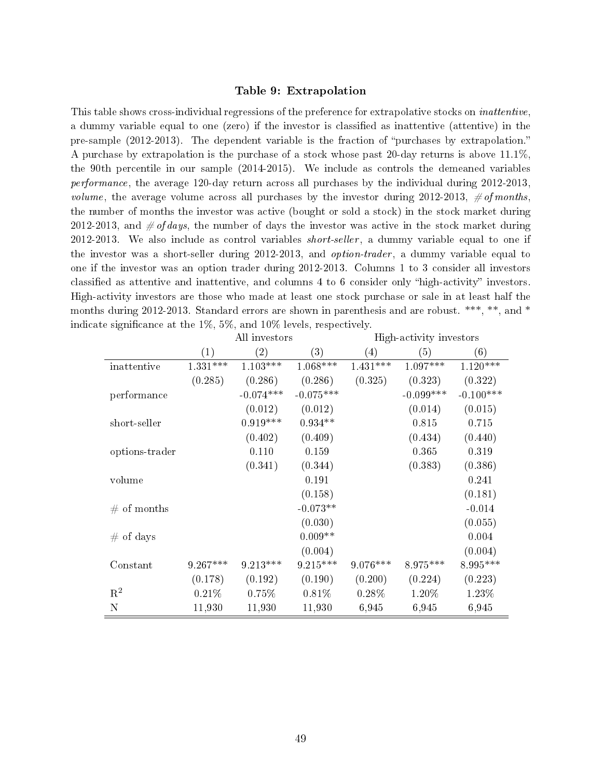#### Table 9: Extrapolation

This table shows cross-individual regressions of the preference for extrapolative stocks on *inattentive*, a dummy variable equal to one (zero) if the investor is classified as inattentive (attentive) in the pre-sample (2012-2013). The dependent variable is the fraction of "purchases by extrapolation." A purchase by extrapolation is the purchase of a stock whose past 20-day returns is above 11.1%, the 90th percentile in our sample (2014-2015). We include as controls the demeaned variables performance, the average 120-day return across all purchases by the individual during 2012-2013, *volume*, the average volume across all purchases by the investor during 2012-2013,  $\# of months$ . the number of months the investor was active (bought or sold a stock) in the stock market during 2012-2013, and  $\#$  of days, the number of days the investor was active in the stock market during  $2012-2013$ . We also include as control variables *short-seller*, a dummy variable equal to one if the investor was a short-seller during 2012-2013, and *option-trader*, a dummy variable equal to one if the investor was an option trader during 2012-2013. Columns 1 to 3 consider all investors classified as attentive and inattentive, and columns 4 to 6 consider only "high-activity" investors. High-activity investors are those who made at least one stock purchase or sale in at least half the months during 2012-2013. Standard errors are shown in parenthesis and are robust. \*\*\*, \*\*, and \* indicate significance at the 1%, 5%, and 10% levels, respectively.

|                |            | All investors |             |                   | High-activity investors |             |
|----------------|------------|---------------|-------------|-------------------|-------------------------|-------------|
|                | (1)        | (2)           | (3)         | $\left( 4\right)$ | (5)                     | (6)         |
| inattentive    | $1.331***$ | $1.103***$    | $1.068***$  | $1.431***$        | $1.097***$              | $1.120***$  |
|                | (0.285)    | (0.286)       | (0.286)     | (0.325)           | (0.323)                 | (0.322)     |
| performance    |            | $-0.074***$   | $-0.075***$ |                   | $-0.099***$             | $-0.100***$ |
|                |            | (0.012)       | (0.012)     |                   | (0.014)                 | (0.015)     |
| short-seller   |            | $0.919***$    | $0.934**$   |                   | 0.815                   | 0.715       |
|                |            | (0.402)       | (0.409)     |                   | (0.434)                 | (0.440)     |
| options-trader |            | 0.110         | 0.159       |                   | 0.365                   | 0.319       |
|                |            | (0.341)       | (0.344)     |                   | (0.383)                 | (0.386)     |
| volume         |            |               | 0.191       |                   |                         | 0.241       |
|                |            |               | (0.158)     |                   |                         | (0.181)     |
| $\#$ of months |            |               | $-0.073**$  |                   |                         | $-0.014$    |
|                |            |               | (0.030)     |                   |                         | (0.055)     |
| $#$ of days    |            |               | $0.009**$   |                   |                         | 0.004       |
|                |            |               | (0.004)     |                   |                         | (0.004)     |
| Constant       | $9.267***$ | $9.213***$    | $9.215***$  | $9.076***$        | 8.975***                | 8.995***    |
|                | (0.178)    | (0.192)       | (0.190)     | (0.200)           | (0.224)                 | (0.223)     |
| $\mathbf{R}^2$ | 0.21%      | 0.75%         | 0.81%       | $0.28\%$          | 1.20%                   | 1.23%       |
| $\mathbf N$    | 11,930     | 11,930        | 11,930      | 6,945             | 6,945                   | 6,945       |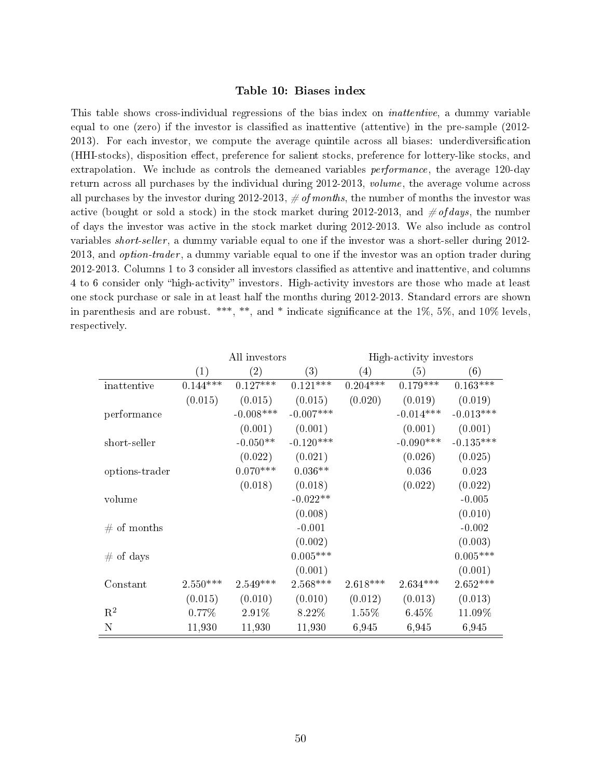#### Table 10: Biases index

This table shows cross-individual regressions of the bias index on inattentive, a dummy variable equal to one (zero) if the investor is classied as inattentive (attentive) in the pre-sample (2012- 2013). For each investor, we compute the average quintile across all biases: underdiversication (HHI-stocks), disposition effect, preference for salient stocks, preference for lottery-like stocks, and extrapolation. We include as controls the demeaned variables *performance*, the average 120-day return across all purchases by the individual during 2012-2013, volume, the average volume across all purchases by the investor during 2012-2013,  $\# of months$ , the number of months the investor was active (bought or sold a stock) in the stock market during 2012-2013, and  $\# of \, days$ , the number of days the investor was active in the stock market during 2012-2013. We also include as control variables short-seller , a dummy variable equal to one if the investor was a short-seller during 2012- 2013, and option-trader , a dummy variable equal to one if the investor was an option trader during 2012-2013. Columns 1 to 3 consider all investors classied as attentive and inattentive, and columns 4 to 6 consider only "high-activity" investors. High-activity investors are those who made at least one stock purchase or sale in at least half the months during 2012-2013. Standard errors are shown in parenthesis and are robust. \*\*\*, \*\*, and \* indicate significance at the 1%, 5%, and 10% levels, respectively.

|                |                   | All investors     |                   |                  | High-activity investors |             |
|----------------|-------------------|-------------------|-------------------|------------------|-------------------------|-------------|
|                | $\left( 1\right)$ | $\left( 2\right)$ | $\left( 3\right)$ | $\left(4\right)$ | (5)                     | (6)         |
| inattentive    | $0.144***$        | $0.127***$        | $0.121***$        | $0.204***$       | $0.179***$              | $0.163***$  |
|                | (0.015)           | (0.015)           | (0.015)           | (0.020)          | (0.019)                 | (0.019)     |
| performance    |                   | $-0.008***$       | $-0.007***$       |                  | $-0.014***$             | $-0.013***$ |
|                |                   | (0.001)           | (0.001)           |                  | (0.001)                 | (0.001)     |
| short-seller   |                   | $-0.050**$        | $-0.120***$       |                  | $-0.090***$             | $-0.135***$ |
|                |                   | (0.022)           | (0.021)           |                  | (0.026)                 | (0.025)     |
| options-trader |                   | $0.070***$        | $0.036**$         |                  | 0.036                   | 0.023       |
|                |                   | (0.018)           | (0.018)           |                  | (0.022)                 | (0.022)     |
| volume         |                   |                   | $-0.022**$        |                  |                         | $-0.005$    |
|                |                   |                   | (0.008)           |                  |                         | (0.010)     |
| # of months    |                   |                   | $-0.001$          |                  |                         | $-0.002$    |
|                |                   |                   | (0.002)           |                  |                         | (0.003)     |
| $#$ of days    |                   |                   | $0.005***$        |                  |                         | $0.005***$  |
|                |                   |                   | (0.001)           |                  |                         | (0.001)     |
| Constant       | $2.550***$        | $2.549***$        | $2.568***$        | $2.618***$       | $2.634***$              | $2.652***$  |
|                | (0.015)           | (0.010)           | (0.010)           | (0.012)          | (0.013)                 | (0.013)     |
| $R^2$          | 0.77%             | 2.91%             | 8.22\%            | 1.55%            | 6.45%                   | 11.09%      |
| $\mathbf N$    | 11,930            | 11,930            | 11,930            | 6,945            | 6,945                   | 6,945       |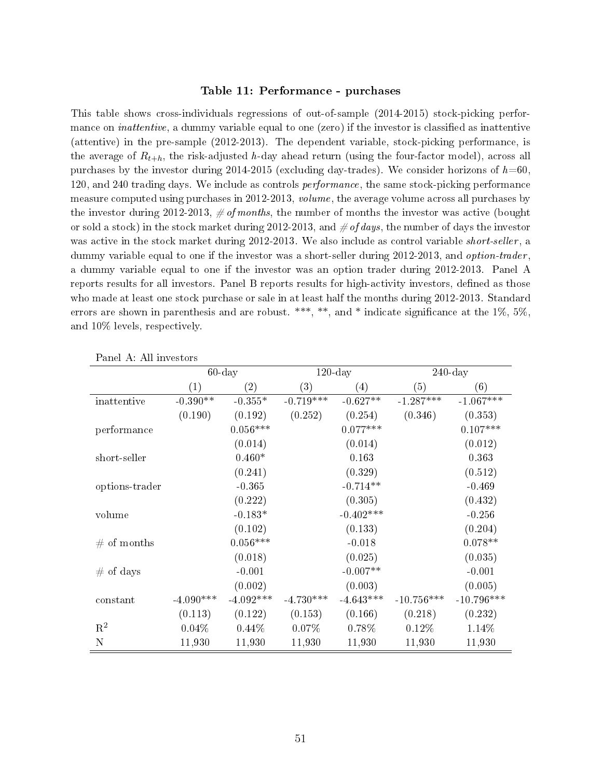#### Table 11: Performance - purchases

This table shows cross-individuals regressions of out-of-sample (2014-2015) stock-picking performance on *inattentive*, a dummy variable equal to one (zero) if the investor is classified as inattentive (attentive) in the pre-sample (2012-2013). The dependent variable, stock-picking performance, is the average of  $R_{t+h}$ , the risk-adjusted h-day ahead return (using the four-factor model), across all purchases by the investor during  $2014-2015$  (excluding day-trades). We consider horizons of  $h=60$ . 120, and 240 trading days. We include as controls performance, the same stock-picking performance measure computed using purchases in 2012-2013, volume, the average volume across all purchases by the investor during 2012-2013,  $\# of months$ , the number of months the investor was active (bought or sold a stock) in the stock market during 2012-2013, and  $\#$  of days, the number of days the investor was active in the stock market during 2012-2013. We also include as control variable *short-seller*, a dummy variable equal to one if the investor was a short-seller during 2012-2013, and *option-trader*. a dummy variable equal to one if the investor was an option trader during 2012-2013. Panel A reports results for all investors. Panel B reports results for high-activity investors, defined as those who made at least one stock purchase or sale in at least half the months during 2012-2013. Standard errors are shown in parenthesis and are robust. \*\*\*, \*\*, and \* indicate significance at the  $1\%, 5\%,$ and 10% levels, respectively.

|                |                   | $60$ -day         |             | $120$ -day       |              | $240$ -day   |
|----------------|-------------------|-------------------|-------------|------------------|--------------|--------------|
|                | $\left( 1\right)$ | $\left( 2\right)$ | (3)         | $\left(4\right)$ | (5)          | (6)          |
| inattentive    | $-0.390**$        | $-0.355*$         | $-0.719***$ | $-0.627**$       | $-1.287***$  | $-1.067***$  |
|                | (0.190)           | (0.192)           | (0.252)     | (0.254)          | (0.346)      | (0.353)      |
| performance    |                   | $0.056***$        |             | $0.077***$       |              | $0.107***$   |
|                |                   | (0.014)           |             | (0.014)          |              | (0.012)      |
| short-seller   |                   | $0.460*$          |             | 0.163            |              | 0.363        |
|                |                   | (0.241)           |             | (0.329)          |              | (0.512)      |
| options-trader |                   | $-0.365$          |             | $-0.714**$       |              | $-0.469$     |
|                |                   | (0.222)           |             | (0.305)          |              | (0.432)      |
| volume         |                   | $-0.183*$         |             | $-0.402***$      |              | $-0.256$     |
|                |                   | (0.102)           |             | (0.133)          |              | (0.204)      |
| # of months    |                   | $0.056***$        |             | $-0.018$         |              | $0.078**$    |
|                |                   | (0.018)           |             | (0.025)          |              | (0.035)      |
| $#$ of days    |                   | $-0.001$          |             | $-0.007**$       |              | $-0.001$     |
|                |                   | (0.002)           |             | (0.003)          |              | (0.005)      |
| constant       | $-4.090***$       | $-4.092***$       | $-4.730***$ | $-4.643***$      | $-10.756***$ | $-10.796***$ |
|                | (0.113)           | (0.122)           | (0.153)     | (0.166)          | (0.218)      | (0.232)      |
| $\mathbf{R}^2$ | 0.04%             | 0.44%             | $0.07\%$    | $0.78\%$         | $0.12\%$     | 1.14%        |
| N              | 11,930            | 11,930            | 11,930      | 11,930           | 11,930       | 11,930       |

Panel A: All investors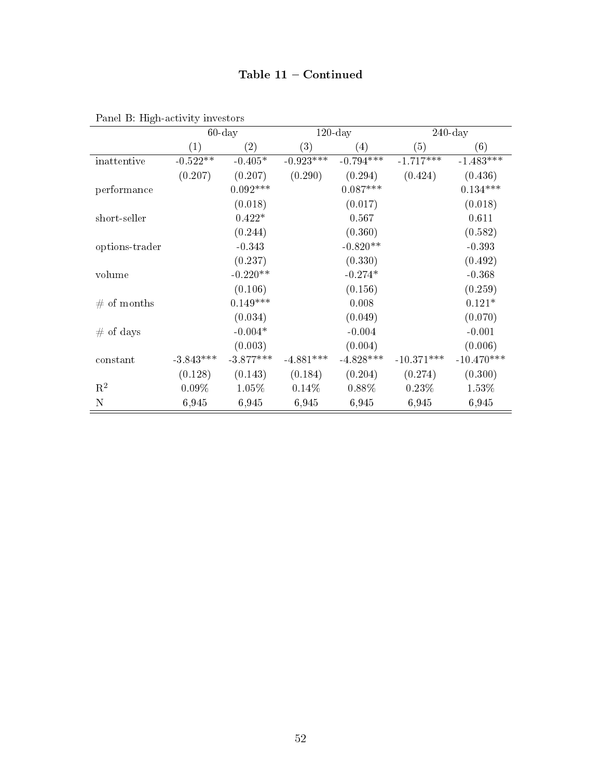## Table 11 - Continued

|                |             | $60$ -day         |                   | $120$ -day  |              | $240$ -day   |
|----------------|-------------|-------------------|-------------------|-------------|--------------|--------------|
|                | (1)         | $\left( 2\right)$ | $\left( 3\right)$ | (4)         | (5)          | (6)          |
| inattentive    | $-0.522**$  | $-0.405*$         | $-0.923***$       | $-0.794***$ | $-1.717***$  | $-1.483***$  |
|                | (0.207)     | (0.207)           | (0.290)           | (0.294)     | (0.424)      | (0.436)      |
| performance    |             | $0.092***$        |                   | $0.087***$  |              | $0.134***$   |
|                |             | (0.018)           |                   | (0.017)     |              | (0.018)      |
| short-seller   |             | $0.422*$          |                   | 0.567       |              | 0.611        |
|                |             | (0.244)           |                   | (0.360)     |              | (0.582)      |
| options-trader |             | $-0.343$          |                   | $-0.820**$  |              | $-0.393$     |
|                |             | (0.237)           |                   | (0.330)     |              | (0.492)      |
| volume         |             | $-0.220**$        |                   | $-0.274*$   |              | $-0.368$     |
|                |             | (0.106)           |                   | (0.156)     |              | (0.259)      |
| # of months    |             | $0.149***$        |                   | 0.008       |              | $0.121*$     |
|                |             | (0.034)           |                   | (0.049)     |              | (0.070)      |
| $#$ of days    |             | $-0.004*$         |                   | $-0.004$    |              | $-0.001$     |
|                |             | (0.003)           |                   | (0.004)     |              | (0.006)      |
| constant       | $-3.843***$ | $-3.877***$       | $-4.881***$       | $-4.828***$ | $-10.371***$ | $-10.470***$ |
|                | (0.128)     | (0.143)           | (0.184)           | (0.204)     | (0.274)      | (0.300)      |
| $\mathbf{R}^2$ | 0.09%       | 1.05%             | 0.14%             | 0.88%       | 0.23%        | 1.53%        |
| N              | 6,945       | 6,945             | 6,945             | 6,945       | 6,945        | 6,945        |

Panel B: High-activity investors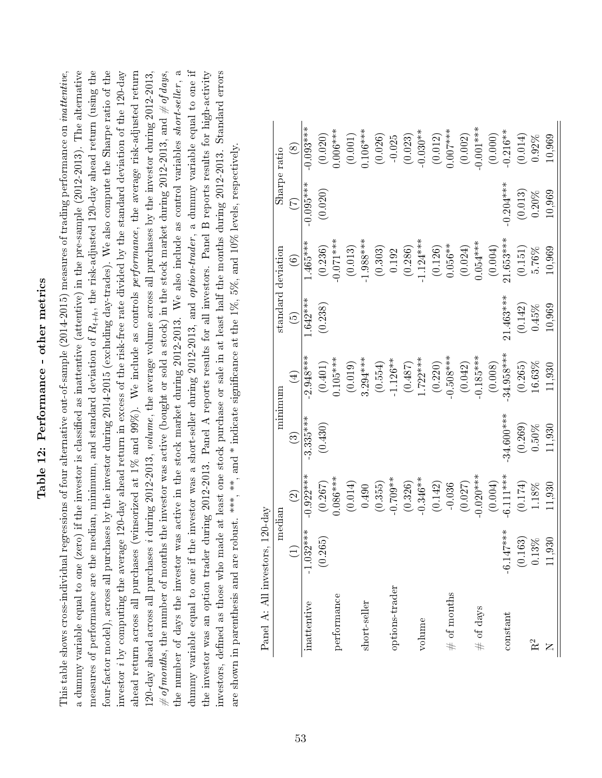# Table 12: Performance - other metrics Table 12: Performance - other metrics

the number of days the investor was active in the stock market during 2012-2013. We also include as control variables short-seller, a a dummy variable equal to one (zero) if the investor is classified as inattentive (attentive) in the pre-sample (2012-2013). The alternative measures of performance are the median, minimum, and standard deviation of  $R_{t+h}$ , the risk-adjusted 120-day ahead return (using the four-factor model), across all purchases by the investor during 2014-2015 (excluding day-trades). We also compute the Sharpe ratio of the ahead return across all purchases (winsorized at 1% and 99%). We include as controls performance, the average risk-adjusted return the number of days the investor was active in the stock market during 2012-2013. We also include as control variables short-seller, a dummy variable equal to one if the investor was a short-seller during 2012-2013, and option-trader, a dummy variable equal to one if dummy variable equal to one if the investor was a short-seller during 2012-2013, and *option-trader*, a dummy variable equal to one if This table shows cross-individual regressions of four alternative out-of-sample (2014-2015) measures of trading performance on *inattentive*, investor *i* by computing the average 120-day ahead return in excess of the risk-free rate divided by the standard deviation of the 120-day 120-day ahead across all purchases *i* during 2012-2013, *volume*, the average volume across all purchases by the investor during 2012-2013, # of months, the number of months the investor was active (bought or sold a stock) in the stock market during 2012-2013, and # of days, the investor was an option trader during 2012-2013. Panel A reports results for all investors. Panel B reports results for high-activity investors, defined as those who made at least one stock purchase or sale in at least half the months during 2012-2013. Standard errors This table shows cross-individual regressions of four alternative out-of-sample (2014-2015) measures of trading performance on inattentive, a dummy variable equal to one (zero) if the investor is classified as inattentive (attentive) in the pre-sample (2012-2013). The alternative measures of performance are the median, minimum, and standard deviation of  $R_{t+h}$ , the risk-adjusted 120-day ahead return (using the four-factor model), across all purchases by the investor during 2014-2015 (excluding day-trades). We also compute the Sharpe ratio of the investor i by computing the average 120-day ahead return in excess of the risk-free rate divided by the standard deviation of the 120-day ahead return across all purchases (winsorized at 1% and 99%). We include as controls *performance*, the average risk-adjusted return 120-day ahead across all purchases i during 2012-2013, volume, the average volume across all purchases by the investor during 2012-2013, # of months, the number of months the investor was active (bought or sold a stock) in the stock market during 2012-2013, and # of days, the investor was an option trader during 2012-2013. Panel A reports results for all investors. Panel B reports results for high-activity investors, dened as those who made at least one stock purchase or sale in at least half the months during 2012-2013. Standard errors are shown in parenthesis and are robust. \*\*\*, \*\*, and \* indicate significance at the 1%, 5%, and 10% levels, respectively. are shown in parenthesis and are robust. \*\*\*,  $*$ , and \* indicate significance at the 1%, 5%, and 10% levels, respectively.

| ī<br>I<br>$\frac{1}{2}$        |
|--------------------------------|
| じゅうしょく あんまい                    |
| i                              |
|                                |
| $\ddot{\phantom{0}}$<br>S<br>C |

|                                 | Sharpe ratio       | $\circledast$     | $0.093***$  | (0.020)   | $0.006***$  | (0.001) | $0.106***$   | (0.026) | $-0.025$       | (0.023) | $-0.030**$  | (0.012) | $0.007***$     | (0.002) | $0.001***$   | (0.000) | $-0.216**$                | (0.014) | 0.92%    | 10,969 |
|---------------------------------|--------------------|-------------------|-------------|-----------|-------------|---------|--------------|---------|----------------|---------|-------------|---------|----------------|---------|--------------|---------|---------------------------|---------|----------|--------|
|                                 |                    | E                 | $-0.095***$ | (0.020)   |             |         |              |         |                |         |             |         |                |         |              |         | $-0.204***$               | (0.013) | $0.20\%$ | 10,969 |
|                                 |                    | $\widehat{\odot}$ | $1.465***$  | (0.236)   | $-0.071***$ | (0.013) | $1.988***$   | (0.303) | 0.192          | (0.286) | $-1.124***$ | (0.126) | $0.056***$     | (0.024) | $0.054***$   | (0.004) | $21.653***$               | (0.151) | $5.76\%$ | 10,969 |
|                                 | standard deviation | $\widetilde{G}$   | 642****     | (0.238)   |             |         |              |         |                |         |             |         |                |         |              |         | $21.463***$               | (0.142) | 0.45%    | 10,969 |
|                                 |                    | $\bigoplus$       | $2.948***$  | $(0.401)$ | $0.105***$  | (0.019) | $3.294***$   | (0.554) | $-1.126**$     | (0.487) | $1.722***$  | (0.220) | $0.508***$     | (0.042) | $-0.185***$  | (0.008) | 34.958***                 | (0.265) | 16.63%   | 11,930 |
|                                 | minimum            | $\odot$           | $3.335***$  | (0.430)   |             |         |              |         |                |         |             |         |                |         |              |         | $-34.600***$              | (0.269) | 0.50%    | 11,930 |
|                                 |                    | $\widehat{\odot}$ | $-0.922***$ | (0.267)   | $0.086***$  | (0.014) | 0.490        | (0.355) | $-0.709**$     | (0.326) | $-0.346**$  | (0.142) | $-0.036$       | (0.027) | $0.020***$   | (0.004) | $-6.111***$               | (0.174) | $1.18\%$ | 11,930 |
|                                 | median             | $\bigoplus$       | $032***$    | (0.265)   |             |         |              |         |                |         |             |         |                |         |              |         | $147***$<br>$\dot{\circ}$ | 0.163)  | 13%      | 1,930  |
| Panel A: All investors, 120-day |                    |                   | inattentive |           | performance |         | short-seller |         | options-trader |         | volume      |         | $\#$ of months |         | $\#$ of days |         | constant                  |         | $R^2$    |        |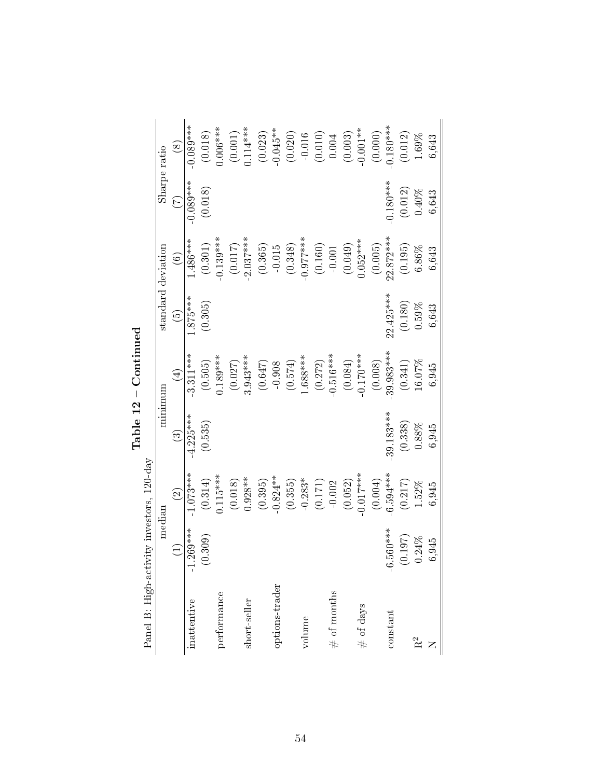|                                           | Sharpe ratio       | $\circledS$            | $0.089***$                 | (0.018)              | $0.006***$  | (0.001)   | $0.114***$   | (0.023) | $-0.045**$     |         |             | $\begin{array}{c} (0.020) \\ -0.016 \\ (0.010) \\ (0.010) \\ 0.004 \end{array}$ |                | (0.003) | $-0.001**$   | (0.000) | $0.180***$               | (0.012) | 1.69%          | 6,643 |
|-------------------------------------------|--------------------|------------------------|----------------------------|----------------------|-------------|-----------|--------------|---------|----------------|---------|-------------|---------------------------------------------------------------------------------|----------------|---------|--------------|---------|--------------------------|---------|----------------|-------|
|                                           |                    | E                      | $-0.089***$                | (0.018)              |             |           |              |         |                |         |             |                                                                                 |                |         |              |         | $0.180***$               | (0.012) | 0.40%          | 6,643 |
|                                           |                    | $\widehat{\circ}$      | $1.486***$                 | (0.301)              | $0.139***$  | $(0.017)$ | $2.037***$   | (0.365) | $-0.015$       | (0.348) | $-0.977***$ | (0.160)                                                                         | $-0.001$       | (0.049) | $0.052***$   | (0.005) | $22.872***$              | (0.195) | $6.86\%$       | 6,643 |
|                                           | standard deviation | $\odot$                | $1.875***$                 | (0.305)              |             |           |              |         |                |         |             |                                                                                 |                |         |              |         | $22.425***$              | (0.180) | 0.59%          | 6,643 |
|                                           |                    | $\bigoplus$            | $3.311***$                 | $\left(0.505\right)$ | $0.189***$  | (0.027)   | $3.943***$   | (0.647) | $-0.908$       | (0.574) | $1.688***$  | (0.272)                                                                         | $-0.516***$    | (0.084) | $-0.170***$  | (0.008) | 39.983***                | (0.341) | 16.07%         | 6,945 |
|                                           | minimum            | $\widehat{\mathbb{C}}$ | $-4.225***$                | (0.535)              |             |           |              |         |                |         |             |                                                                                 |                |         |              |         | $-39.183***$             | (0.338) | 0.88%          | 6,945 |
|                                           |                    | $\widehat{\Omega}$     | $1.073***$                 | $\left(0.314\right)$ | $0.115***$  | (0.018)   | $0.928**$    | (0.395) | $-0.824**$     | (0.355) | $-0.283*$   | $\left( 0.171\right)$                                                           | $-0.002$       | (0.052) | $0.017***$   | (0.004) | $6.594***$               | (0.217) | 1.52%          | 6,945 |
|                                           | median             | $\widehat{\Xi}$        | $.269***$<br>$\frac{1}{1}$ | 0.309)               |             |           |              |         |                |         |             |                                                                                 |                |         |              |         | 560****<br>$\dot{\circ}$ | (0.197) | 0.24%          | 6,945 |
| Panel B: High-activity investors, 120-day |                    |                        | inattentive                |                      | performance |           | short-seller |         | options-trader |         | volume      |                                                                                 | $\#$ of months |         | $\#$ of days |         | constant                 |         | R <sup>2</sup> |       |

 $Table~12 - {Continued}$ Table 12 Continued

54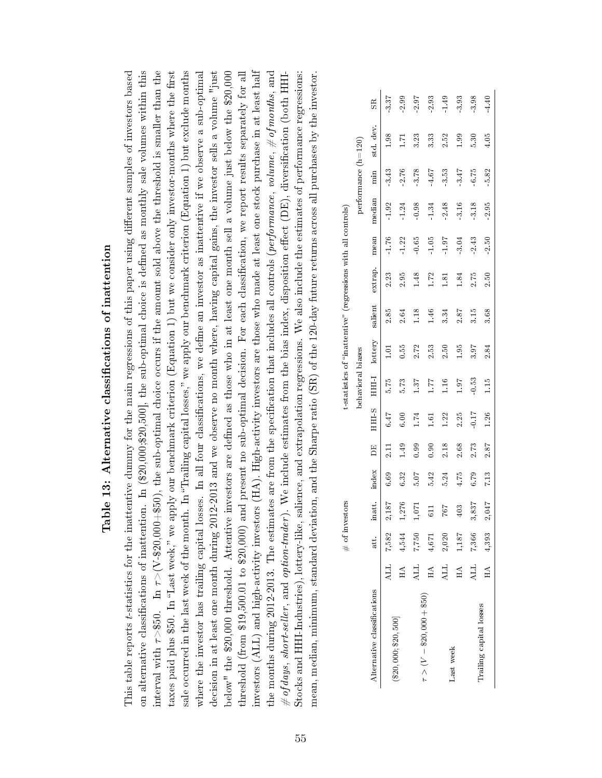| ا<br>ا                                                                                                                        |
|-------------------------------------------------------------------------------------------------------------------------------|
| i                                                                                                                             |
| i                                                                                                                             |
| . + C C C C + C C H - C C C C C C - F -<br>֖֖֖֖֖֖֧ׅ֖ׅ֚֚֚֚֚֚֚֚֚֚֚֚֚֚֚֚֚֚֚֚֚֬֝֓֝֓֞֓֡֓֞֬֓֡֓֬֓֞֓֞֓֡֓֬֓֓֞֓֞֓֞֬֓֞֬֓֞֬֝֓֞֬֝֓֞֬֝֓֞֬֝֬ |
|                                                                                                                               |
|                                                                                                                               |
|                                                                                                                               |
| j<br>ļ<br>E                                                                                                                   |

on alternative classifications of inattention. In (\$20,000;\$20,500], the sub-optimal choice is defined as monthly sale volumes within this This table reports *t*-statistics for the inattentive dummy for the main regressions of this paper using different samples of investors based interval with  $\tau > $50$ . In  $\tau > (V-$20,000+$50)$ , the sub-optimal choice occurs if the amount sold above the threshold is smaller than the sale occurred in the last week of the month. In "Trailing capital losses," we apply our benchmark criterion (Equation 1) but exclude months where the investor has trailing capital losses. In all four classifications, we define an investor as inattentive if we observe a sub-optimal decision in at least one month during 2012-2013 and we observe no month where, having capital gains, the investor sells a volume "just below" the \$20,000 threshold. Attentive investors are defined as those who in at least one month sell a volume just below the \$20,000 threshold (from \$19,500.01 to \$20,000) and present no sub-optimal decision. For each classification, we report results separately for all investors (ALL) and high-activity investors (HA). High-activity investors are those who made at least one stock purchase in at least half investors (ALL) and high-activity investors (HA). High-activity investors are those who made at least one stock purchase in at least half the months during 2012-2013. The estimates are from the specification that includes all controls (performance, volume,  $\#$  of months, and This table reports t-statistics for the inattentive dummy for the main regressions of this paper using dierent samples of investors based on alternative classifications of inattention. In (\$20,000;\$20,500], the sub-optimal choice is defined as monthly sale volumes within this interval with  $\tau >$ \$50. In  $\tau$   $>$  (V-\$20),  $\pm$  1. The sub-optimal choice occurs if the amount sold above the threshold is smaller than the taxes paid plus \$50. In "Last week," we apply our benchmark criterion (Equation 1) but we consider only investor-months where the first taxes paid plus \$50. In "Last week," we apply our benchmark criterion (Equation 1) but we consider only investor-months where the first sale occurred in the last week of the month. In "Trailing capital losses," we apply our benchmark criterion (Equation 1) but exclude months where the investor has trailing capital losses. In all four classifications, we define an investor as inattentive if we observe a sub-optimal decision in at least one month during 2012-2013 and we observe no month where, having capital gains, the investor sells a volume "just below" the \$20,000 threshold. Attentive investors are defined as those who in at least one month sell a volume just below the \$20,000 threshold (from \$19,500.01 to \$20,000) and present no sub-optimal decision. For each classification, we report results separately for all the months during 2012-2013. The estimates are from the specification that includes all controls (*performance*, *volume*,  $\#$  *of months*, and  $\#$  of days, short-seller, and option-trader). We include estimates from the bias index, disposition effect (DE), diversification (both HHI-# of days, short-seller, and option-trader). We include estimates from the bias index, disposition effect (DE), diversification (both HHI-Stocks and HHI-Industries), lottery-like, salience, and extrapolation regressions. We also include the estimates of performance regressions: Stocks and HHI-Industries), lottery-like, salience, and extrapolation regressions. We also include the estimates of performance regressions: mean, median, minimum, standard deviation, and the Sharpe ratio (SR) of the 120-day future returns across all purchases by the investor. mean, median, minimum, standard deviation, and the Sharpe ratio (SR) of the 120-day future returns across all purchases by the investor

|                              |            | $#$ of im | vestors |       |       |                  |                   |         |                | t-statistics of 'inattentive' (regressions with all controls) |      |        |                       |           |             |
|------------------------------|------------|-----------|---------|-------|-------|------------------|-------------------|---------|----------------|---------------------------------------------------------------|------|--------|-----------------------|-----------|-------------|
|                              |            |           |         |       |       |                  | behavioral biases |         |                |                                                               |      |        | performance $(h=120)$ |           |             |
| Alternative classifications  |            | att.      | inatt.  | index | 凹     | HHI <sub>S</sub> | HHI               | lottery | salient        | extrap.                                                       | mean | median | min                   | std. dev. | $_{\rm SR}$ |
|                              |            | ALL 7,582 | 2,187   | 6.69  | Ξ     | 6.47             | 5.75              | 3       | 2.85           | 2.23                                                          | 1.76 | 1.92   | 3.43                  | 1.98      | 3.37        |
| $(\$20,000; \$20,500]$       | HA         | 4,544     | 1,276   | 6.32  | $-49$ | 6.00             | 5.73              | 0.55    | 2.64           | 2.95                                                          | 1.22 | 1.24   | 2.76                  | L71       | 2.99        |
|                              | ALL        | 7,750     | 1,071   | 5.07  | 0.99  | 1.74             | 137               | 2.72    | 1.18           | $\frac{48}{5}$                                                | 0.65 | 0.98   | 3.78                  | 3.23      | 2.97        |
| $\tau > (V - $20,000 + $50)$ | $H\Lambda$ | 4,671     |         | 5.42  | 0.90  | $\Xi$            | 17.1              | 2.53    | $\frac{46}{5}$ | 1.72                                                          | 1.05 | 1.34   | $4.67$                | 3.33      | 2.93        |
|                              | ALL        | 2,020     | 767     | 5.24  | 2.18  | 122              | 1.16              | 2.50    | 3.34           | $\frac{1}{3}$                                                 | 1.97 | 2.48   | 3.53                  | 2.52      | 1.49        |
| Last week                    | $H\Lambda$ | 1,187     | 403     | 4.75  | 2.68  | 2.25             | 1.97              | 1.95    | 2.87           | 1.84                                                          | 3.04 | 3.16   | 3.47                  | 99        | 3.93        |
|                              | ALL        | 7,366     | 3,837   | 6.79  | 2.73  | $-0.17$          | $-0.53$           | 3.97    | 3.15           | 2.75                                                          | 2.43 | 3.18   | 6.75                  | 5.30      | 3.98        |
| Trailing capital losses      | $H\Lambda$ | 4,393     | 2,047   | 7.13  | 2.87  | 1.26             | 1.15              | 2.84    | 3.68           | 2.50                                                          | 2.50 | 2.95   | 5.82                  | 4.05      | 4.40        |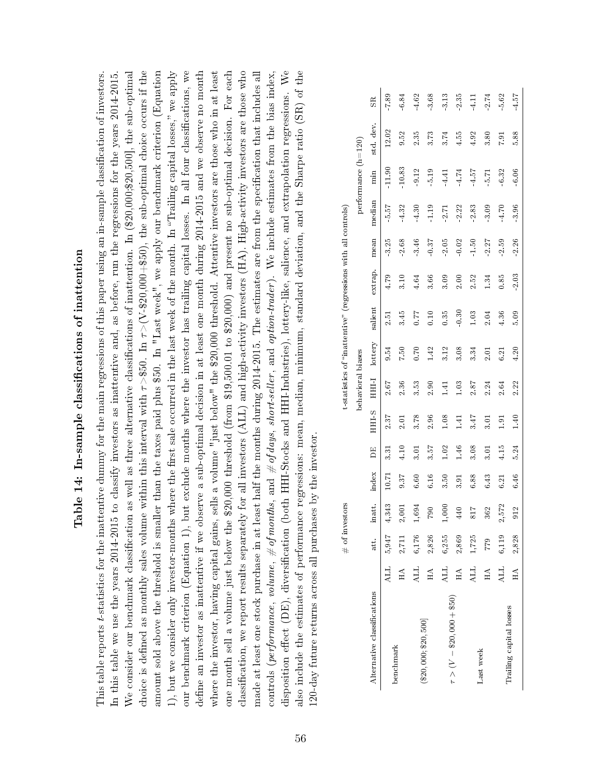| į<br>֚֚֚֝<br>֧֚֝                                                                                                                            |  |
|---------------------------------------------------------------------------------------------------------------------------------------------|--|
| i                                                                                                                                           |  |
| ひらく こみひろ ほっぴり                                                                                                                               |  |
| $\sim$ $\sim$ $\sim$ $\sim$<br>ľ<br>i<br>i<br>֧֧ׅׅׅׅׅׅׅ֧֧֧ׅ֧ׅ֧ׅ֧֧ׅ֧ׅ֧֧֧֧֚֚֚֚֚֚֚֚֚֚֚֚֚֚֚֚֚֚֚֚֚֚֚֚֚֚֚֚֝֝֡֓֓֡֓֓֓֡֬֓֡֬֓֝֓֝֓֝֬֝֬֝֬֝֬֝֬֝֬֝֬֝֬֝֬֝֬ |  |
| I<br>I                                                                                                                                      |  |

define an investor as inattentive if we observe a sub-optimal decision in at least one month during  $2014-2015$  and we observe no month classification, we report results separately for all investors (ALL) and high-activity investors (HA). High-activity investors are those who We consider our benchmark classification as well as three alternative classifications of inattention. In  $(\$20,000, \$20,500]$ , the sub-optimal choice is defined as monthly sales volume within this interval with  $\tau > $50$ . In  $\tau > (V-$20,000+$50)$ , the sub-optimal choice occurs if the amount sold above the threshold is smaller than the taxes paid plus \$50. In "Last week", we apply our benchmark criterion (Equation our benchmark criterion (Equation 1), but exclude months where the investor has trailing capital losses. In all four classifications, we where the investor, having capital gains, sells a volume "just below" the \$20,000 threshold. Attentive investors are those who in at least one month sell a volume just below the \$20,000 threshold (from \$19,500.01 to \$20,000) and present no sub-optimal decision. For each made at least one stock purchase in at least half the months during 2014-2015. The estimates are from the specification that includes all disposition effect (DE), diversification (both HHI-Stocks and HHI-Industries), lottery-like, salience, and extrapolation regressions. We also include the estimates of performance regressions: mean, median, minimum, standard deviation, and the Sharpe ratio (SR) of the This table reports t-statistics for the inattentive dummy for the main regressions of this paper using an in-sample classification of investors. This table reports t-statistics for the inattentive dummy for the main regressions of this paper using an in-sample classication of investors. In this table we use the years 2014-2015 to classify investors as inattentive and, as before, run the regressions for the years 2014-2015. In this table we use the years 2014-2015 to classify investors as inattentive and, as before, run the regressions for the years 2014-2015. We consider our benchmark classification as well as three alternative classifications of inattention. In  $(\$20,000;\$20,500]$ , the sub-optimal choice is defined as monthly sales volume within this interval with  $\tau >$ \$50. In  $\tau > (V-$20,000+$50)$ , the sub-optimal choice occurs if the amount sold above the threshold is smaller than the taxes paid plus \$50. In "Last week", we apply our benchmark criterion (Equation 1), but we consider only investor-months where the first sale occurred in the last week of the month. In "Trailing capital losses," we apply 1), but we consider only investor-months where the first sale occurred in the last week of the month. In "Trailing capital losses," we apply our benchmark criterion (Equation 1), but exclude months where the investor has trailing capital losses. In all four classifications, we define an investor as inattentive if we observe a sub-optimal decision in at least one month during  $2014-2015$  and we observe no month where the investor, having capital gains, sells a volume "just below" the \$20,000 threshold. Attentive investors are those who in at least one month sell a volume just below the \$20,000 threshold (from \$19,500.01 to \$20,000) and present no sub-optimal decision. For each classication, we report results separately for all investors (ALL) and high-activity investors (HA). High-activity investors are those who made at least one stock purchase in at least half the months during 2014-2015. The estimates are from the specication that includes all controls (performance, volume,  $\#$  of months, and  $\#$  of days, short-seller, and option-trader). We include estimates from the bias index, controls (*performance*, *volume,*  $\#$  *of months*, and  $\#$  *of days*, *short-seller*, and *option-trader*). We include estimates from the bias index, disposition effect (DE), diversification (both HHI-Stocks and HHI-Industries), lottery-like, salience, and extrapolation regressions. We also include the estimates of performance regressions: mean, median, minimum, standard deviation, and the Sharpe ratio (SR) of the 20-day future returns across all purchases by the investor. 120-day future returns across all purchases by the investor.

|                              |            | # of inv | estors     |                 |                 |             |                   | t-statistics of 'inattentive'' |         | (regressions with all controls) |      |           |                       |           |             |
|------------------------------|------------|----------|------------|-----------------|-----------------|-------------|-------------------|--------------------------------|---------|---------------------------------|------|-----------|-----------------------|-----------|-------------|
|                              |            |          |            |                 |                 |             | behavioral biases |                                |         |                                 |      |           | performance $(h=120)$ |           |             |
| Alternative classifications  |            | att.     | inatt.     | index           | DE <sub>1</sub> | <b>STHE</b> | HHI               | lottery                        | salient | extrap.                         | mean | median    | min                   | std. dev. | $_{\rm SR}$ |
| benchmark                    | ALL        | 5,947    | 4,343      | $\overline{5}0$ | 3.31            | 2.37        | $2.67$            | 9.54                           | io<br>N | 4.79                            | 3.25 | r<br>5.57 |                       | 12.02     | 7.89        |
|                              | $H\Lambda$ | 2,711    | 2,001      | 9.37            | 4.10            | 5.<br>2.    | 2.36              | 7.50                           | 345     | 3.10                            | 2.68 | 4.32      | 10.83                 | 9.52      | 6.84        |
|                              | <b>ALL</b> | 6,176    | 1,694      | 6.60            | 3.01            | 3.78        | 3.53              | 0.70                           | 0.77    | 4.64                            | 3.46 | 4.30      | 9.12                  | 2.35      | 4.62        |
| $(\$20,000; \$20,500]$       | $H\Lambda$ | 2,826    | <b>P87</b> | 6.16            | 3.57            | 2.96        | 2.90              | 142                            | 0.10    | 3.66                            | 0.37 | $-1.19$   | 5.19                  | 3.73      | 3.68        |
| $\tau > (V - $20,000 + $50)$ | <b>ALL</b> | 6,255    | 1,000      | 3.50            | 1.02            | 0.08        | $\Xi$             | 3.12                           | 0.35    | 3.09                            | 2.05 | 2.71      | -4.41                 | 3.74      | 3.13        |
|                              | $H\Lambda$ | 2,869    | 440        | 3.91            | 1.46            | $\pm 1$     | 1.03              | 3.08                           | 0.30    | 2.00                            | 0.02 | 2.22      | 4.74                  | 4.55      | 2.35        |
| Last week                    | ALL        | 1,725    | 817        | 6.88            | 3.08            | 3.47        | 2.87              | 3.34                           | 1.03    | 2.52                            | 1.50 | 2.83      | 4.57                  | 4.92      | 4.11        |
|                              | $H\Lambda$ | 779      | 362        | 6.43            | 3.01            | 3.01        | 2.24              | 2.01                           | 2.04    | 134                             | 2.27 | 3.09      | 5.71                  | 3.80      | 2.74        |
|                              | ALL        | 6,119    | 2,572      | 6.21            | 4.15            | $-91$       | 2.64              | 6.21                           | 4.36    | 0.85                            | 2.59 | 4.70      | 6.32                  | 1.91      | 5.62        |
| Trailing capital losses      | $H\Lambda$ | 2,828    | 912        | 6.46            | 5.24            | 1.40        | 2.22              | 4.20                           | 5.09    | 2.03                            | 2.26 | 3.96      | 6.06                  | 5.88      | 4.57        |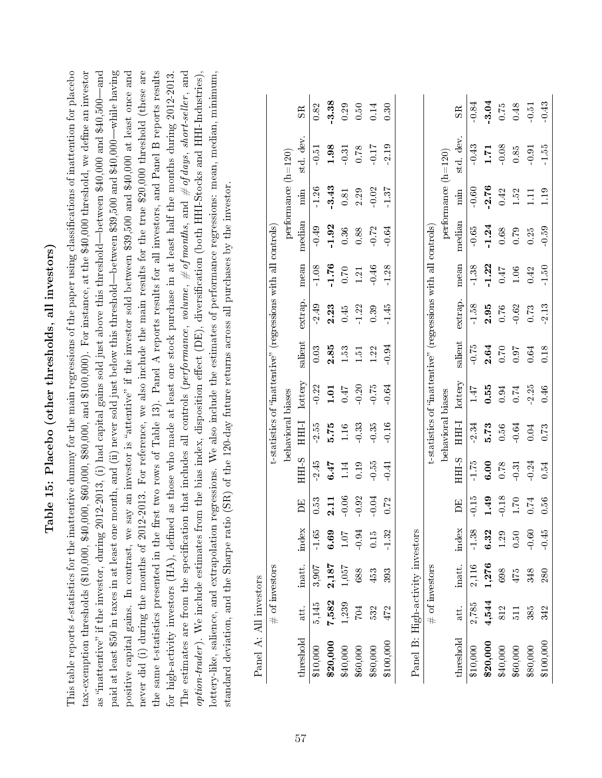| $\zeta$<br>י<br>ו<br>l                                                                                                          |
|---------------------------------------------------------------------------------------------------------------------------------|
| ļ                                                                                                                               |
| -<br>י<br>֓֕֡֡<br><b>SSS 20</b><br>֧֧ׅׅׅ֧֧֧֧֧֖֧֧ׅ֧֧֧֧֧֧ׅ֧ׅ֧֧֖֧֚֚֚֚֚֚֚֚֚֚֚֚֚֚֚֚֚֚֚֚֚֚֚֚֚֚֚֚֚֝֡֓֓֡֡֬֓֝֓֝֓֝֬֝֓֝֬֝֬֝֬֝֬֝֬֝֬֝֬֝֬֝֬֝֬ |
| $\sim$ $+$ $\sim$<br>I<br>l                                                                                                     |
| ֧֧ׅ֚֚֚֚֚֚֚֚֚֚֚֚֚֚֚֚֚֚֚֚֚֚֚֚֚֚֡֝֟֡֡֜֝֟֓֡֡֜<br>Ï                                                                                  |
| į                                                                                                                               |
| )<br>)<br>$\overline{\epsilon}$<br>د<br>م                                                                                       |

This table reports t-statistics for the inattentive dummy for the main regressions of the paper using classifications of inattention for placebo paid at least \$50 in taxes in at least one month, and (ii) never sold just below this threshold—between \$39,500 and \$40,000—while having tax-exemption thresholds (\$10,000, \$40,000, \$60,000, \$80,000, and \$100,000). For instance, at the \$40,000 threshold, we define an investor as "inattentive" if the investor, during 2012-2013, (i) had capital gains sold just above this threshold—between \$40,000 and \$40,500—and positive capital gains. In contrast, we say an investor is "attentive" if the investor sold between \$39,500 and \$40,000 at least once and never did (i) during the months of 2012-2013. For reference, we also include the main results for the true \$20,000 threshold (these are the same t-statistics presented in the first two rows of Table 13). Panel A reports results for all investors, and Panel B reports results The estimates are from the specification that includes all controls (performance, volume,  $\#$  of months, and  $\#$  of days, short-seller, and option-trader). We include estimates from the bias index, disposition effect (DE), diversification (both HHI-Stocks and HHI-Industries), lottery-like, salience, and extrapolation regressions. We also include the estimates of performance regressions: mean, median, minimum, This table reports t-statistics for the inattentive dummy for the main regressions of the paper using classications of inattention for placebo tax-exemption thresholds (\$10,000, \$40,000, \$60,000, \$80,000, and \$100,000). For instance, at the \$40,000 threshold, we dene an investor as "inattentive" if the investor, during 2012-2013, (i) had capital gains sold just above this threshold—between \$40,000 and \$40,500—and paid at least \$50 in taxes in at least one month, and (ii) never sold just below this threshold—between \$39,500 and \$40,000—while having positive capital gains. In contrast, we say an investor is "attentive" if the investor sold between \$39,500 and \$40,000 at least once and never did (i) during the months of 2012-2013. For reference, we also include the main results for the true \$20,000 threshold (these are the same t-statistics presented in the first two rows of Table 13). Panel A reports results for all investors, and Panel B reports results for high-activity investors (HA), defined as those who made at least one stock purchase in at least half the months during 2012-2013. for high-activity investors (HA), dened as those who made at least one stock purchase in at least half the months during 2012-2013. The estimates are from the specification that includes all controls (*performance*, *volume*,  $\#$  of months, and  $\#$  of days, short-seller, and  $option-trader$ ). We include estimates from the bias index, disposition effect (DE), diversification (both HHI-Stocks and HHI-Industries), lottery-like, salience, and extrapolation regressions. We also include the estimates of performance regressions: mean, median, minimum, standard deviation, and the Sharpe ratio (SR) of the 120-day future returns across all purchases by the investor. standard deviation, and the Sharpe ratio (SR) of the 120-day future returns across all purchases by the investor.

| Panel A: All investors           |            |                       |                                                      |          |                  |                   |                                                               |         |         |          |         |                       |           |                |
|----------------------------------|------------|-----------------------|------------------------------------------------------|----------|------------------|-------------------|---------------------------------------------------------------|---------|---------|----------|---------|-----------------------|-----------|----------------|
|                                  |            | $\#$ of investors     |                                                      |          |                  |                   | t-statistics of "inattentive" (regressions with all controls) |         |         |          |         |                       |           |                |
|                                  |            |                       |                                                      |          |                  | behavioral biases |                                                               |         |         |          |         | performance $(h=120)$ |           |                |
| threshold                        | att.       | inatt.                | index                                                | Ë        | HHL <sub>S</sub> | HHLI              | lottery                                                       | salient | extrap. | mean     | median  | min                   | std. dev. | S <sub>R</sub> |
| \$10,000                         | 5,145      | 3,907                 | $-1.65$                                              | 0.53     | 2.45             | $-2.55$           | $-0.22$                                                       | 0.03    | $-2.49$ | 1.08     | $-0.49$ | 1.26                  | $-0.51$   | 0.82           |
| \$20,000                         | 7,582      |                       |                                                      | 2.11     | 6.47             | 5.75              | 1.01                                                          | 2.85    | 2.23    | $-1.76$  | 1.92    | 3.43                  | 1.98      | 3.38           |
| \$40,000                         | 1,239      | $\frac{2,187}{1,057}$ | $\begin{array}{c} \textbf{6.69} \\ 1.07 \end{array}$ | $-0.06$  | 1.14             | 1.16              | 0.47                                                          | 1.53    | 0.45    | 0.70     | 0.36    | 0.81                  | $-0.31$   | 0.29           |
| \$60,000                         | <b>FOZ</b> |                       | $-0.94$                                              | 0.92     | 0.19             | $\,0.33$          | $-0.20$                                                       | 1.51    | 1.22    | 1.21     | 0.88    | 2.29                  | 0.78      | $0.50\,$       |
| \$80,000                         | 532        | 453                   | 0.15                                                 | $-0.04$  | 0.55             | 0.35              | $-0.75$                                                       | 1.22    | 0.39    | $-0.46$  | 0.72    | $-0.02$               | $-0.17$   | 0.14           |
| \$100,000                        | 472        | 393                   | $-1.32$                                              | 0.72     | $-0.41$          | $-0.16$           | 0.64                                                          | 0.94    | 1.45    | 1.28     | 0.64    | $-1.37$               | 2.19      | 0.30           |
|                                  |            |                       |                                                      |          |                  |                   |                                                               |         |         |          |         |                       |           |                |
| Panel B: High-activity investors |            |                       |                                                      |          |                  |                   |                                                               |         |         |          |         |                       |           |                |
|                                  |            | $\#$ of investors     |                                                      |          |                  |                   | t-statistics of "inattentive" (regressions with all controls) |         |         |          |         |                       |           |                |
|                                  |            |                       |                                                      |          |                  | behavioral biases |                                                               |         |         |          |         | performance $(h=120)$ |           |                |
| threshold                        | att.       | inatt.                | index                                                | 呂        | S IHH            | HHLI              | lottery                                                       | salient | extrap. | mean     | median  | min                   | std. dev  | $_{\rm SR}$    |
| \$10,000                         | 2,785      | 2,116                 | $1.38\,$                                             | $-0.15$  | $-1.75$          | 2.34              | 1.47                                                          | $-0.75$ | 1.58    | 1.38     | $-0.65$ | 0.60                  | 0.43      | $0.84\,$       |
| \$20,000                         | 4,544      | 1,276                 | 6.32                                                 | 1.49     | 6.00             | 5.73              | 0.55                                                          | 2.64    | 2.95    | $-1.22$  | $-1.24$ | 2.76                  | 1.71      | 3.04           |
| \$40,000                         | 812        | 698                   | $1.29$<br>0.50                                       | $0.18\,$ | 0.78             | 0.56              | 0.94                                                          | 0.70    | 0.76    | $7F$ 0.  | 0.68    | 0.42                  | $-0.08$   | $0.75\,$       |
| \$60,000                         | 511        | $475$                 |                                                      | 1.70     | $-0.31$          | $-0.64$           | 0.74                                                          | 0.97    | $-0.62$ | $1.06\,$ | 0.79    | 1.52                  | 0.85      | 0.48           |
| \$80,000                         | 385        | 348                   | $-0.60$                                              | 0.74     | $-0.24$          | 0.04              | $2.25\,$                                                      | 0.64    | 0.73    | 0.42     | 0.25    | $\Xi$                 | 0.91      | $-0.51$        |
| \$100,000                        | 342        | 280                   | $0.45$                                               | 0.56     | 0.54             | 0.73              | 0.46                                                          | 0.18    | 2.13    | 1.50     | $-0.59$ | 1.19                  | 1.55      | 0.43           |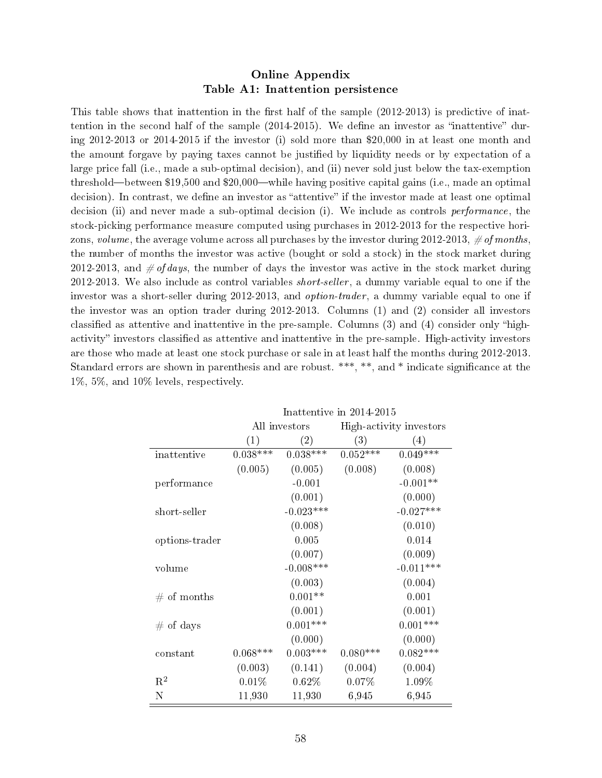#### Online Appendix Table A1: Inattention persistence

This table shows that inattention in the first half of the sample  $(2012-2013)$  is predictive of inattention in the second half of the sample  $(2014-2015)$ . We define an investor as "inattentive" during 2012-2013 or 2014-2015 if the investor (i) sold more than \$20,000 in at least one month and the amount forgave by paying taxes cannot be justied by liquidity needs or by expectation of a large price fall (i.e., made a sub-optimal decision), and (ii) never sold just below the tax-exemption threshold—between  $$19,500$  and  $$20,000$ —while having positive capital gains (i.e., made an optimal decision). In contrast, we define an investor as "attentive" if the investor made at least one optimal decision (ii) and never made a sub-optimal decision (i). We include as controls *performance*, the stock-picking performance measure computed using purchases in 2012-2013 for the respective horizons, volume, the average volume across all purchases by the investor during 2012-2013,  $\# \text{ of months}$ , the number of months the investor was active (bought or sold a stock) in the stock market during 2012-2013, and  $\# of days$ , the number of days the investor was active in the stock market during 2012-2013. We also include as control variables *short-seller*, a dummy variable equal to one if the investor was a short-seller during 2012-2013, and *option-trader*, a dummy variable equal to one if the investor was an option trader during 2012-2013. Columns (1) and (2) consider all investors classified as attentive and inattentive in the pre-sample. Columns  $(3)$  and  $(4)$  consider only "highactivity" investors classified as attentive and inattentive in the pre-sample. High-activity investors are those who made at least one stock purchase or sale in at least half the months during 2012-2013. Standard errors are shown in parenthesis and are robust. \*\*\*, \*\*, and \* indicate significance at the 1%, 5%, and 10% levels, respectively.

|                | Inattentive in 2014-2015 |               |            |                         |  |  |  |
|----------------|--------------------------|---------------|------------|-------------------------|--|--|--|
|                |                          | All investors |            | High-activity investors |  |  |  |
|                | (1)                      | (2)           | (3)        | (4)                     |  |  |  |
| inattentive    | $0.038***$               | $0.038***$    | $0.052***$ | $0.049***$              |  |  |  |
|                | (0.005)                  | (0.005)       | (0.008)    | (0.008)                 |  |  |  |
| performance    |                          | $-0.001$      |            | $-0.001**$              |  |  |  |
|                |                          | (0.001)       |            | (0.000)                 |  |  |  |
| short-seller   |                          | $-0.023***$   |            | $-0.027***$             |  |  |  |
|                |                          | (0.008)       |            | (0.010)                 |  |  |  |
| options-trader |                          | 0.005         |            | 0.014                   |  |  |  |
|                |                          | (0.007)       |            | (0.009)                 |  |  |  |
| volume         |                          | $-0.008***$   |            | $-0.011***$             |  |  |  |
|                |                          | (0.003)       |            | (0.004)                 |  |  |  |
| # of months    |                          | $0.001**$     |            | 0.001                   |  |  |  |
|                |                          | (0.001)       |            | (0.001)                 |  |  |  |
| $\#$ of days   |                          | $0.001***$    |            | $0.001***$              |  |  |  |
|                |                          | (0.000)       |            | (0.000)                 |  |  |  |
| constant       | $0.068***$               | $0.003***$    | $0.080***$ | $0.082***$              |  |  |  |
|                | (0.003)                  | (0.141)       | (0.004)    | (0.004)                 |  |  |  |
| $\mathbf{R}^2$ | 0.01%                    | 0.62%         | 0.07%      | 1.09%                   |  |  |  |
| Ν              | 11,930                   | 11,930        | 6,945      | 6,945                   |  |  |  |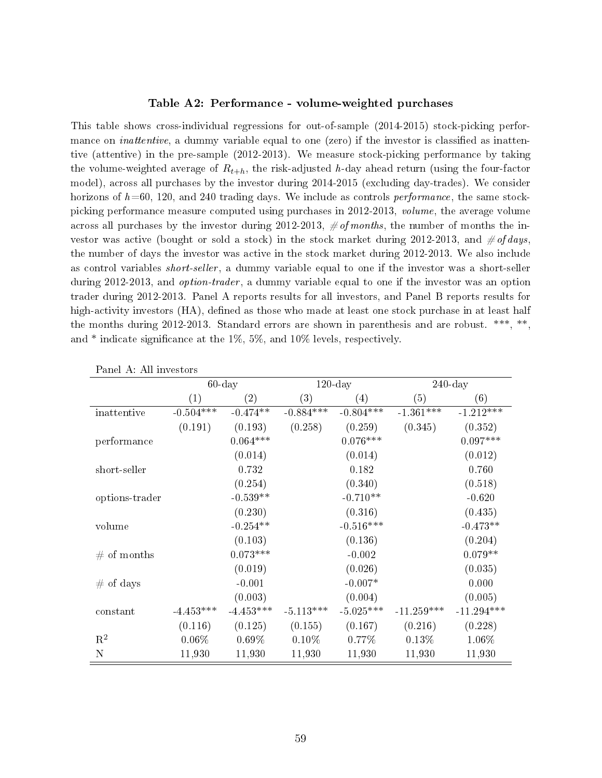#### Table A2: Performance - volume-weighted purchases

This table shows cross-individual regressions for out-of-sample (2014-2015) stock-picking performance on *inattentive*, a dummy variable equal to one (zero) if the investor is classified as inattentive (attentive) in the pre-sample (2012-2013). We measure stock-picking performance by taking the volume-weighted average of  $R_{t+h}$ , the risk-adjusted h-day ahead return (using the four-factor model), across all purchases by the investor during 2014-2015 (excluding day-trades). We consider horizons of  $h=60, 120,$  and 240 trading days. We include as controls performance, the same stockpicking performance measure computed using purchases in 2012-2013, volume, the average volume across all purchases by the investor during 2012-2013,  $\# of months$ , the number of months the investor was active (bought or sold a stock) in the stock market during 2012-2013, and  $\# of \, days$ the number of days the investor was active in the stock market during 2012-2013. We also include as control variables *short-seller*, a dummy variable equal to one if the investor was a short-seller during 2012-2013, and *option-trader*, a dummy variable equal to one if the investor was an option trader during 2012-2013. Panel A reports results for all investors, and Panel B reports results for high-activity investors (HA), defined as those who made at least one stock purchase in at least half the months during 2012-2013. Standard errors are shown in parenthesis and are robust. \*\*\*, \*\*, and \* indicate signicance at the 1%, 5%, and 10% levels, respectively.

|                |                   | $120$ -day<br>$60$ -day |             | $240$ -day  |                   |              |
|----------------|-------------------|-------------------------|-------------|-------------|-------------------|--------------|
|                | $\left( 1\right)$ | $\left( 2\right)$       | (3)         | (4)         | $\left( 5\right)$ | (6)          |
| inattentive    | $-0.504***$       | $-0.474**$              | $-0.884***$ | $-0.804***$ | $-1.361***$       | $-1.212***$  |
|                | (0.191)           | (0.193)                 | (0.258)     | (0.259)     | (0.345)           | (0.352)      |
| performance    |                   | $0.064***$              |             | $0.076***$  |                   | $0.097***$   |
|                |                   | (0.014)                 |             | (0.014)     |                   | (0.012)      |
| short-seller   |                   | 0.732                   |             | 0.182       |                   | 0.760        |
|                |                   | (0.254)                 |             | (0.340)     |                   | (0.518)      |
| options-trader |                   | $-0.539**$              |             | $-0.710**$  |                   | $-0.620$     |
|                |                   | (0.230)                 |             | (0.316)     |                   | (0.435)      |
| volume         |                   | $-0.254**$              |             | $-0.516***$ |                   | $-0.473**$   |
|                |                   | (0.103)                 |             | (0.136)     |                   | (0.204)      |
| # of months    |                   | $0.073***$              |             | $-0.002$    |                   | $0.079**$    |
|                |                   | (0.019)                 |             | (0.026)     |                   | (0.035)      |
| $#$ of days    |                   | $-0.001$                |             | $-0.007*$   |                   | 0.000        |
|                |                   | (0.003)                 |             | (0.004)     |                   | (0.005)      |
| constant       | $-4.453***$       | $-4.453***$             | $-5.113***$ | $-5.025***$ | $-11.259***$      | $-11.294***$ |
|                | (0.116)           | (0.125)                 | (0.155)     | (0.167)     | (0.216)           | (0.228)      |
| $\mathbf{R}^2$ | $0.06\%$          | $0.69\%$                | $0.10\%$    | $0.77\%$    | 0.13%             | 1.06%        |
| Ν              | 11,930            | 11,930                  | 11,930      | 11,930      | 11,930            | 11,930       |

Panel A: All investors